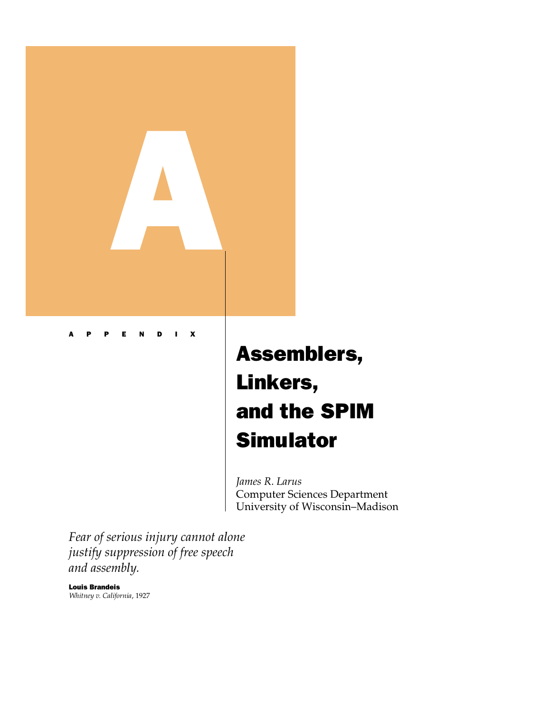

# Assemblers, Linkers, and the SPIM Simulator

*James R. Larus* Computer Sciences Department University of Wisconsin–Madison

*Fear of serious injury cannot alone justify suppression of free speech and assembly.*

Louis Brandeis *Whitney v. California*, 1927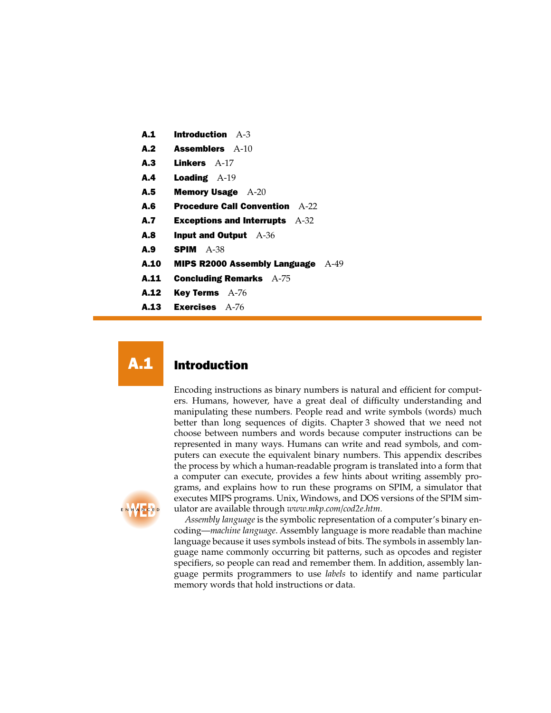| A.1  | <b>Introduction</b> $A-3$                |
|------|------------------------------------------|
| A.2  | <b>Assemblers</b> $A-10$                 |
| A.3  | <b>Linkers</b> $A-17$                    |
| A.4  | <b>Loading</b> $A-19$                    |
| A.5  | <b>Memory Usage</b> A-20                 |
| A.6  | <b>Procedure Call Convention</b> A-22    |
| A.7  | <b>Exceptions and Interrupts</b> $A-32$  |
| A.8  | <b>Input and Output</b> $A-36$           |
| A.9  | <b>SPIM</b> $A-38$                       |
| A.10 | <b>MIPS R2000 Assembly Language</b> A-49 |
| A.11 | <b>Concluding Remarks</b> $A-75$         |
| A.12 | <b>Key Terms</b> $A-76$                  |
| A.13 | <b>Exercises</b> $A-76$                  |

### A.1 Introduction A.1

Encoding instructions as binary numbers is natural and efficient for computers. Humans, however, have a great deal of difficulty understanding and manipulating these numbers. People read and write symbols (words) much better than long sequences of digits. Chapter 3 showed that we need not choose between numbers and words because computer instructions can be represented in many ways. Humans can write and read symbols, and computers can execute the equivalent binary numbers. This appendix describes the process by which a human-readable program is translated into a form that a computer can execute, provides a few hints about writing assembly programs, and explains how to run these programs on SPIM, a simulator that executes MIPS programs. Unix, Windows, and DOS versions of the SPIM simulator are available through *www.mkp.com/cod2e.htm.*

*Assembly language* is the symbolic representation of a computer's binary encoding—*machine language*. Assembly language is more readable than machine language because it uses symbols instead of bits. The symbols in assembly language name commonly occurring bit patterns, such as opcodes and register specifiers, so people can read and remember them. In addition, assembly language permits programmers to use *labels* to identify and name particular memory words that hold instructions or data.

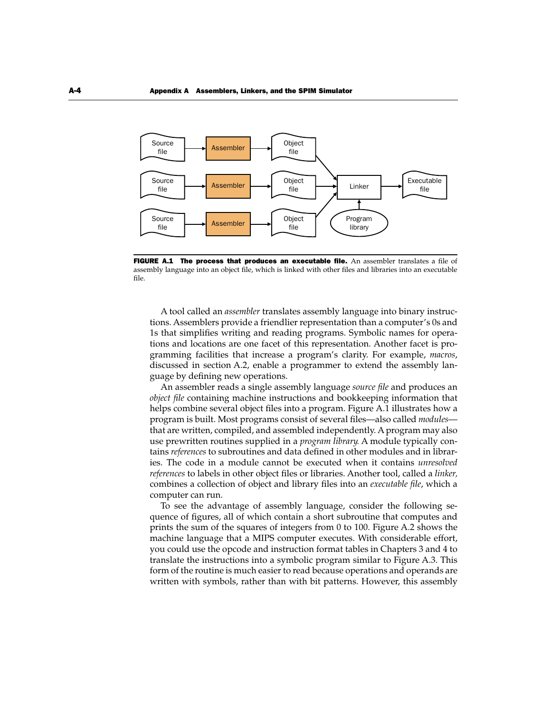

FIGURE A.1 The process that produces an executable file. An assembler translates a file of assembly language into an object file, which is linked with other files and libraries into an executable file.

A tool called an *assembler* translates assembly language into binary instructions. Assemblers provide a friendlier representation than a computer's 0s and 1s that simplifies writing and reading programs. Symbolic names for operations and locations are one facet of this representation. Another facet is programming facilities that increase a program's clarity. For example, *macros*, discussed in section A.2, enable a programmer to extend the assembly language by defining new operations.

An assembler reads a single assembly language *source file* and produces an *object file* containing machine instructions and bookkeeping information that helps combine several object files into a program. Figure A.1 illustrates how a program is built. Most programs consist of several files—also called *modules* that are written, compiled, and assembled independently. A program may also use prewritten routines supplied in a *program library*. A module typically contains *references* to subroutines and data defined in other modules and in libraries. The code in a module cannot be executed when it contains *unresolved references* to labels in other object files or libraries. Another tool, called a *linker,* combines a collection of object and library files into an *executable file*, which a computer can run.

To see the advantage of assembly language, consider the following sequence of figures, all of which contain a short subroutine that computes and prints the sum of the squares of integers from 0 to 100. Figure A.2 shows the machine language that a MIPS computer executes. With considerable effort, you could use the opcode and instruction format tables in Chapters 3 and 4 to translate the instructions into a symbolic program similar to Figure A.3. This form of the routine is much easier to read because operations and operands are written with symbols, rather than with bit patterns. However, this assembly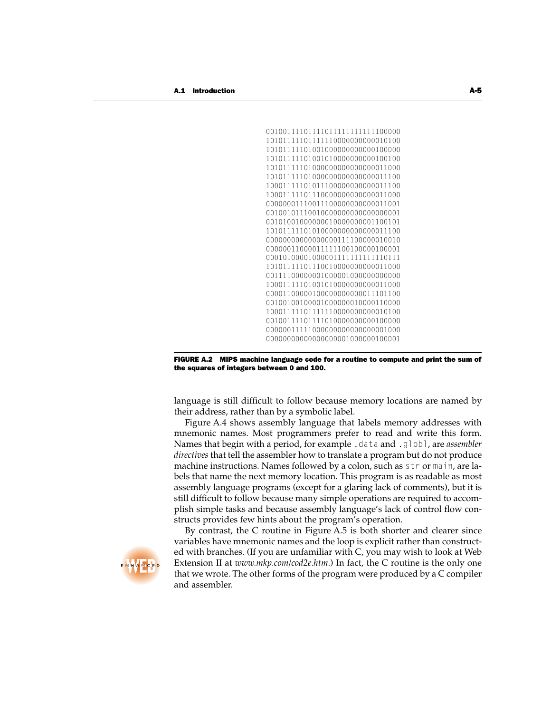

FIGURE A.2 MIPS machine language code for a routine to compute and print the sum of the squares of integers between 0 and 100.

language is still difficult to follow because memory locations are named by their address, rather than by a symbolic label.

Figure A.4 shows assembly language that labels memory addresses with mnemonic names. Most programmers prefer to read and write this form. Names that begin with a period, for example .data and .globl, are *assembler directives* that tell the assembler how to translate a program but do not produce machine instructions. Names followed by a colon, such as str or main, are labels that name the next memory location. This program is as readable as most assembly language programs (except for a glaring lack of comments), but it is still difficult to follow because many simple operations are required to accomplish simple tasks and because assembly language's lack of control flow constructs provides few hints about the program's operation.

By contrast, the C routine in Figure A.5 is both shorter and clearer since variables have mnemonic names and the loop is explicit rather than constructed with branches. (If you are unfamiliar with C, you may wish to look at Web Extension II at *www.mkp.com/cod2e.htm.*) In fact, the C routine is the only one that we wrote. The other forms of the program were produced by a C compiler and assembler.

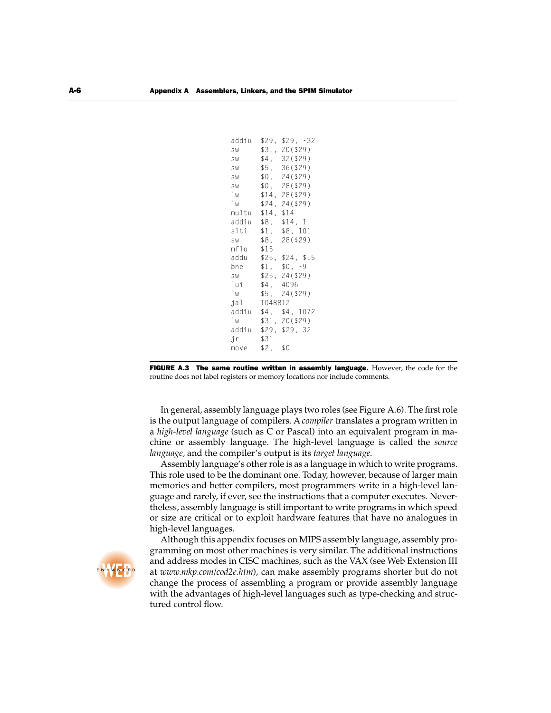```
addiu $29, $29, -32
sw $31, 20($29)
sw $4, 32($29)
sw $5, 36($29)
sw $0, 24($29)
sw $0, 28($29)
lw $14, 28($29)
lw $24, 24($29)
multu $14, $14
addiu $8, $14, 1
slti $1, $8, 101
sw $8, 28($29)
mflo $15
addu $25, $24, $15
bne$1, $0, -9
sw $25, 24($29)
lui $4, 4096
lw $5, 24($29)
jal 1048812
addiu $4, $4, 1072
lw $31, 20($29)
addiu $29, $29, 32
jr $31
move $2, $0
```
FIGURE A.3 The same routine written in assembly language. However, the code for the routine does not label registers or memory locations nor include comments.

In general, assembly language plays two roles (see Figure A.6). The first role is the output language of compilers. A *compiler* translates a program written in a *high-level language* (such as C or Pascal) into an equivalent program in machine or assembly language. The high-level language is called the *source language,* and the compiler's output is its *target language*.

Assembly language's other role is as a language in which to write programs. This role used to be the dominant one. Today, however, because of larger main memories and better compilers, most programmers write in a high-level language and rarely, if ever, see the instructions that a computer executes. Nevertheless, assembly language is still important to write programs in which speed or size are critical or to exploit hardware features that have no analogues in high-level languages.



Although this appendix focuses on MIPS assembly language, assembly programming on most other machines is very similar. The additional instructions and address modes in CISC machines, such as the VAX (see Web Extension III at *www.mkp.com/cod2e.htm*), can make assembly programs shorter but do not change the process of assembling a program or provide assembly language with the advantages of high-level languages such as type-checking and structured control flow.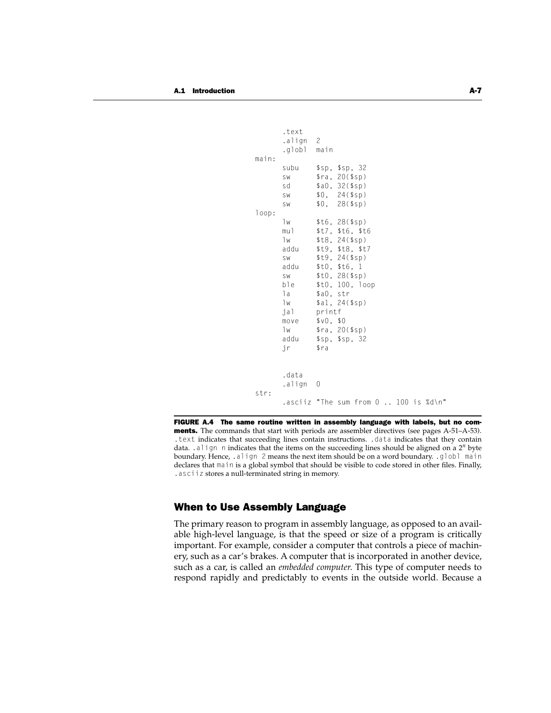```
.text
     .align 2
     .globl main
main:
     subu $sp, $sp, 32
     sw $ra, 20($sp)
     sd $a0, 32($sp)
     sw $0, 24($sp)
     sw $0, 28($sp)
loop:
     lw $t6, 28($sp)
     mul $t7, $t6, $t6
     lw $t8, 24($sp)
     addu $t9, $t8, $t7
     sw $t9, 24($sp)<br>addu $t0. $t6. 1
            $t0, $t6, 1sw $t0, 28($sp)
     ble $t0, 100, loop
     la $a0, str
     lw $a1, 24($sp)
     jal printf
     move $v0, $0lw $ra, 20($sp)
     addu $sp, $sp, 32
     jr $ra
     .data
     .align 0
str:
     .asciiz "The sum from 0 .. 100 is %d\n"
```
FIGURE A.4 The same routine written in assembly language with labels, but no comments. The commands that start with periods are assembler directives (see pages A-51-A-53). .text indicates that succeeding lines contain instructions. .data indicates that they contain data. .align n indicates that the items on the succeeding lines should be aligned on a 2*n* byte boundary. Hence, .align 2 means the next item should be on a word boundary. .globl main declares that main is a global symbol that should be visible to code stored in other files. Finally, .asciiz stores a null-terminated string in memory.

### When to Use Assembly Language

The primary reason to program in assembly language, as opposed to an available high-level language, is that the speed or size of a program is critically important. For example, consider a computer that controls a piece of machinery, such as a car's brakes. A computer that is incorporated in another device, such as a car, is called an *embedded computer*. This type of computer needs to respond rapidly and predictably to events in the outside world. Because a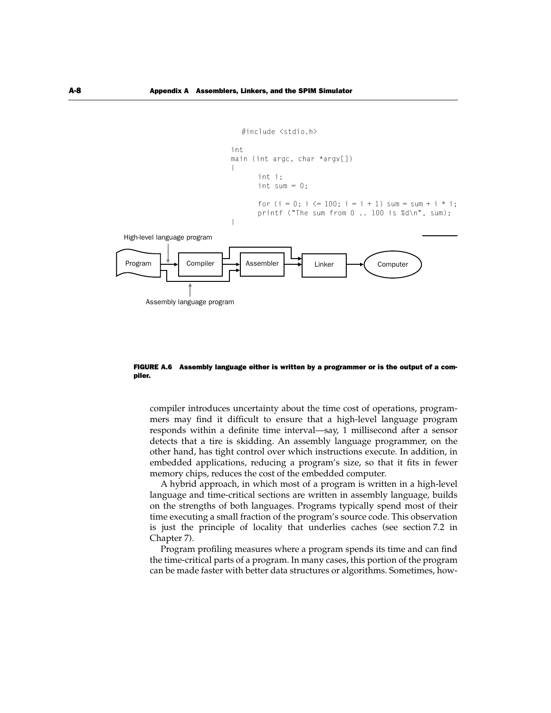

#### FIGURE A.6 Assembly language either is written by a programmer or is the output of a compiler.

compiler introduces uncertainty about the time cost of operations, programmers may find it difficult to ensure that a high-level language program responds within a definite time interval—say, 1 millisecond after a sensor detects that a tire is skidding. An assembly language programmer, on the other hand, has tight control over which instructions execute. In addition, in embedded applications, reducing a program's size, so that it fits in fewer memory chips, reduces the cost of the embedded computer.

A hybrid approach, in which most of a program is written in a high-level language and time-critical sections are written in assembly language, builds on the strengths of both languages. Programs typically spend most of their time executing a small fraction of the program's source code. This observation is just the principle of locality that underlies caches (see section 7.2 in Chapter 7).

Program profiling measures where a program spends its time and can find the time-critical parts of a program. In many cases, this portion of the program can be made faster with better data structures or algorithms. Sometimes, how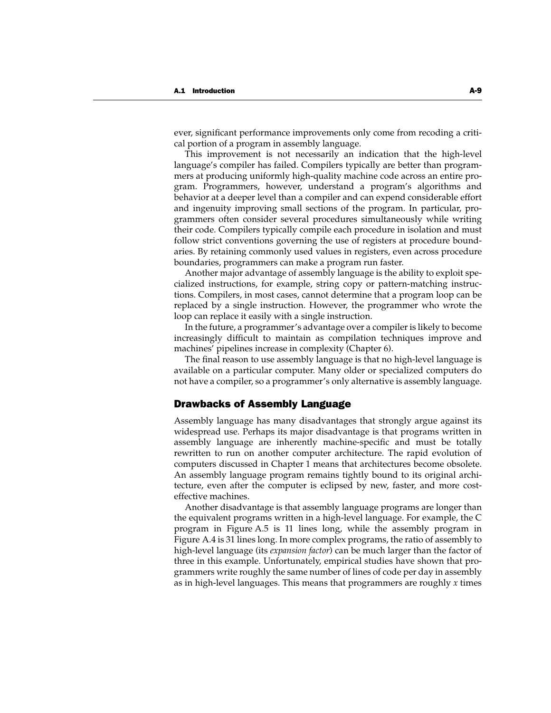ever, significant performance improvements only come from recoding a critical portion of a program in assembly language.

This improvement is not necessarily an indication that the high-level language's compiler has failed. Compilers typically are better than programmers at producing uniformly high-quality machine code across an entire program. Programmers, however, understand a program's algorithms and behavior at a deeper level than a compiler and can expend considerable effort and ingenuity improving small sections of the program. In particular, programmers often consider several procedures simultaneously while writing their code. Compilers typically compile each procedure in isolation and must follow strict conventions governing the use of registers at procedure boundaries. By retaining commonly used values in registers, even across procedure boundaries, programmers can make a program run faster.

Another major advantage of assembly language is the ability to exploit specialized instructions, for example, string copy or pattern-matching instructions. Compilers, in most cases, cannot determine that a program loop can be replaced by a single instruction. However, the programmer who wrote the loop can replace it easily with a single instruction.

In the future, a programmer's advantage over a compiler is likely to become increasingly difficult to maintain as compilation techniques improve and machines' pipelines increase in complexity (Chapter 6).

The final reason to use assembly language is that no high-level language is available on a particular computer. Many older or specialized computers do not have a compiler, so a programmer's only alternative is assembly language.

### Drawbacks of Assembly Language

Assembly language has many disadvantages that strongly argue against its widespread use. Perhaps its major disadvantage is that programs written in assembly language are inherently machine-specific and must be totally rewritten to run on another computer architecture. The rapid evolution of computers discussed in Chapter 1 means that architectures become obsolete. An assembly language program remains tightly bound to its original architecture, even after the computer is eclipsed by new, faster, and more costeffective machines.

Another disadvantage is that assembly language programs are longer than the equivalent programs written in a high-level language. For example, the C program in Figure A.5 is 11 lines long, while the assembly program in Figure A.4 is 31 lines long. In more complex programs, the ratio of assembly to high-level language (its *expansion factor*) can be much larger than the factor of three in this example. Unfortunately, empirical studies have shown that programmers write roughly the same number of lines of code per day in assembly as in high-level languages. This means that programmers are roughly *x* times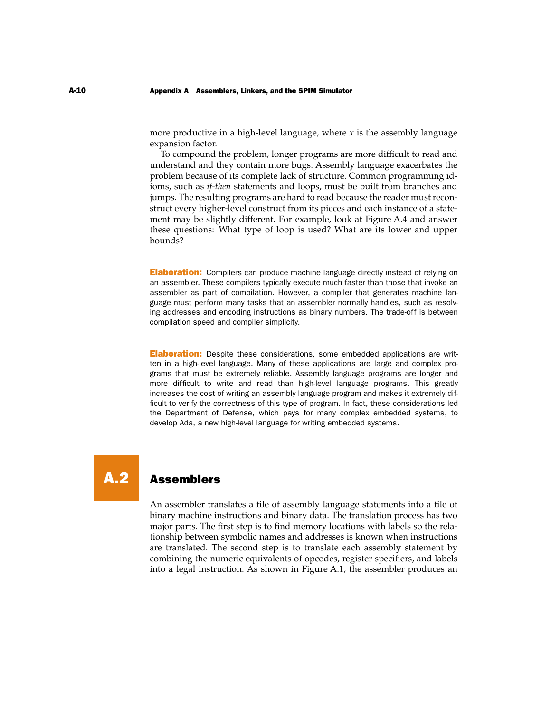more productive in a high-level language, where *x* is the assembly language expansion factor.

To compound the problem, longer programs are more difficult to read and understand and they contain more bugs. Assembly language exacerbates the problem because of its complete lack of structure. Common programming idioms, such as *if-then* statements and loops, must be built from branches and jumps. The resulting programs are hard to read because the reader must reconstruct every higher-level construct from its pieces and each instance of a statement may be slightly different. For example, look at Figure A.4 and answer these questions: What type of loop is used? What are its lower and upper bounds?

**Elaboration:** Compilers can produce machine language directly instead of relying on an assembler. These compilers typically execute much faster than those that invoke an assembler as part of compilation. However, a compiler that generates machine language must perform many tasks that an assembler normally handles, such as resolving addresses and encoding instructions as binary numbers. The trade-off is between compilation speed and compiler simplicity.

**Elaboration:** Despite these considerations, some embedded applications are written in a high-level language. Many of these applications are large and complex programs that must be extremely reliable. Assembly language programs are longer and more difficult to write and read than high-level language programs. This greatly increases the cost of writing an assembly language program and makes it extremely difficult to verify the correctness of this type of program. In fact, these considerations led the Department of Defense, which pays for many complex embedded systems, to develop Ada, a new high-level language for writing embedded systems.

### **Assemblers**

An assembler translates a file of assembly language statements into a file of binary machine instructions and binary data. The translation process has two major parts. The first step is to find memory locations with labels so the relationship between symbolic names and addresses is known when instructions are translated. The second step is to translate each assembly statement by combining the numeric equivalents of opcodes, register specifiers, and labels into a legal instruction. As shown in Figure A.1, the assembler produces an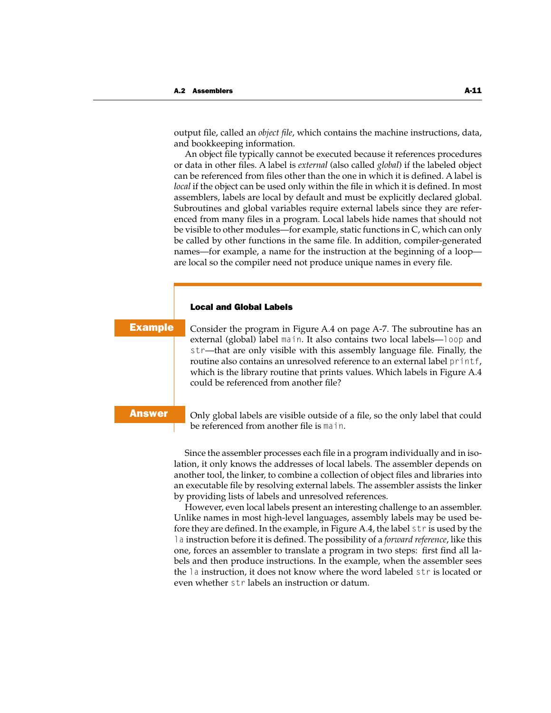output file, called an *object file*, which contains the machine instructions, data, and bookkeeping information.

An object file typically cannot be executed because it references procedures or data in other files. A label is *external* (also called *global*) if the labeled object can be referenced from files other than the one in which it is defined. A label is *local* if the object can be used only within the file in which it is defined. In most assemblers, labels are local by default and must be explicitly declared global. Subroutines and global variables require external labels since they are referenced from many files in a program. Local labels hide names that should not be visible to other modules—for example, static functions in C, which can only be called by other functions in the same file. In addition, compiler-generated names—for example, a name for the instruction at the beginning of a loop are local so the compiler need not produce unique names in every file.

#### Local and Global Labels

Consider the program in Figure A.4 on page A-7. The subroutine has an external (global) label main. It also contains two local labels—loop and str—that are only visible with this assembly language file. Finally, the routine also contains an unresolved reference to an external label  $printf$ , which is the library routine that prints values. Which labels in Figure A.4 could be referenced from another file? Example

#### Answer

Only global labels are visible outside of a file, so the only label that could be referenced from another file is main.

Since the assembler processes each file in a program individually and in isolation, it only knows the addresses of local labels. The assembler depends on another tool, the linker, to combine a collection of object files and libraries into an executable file by resolving external labels. The assembler assists the linker by providing lists of labels and unresolved references.

However, even local labels present an interesting challenge to an assembler. Unlike names in most high-level languages, assembly labels may be used before they are defined. In the example, in Figure A.4, the label str is used by the la instruction before it is defined. The possibility of a *forward reference*, like this one, forces an assembler to translate a program in two steps: first find all labels and then produce instructions. In the example, when the assembler sees the la instruction, it does not know where the word labeled str is located or even whether str labels an instruction or datum.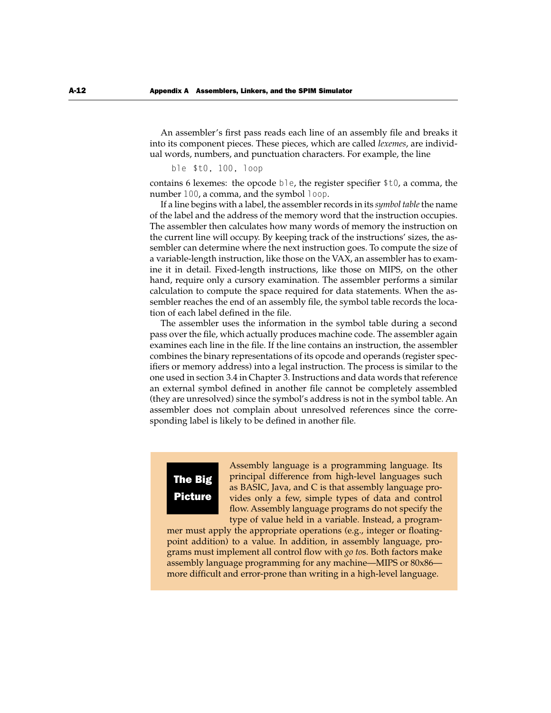An assembler's first pass reads each line of an assembly file and breaks it into its component pieces. These pieces, which are called *lexemes*, are individual words, numbers, and punctuation characters. For example, the line

ble \$t0, 100, loop

contains 6 lexemes: the opcode ble, the register specifier  $$t0$ , a comma, the number 100, a comma, and the symbol  $\log$ .

If a line begins with a label, the assembler records in its *symbol table* the name of the label and the address of the memory word that the instruction occupies. The assembler then calculates how many words of memory the instruction on the current line will occupy. By keeping track of the instructions' sizes, the assembler can determine where the next instruction goes. To compute the size of a variable-length instruction, like those on the VAX, an assembler has to examine it in detail. Fixed-length instructions, like those on MIPS, on the other hand, require only a cursory examination. The assembler performs a similar calculation to compute the space required for data statements. When the assembler reaches the end of an assembly file, the symbol table records the location of each label defined in the file.

The assembler uses the information in the symbol table during a second pass over the file, which actually produces machine code. The assembler again examines each line in the file. If the line contains an instruction, the assembler combines the binary representations of its opcode and operands (register specifiers or memory address) into a legal instruction. The process is similar to the one used in section 3.4 in Chapter 3. Instructions and data words that reference an external symbol defined in another file cannot be completely assembled (they are unresolved) since the symbol's address is not in the symbol table. An assembler does not complain about unresolved references since the corresponding label is likely to be defined in another file.

### The Big Picture

Assembly language is a programming language. Its principal difference from high-level languages such as BASIC, Java, and C is that assembly language provides only a few, simple types of data and control flow. Assembly language programs do not specify the type of value held in a variable. Instead, a program-

mer must apply the appropriate operations (e.g., integer or floatingpoint addition) to a value. In addition, in assembly language, programs must implement all control flow with *go to*s. Both factors make assembly language programming for any machine—MIPS or 80x86 more difficult and error-prone than writing in a high-level language.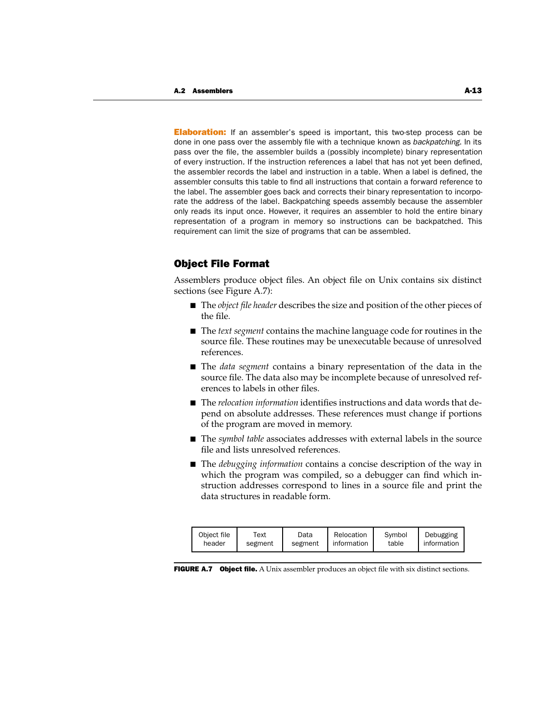**Elaboration:** If an assembler's speed is important, this two-step process can be done in one pass over the assembly file with a technique known as *backpatching*. In its pass over the file, the assembler builds a (possibly incomplete) binary representation of every instruction. If the instruction references a label that has not yet been defined, the assembler records the label and instruction in a table. When a label is defined, the assembler consults this table to find all instructions that contain a forward reference to the label. The assembler goes back and corrects their binary representation to incorporate the address of the label. Backpatching speeds assembly because the assembler only reads its input once. However, it requires an assembler to hold the entire binary representation of a program in memory so instructions can be backpatched. This requirement can limit the size of programs that can be assembled.

### Object File Format

Assemblers produce object files. An object file on Unix contains six distinct sections (see Figure A.7):

- The *object file header* describes the size and position of the other pieces of the file.
- The *text segment* contains the machine language code for routines in the source file. These routines may be unexecutable because of unresolved references.
- The *data segment* contains a binary representation of the data in the source file. The data also may be incomplete because of unresolved references to labels in other files.
- The *relocation information* identifies instructions and data words that depend on absolute addresses. These references must change if portions of the program are moved in memory.
- The *symbol table* associates addresses with external labels in the source file and lists unresolved references.
- The *debugging information* contains a concise description of the way in which the program was compiled, so a debugger can find which instruction addresses correspond to lines in a source file and print the data structures in readable form.



FIGURE A.7 Object file. A Unix assembler produces an object file with six distinct sections.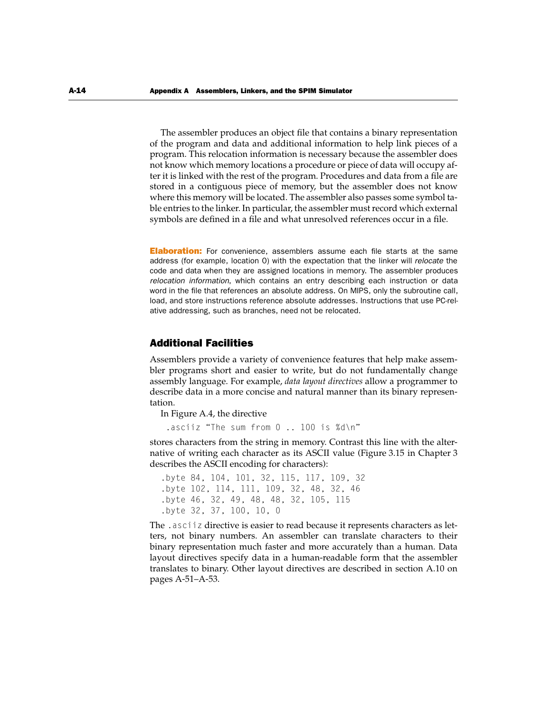The assembler produces an object file that contains a binary representation of the program and data and additional information to help link pieces of a program. This relocation information is necessary because the assembler does not know which memory locations a procedure or piece of data will occupy after it is linked with the rest of the program. Procedures and data from a file are stored in a contiguous piece of memory, but the assembler does not know where this memory will be located. The assembler also passes some symbol table entries to the linker. In particular, the assembler must record which external symbols are defined in a file and what unresolved references occur in a file.

**Elaboration:** For convenience, assemblers assume each file starts at the same address (for example, location 0) with the expectation that the linker will *relocate* the code and data when they are assigned locations in memory. The assembler produces *relocation information*, which contains an entry describing each instruction or data word in the file that references an absolute address. On MIPS, only the subroutine call, load, and store instructions reference absolute addresses. Instructions that use PC-relative addressing, such as branches, need not be relocated.

### Additional Facilities

Assemblers provide a variety of convenience features that help make assembler programs short and easier to write, but do not fundamentally change assembly language. For example, *data layout directives* allow a programmer to describe data in a more concise and natural manner than its binary representation.

In Figure A.4, the directive

.asciiz "The sum from 0 .. 100 is %d\n"

stores characters from the string in memory. Contrast this line with the alternative of writing each character as its ASCII value (Figure 3.15 in Chapter 3 describes the ASCII encoding for characters):

```
.byte 84, 104, 101, 32, 115, 117, 109, 32
.byte 102, 114, 111, 109, 32, 48, 32, 46
.byte 46, 32, 49, 48, 48, 32, 105, 115
.byte 32, 37, 100, 10, 0
```
The .asciiz directive is easier to read because it represents characters as letters, not binary numbers. An assembler can translate characters to their binary representation much faster and more accurately than a human. Data layout directives specify data in a human-readable form that the assembler translates to binary. Other layout directives are described in section A.10 on pages A-51–A-53.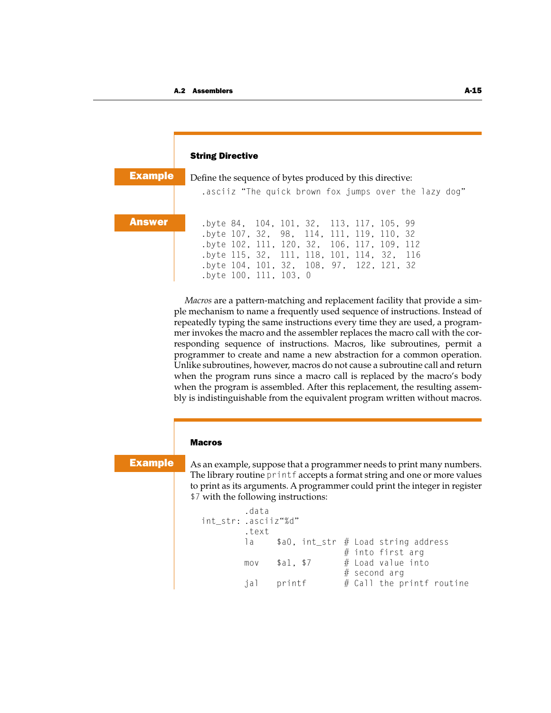|                | <b>String Directive</b>                                  |
|----------------|----------------------------------------------------------|
| <b>Example</b> | Define the sequence of bytes produced by this directive: |
|                | .asciiz "The quick brown fox jumps over the lazy dog"    |
|                |                                                          |
| <b>Answer</b>  | .byte 84, 104, 101, 32, 113, 117, 105, 99                |
|                | .byte 107, 32, 98, 114, 111, 119, 110, 32                |
|                | .byte 102, 111, 120, 32, 106, 117, 109, 112              |
|                | .byte 115, 32, 111, 118, 101, 114, 32, 116               |
|                | byte 104, 101, 32, 108, 97, 122, 121, 32                 |
|                | .byte 100, 111, 103, 0                                   |

*Macros* are a pattern-matching and replacement facility that provide a simple mechanism to name a frequently used sequence of instructions. Instead of repeatedly typing the same instructions every time they are used, a programmer invokes the macro and the assembler replaces the macro call with the corresponding sequence of instructions. Macros, like subroutines, permit a programmer to create and name a new abstraction for a common operation. Unlike subroutines, however, macros do not cause a subroutine call and return when the program runs since a macro call is replaced by the macro's body when the program is assembled. After this replacement, the resulting assembly is indistinguishable from the equivalent program written without macros.

#### Macros

#### Example

As an example, suppose that a programmer needs to print many numbers. The library routine printf accepts a format string and one or more values to print as its arguments. A programmer could print the integer in register \$7 with the following instructions:

```
.data
int_str: .asciiz"%d"
        .text
        la $a0, int_str # Load string address
                           # into first arg
        mov \text{Sal}, $7 # Load value into
                           # second arg
        jal printf \# Call the printf routine
```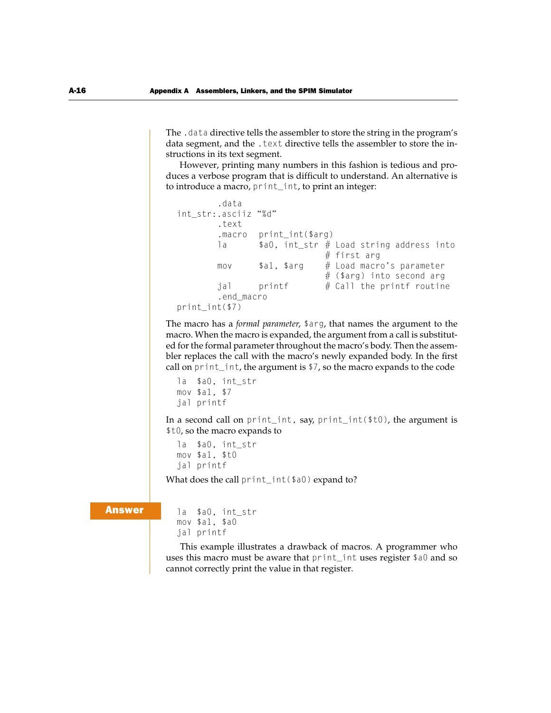The .data directive tells the assembler to store the string in the program's data segment, and the .text directive tells the assembler to store the instructions in its text segment.

 However, printing many numbers in this fashion is tedious and produces a verbose program that is difficult to understand. An alternative is to introduce a macro, print\_int, to print an integer:

```
.data
int_str:.asciiz "%d"
       .text
       .macro print_int($arg)
       la $a0, int_str # Load string address into
                           # first arg
       mov $a1, $arg # Load macro's parameter
                           # ($arg) into second arg
       jal printf # Call the printf routine
       .end_macro
print_int($7)
```
The macro has a *formal parameter*, \$arg, that names the argument to the macro. When the macro is expanded, the argument from a call is substituted for the formal parameter throughout the macro's body. Then the assembler replaces the call with the macro's newly expanded body. In the first call on print\_int, the argument is \$7, so the macro expands to the code

```
la $a0, int_str
mov $a1, $7
jal printf
```
In a second call on print\_int, say, print\_int(\$t0), the argument is \$t0, so the macro expands to

```
la $a0, int_str 
mov $a1, $t0 
jal printf
```
What does the call  $print\_int$ (\$a0) expand to?

### Answer

```
la $a0, int_str 
mov $a1, $a0 
jal printf
```
 This example illustrates a drawback of macros. A programmer who uses this macro must be aware that print\_int uses register \$a0 and so cannot correctly print the value in that register.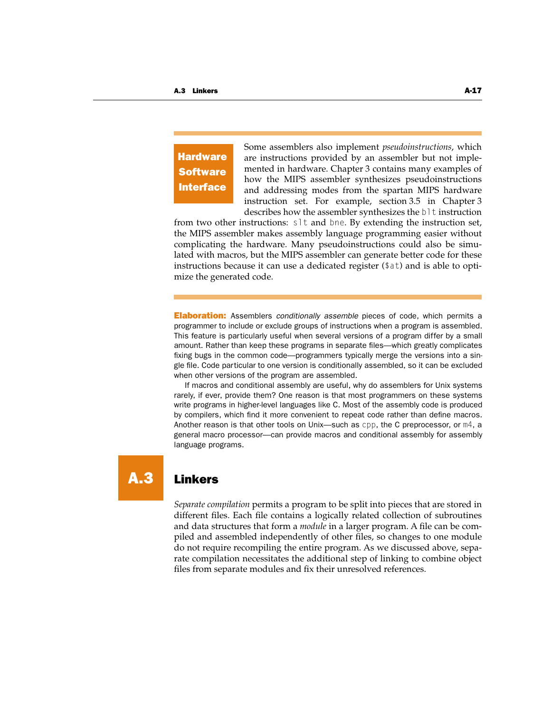### **Hardware Software** Interface

Some assemblers also implement *pseudoinstructions*, which are instructions provided by an assembler but not implemented in hardware. Chapter 3 contains many examples of how the MIPS assembler synthesizes pseudoinstructions and addressing modes from the spartan MIPS hardware instruction set. For example, section 3.5 in Chapter 3 describes how the assembler synthesizes the  $b$ 1t instruction

from two other instructions: slt and bne. By extending the instruction set, the MIPS assembler makes assembly language programming easier without complicating the hardware. Many pseudoinstructions could also be simulated with macros, but the MIPS assembler can generate better code for these instructions because it can use a dedicated register (\$at) and is able to optimize the generated code.

Elaboration: Assemblers *conditionally assemble* pieces of code, which permits a programmer to include or exclude groups of instructions when a program is assembled. This feature is particularly useful when several versions of a program differ by a small amount. Rather than keep these programs in separate files—which greatly complicates fixing bugs in the common code—programmers typically merge the versions into a single file. Code particular to one version is conditionally assembled, so it can be excluded when other versions of the program are assembled.

If macros and conditional assembly are useful, why do assemblers for Unix systems rarely, if ever, provide them? One reason is that most programmers on these systems write programs in higher-level languages like C. Most of the assembly code is produced by compilers, which find it more convenient to repeat code rather than define macros. Another reason is that other tools on Unix—such as cpp, the C preprocessor, or m4, a general macro processor—can provide macros and conditional assembly for assembly language programs.

## **A.3** Linkers **A.3**

*Separate compilation* permits a program to be split into pieces that are stored in different files. Each file contains a logically related collection of subroutines and data structures that form a *module* in a larger program. A file can be compiled and assembled independently of other files, so changes to one module do not require recompiling the entire program. As we discussed above, separate compilation necessitates the additional step of linking to combine object files from separate modules and fix their unresolved references.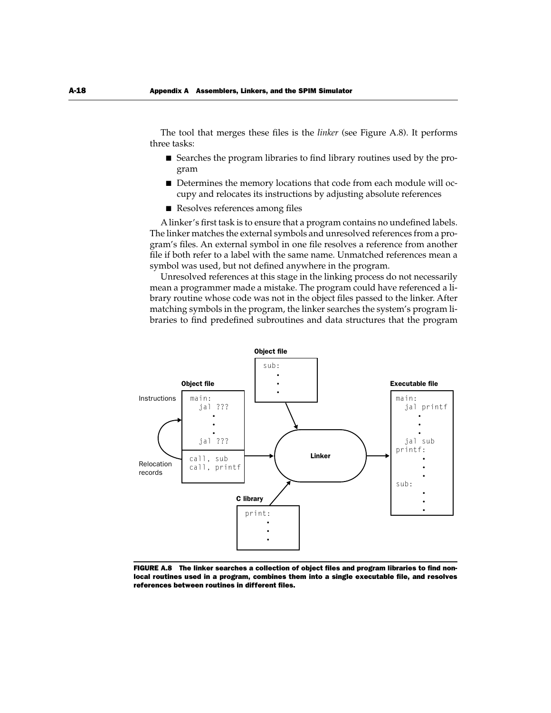The tool that merges these files is the *linker* (see Figure A.8). It performs three tasks:

- Searches the program libraries to find library routines used by the program
- Determines the memory locations that code from each module will occupy and relocates its instructions by adjusting absolute references
- Resolves references among files

A linker's first task is to ensure that a program contains no undefined labels. The linker matches the external symbols and unresolved references from a program's files. An external symbol in one file resolves a reference from another file if both refer to a label with the same name. Unmatched references mean a symbol was used, but not defined anywhere in the program.

Unresolved references at this stage in the linking process do not necessarily mean a programmer made a mistake. The program could have referenced a library routine whose code was not in the object files passed to the linker. After matching symbols in the program, the linker searches the system's program libraries to find predefined subroutines and data structures that the program



FIGURE A.8 The linker searches a collection of object files and program libraries to find nonlocal routines used in a program, combines them into a single executable file, and resolves references between routines in different files.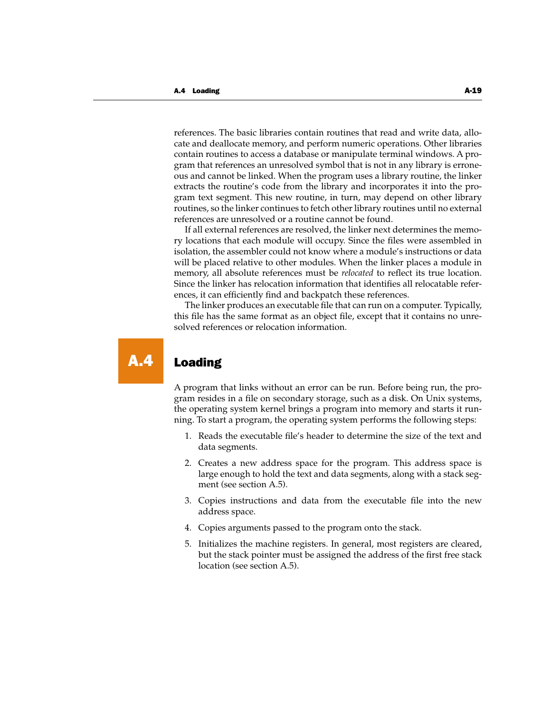references. The basic libraries contain routines that read and write data, allocate and deallocate memory, and perform numeric operations. Other libraries contain routines to access a database or manipulate terminal windows. A program that references an unresolved symbol that is not in any library is erroneous and cannot be linked. When the program uses a library routine, the linker extracts the routine's code from the library and incorporates it into the program text segment. This new routine, in turn, may depend on other library routines, so the linker continues to fetch other library routines until no external references are unresolved or a routine cannot be found.

If all external references are resolved, the linker next determines the memory locations that each module will occupy. Since the files were assembled in isolation, the assembler could not know where a module's instructions or data will be placed relative to other modules. When the linker places a module in memory, all absolute references must be *relocated* to reflect its true location. Since the linker has relocation information that identifies all relocatable references, it can efficiently find and backpatch these references.

The linker produces an executable file that can run on a computer. Typically, this file has the same format as an object file, except that it contains no unresolved references or relocation information.

### A.4 Loading A.4

A program that links without an error can be run. Before being run, the program resides in a file on secondary storage, such as a disk. On Unix systems, the operating system kernel brings a program into memory and starts it running. To start a program, the operating system performs the following steps:

- 1. Reads the executable file's header to determine the size of the text and data segments.
- 2. Creates a new address space for the program. This address space is large enough to hold the text and data segments, along with a stack segment (see section A.5).
- 3. Copies instructions and data from the executable file into the new address space.
- 4. Copies arguments passed to the program onto the stack.
- 5. Initializes the machine registers. In general, most registers are cleared, but the stack pointer must be assigned the address of the first free stack location (see section A.5).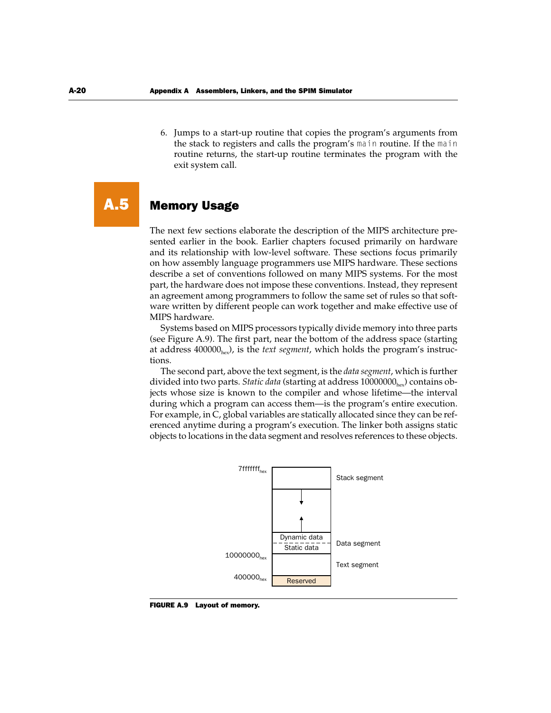6. Jumps to a start-up routine that copies the program's arguments from the stack to registers and calls the program's main routine. If the main routine returns, the start-up routine terminates the program with the exit system call.

### **A.5 Memory Usage**

The next few sections elaborate the description of the MIPS architecture presented earlier in the book. Earlier chapters focused primarily on hardware and its relationship with low-level software. These sections focus primarily on how assembly language programmers use MIPS hardware. These sections describe a set of conventions followed on many MIPS systems. For the most part, the hardware does not impose these conventions. Instead, they represent an agreement among programmers to follow the same set of rules so that software written by different people can work together and make effective use of MIPS hardware.

Systems based on MIPS processors typically divide memory into three parts (see Figure A.9). The first part, near the bottom of the address space (starting at address 400000hex), is the *text segment*, which holds the program's instructions.

The second part, above the text segment, is the *data segment*, which is further divided into two parts. *Static data* (starting at address 10000000<sub>hex</sub>) contains objects whose size is known to the compiler and whose lifetime—the interval during which a program can access them—is the program's entire execution. For example, in C, global variables are statically allocated since they can be referenced anytime during a program's execution. The linker both assigns static objects to locations in the data segment and resolves references to these objects.



FIGURE A.9 Layout of memory.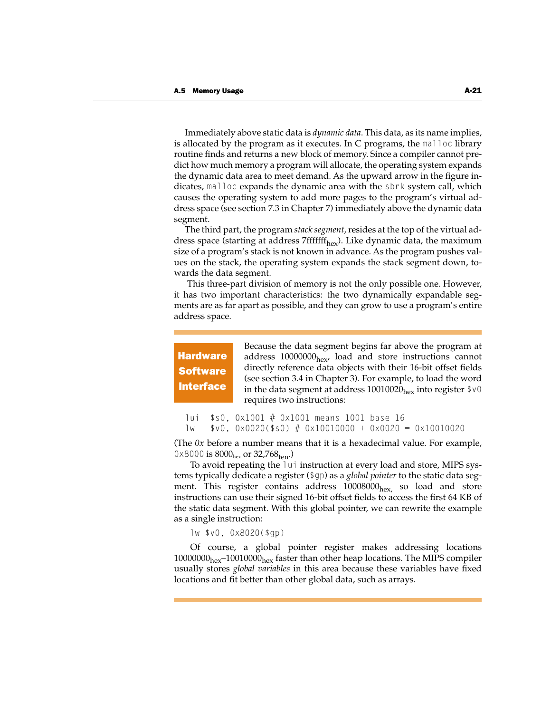Immediately above static data is *dynamic data*. This data, as its name implies, is allocated by the program as it executes. In C programs, the malloc library routine finds and returns a new block of memory. Since a compiler cannot predict how much memory a program will allocate, the operating system expands the dynamic data area to meet demand. As the upward arrow in the figure indicates, malloc expands the dynamic area with the sbrk system call, which causes the operating system to add more pages to the program's virtual address space (see section 7.3 in Chapter 7) immediately above the dynamic data segment.

The third part, the program *stack segment*, resides at the top of the virtual address space (starting at address 7fffffff<sub>hex</sub>). Like dynamic data, the maximum size of a program's stack is not known in advance. As the program pushes values on the stack, the operating system expands the stack segment down, towards the data segment.

 This three-part division of memory is not the only possible one. However, it has two important characteristics: the two dynamically expandable segments are as far apart as possible, and they can grow to use a program's entire address space.

### **Hardware Software** Interface

Because the data segment begins far above the program at address  $10000000<sub>hex</sub>$ , load and store instructions cannot directly reference data objects with their 16-bit offset fields (see section 3.4 in Chapter 3). For example, to load the word in the data segment at address  $10010020<sub>hex</sub>$  into register  $\sqrt[6]{}$ requires two instructions:

lui \$s0, 0x1001 # 0x1001 means 1001 base 16 lw \$v0, 0x0020(\$s0) # 0x10010000 + 0x0020 = 0x10010020

(The *0x* before a number means that it is a hexadecimal value. For example, 0x8000 is  $8000_{hex}$  or 32,768<sub>ten</sub>.)

To avoid repeating the lui instruction at every load and store, MIPS systems typically dedicate a register (\$gp) as a *global pointer* to the static data segment. This register contains address 10008000<sub>hex,</sub> so load and store instructions can use their signed 16-bit offset fields to access the first 64 KB of the static data segment. With this global pointer, we can rewrite the example as a single instruction:

lw \$v0, 0x8020(\$gp)

Of course, a global pointer register makes addressing locations 10000000hex–10010000hex faster than other heap locations. The MIPS compiler usually stores *global variables* in this area because these variables have fixed locations and fit better than other global data, such as arrays.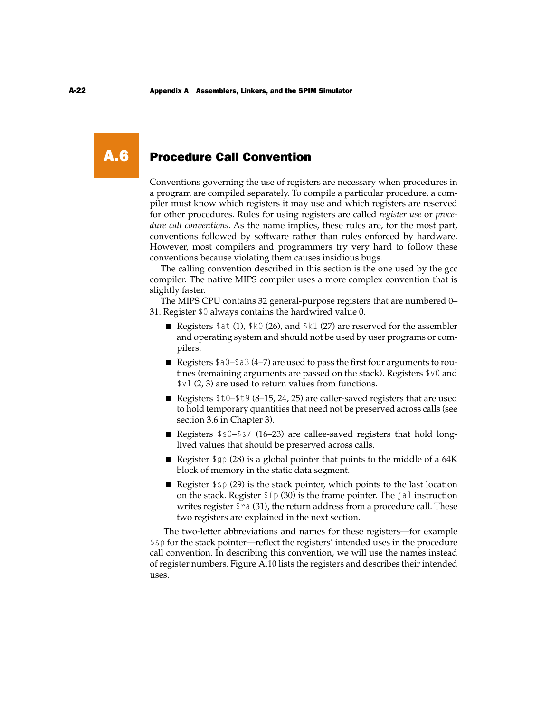### **A.6** Procedure Call Convention

Conventions governing the use of registers are necessary when procedures in a program are compiled separately. To compile a particular procedure, a compiler must know which registers it may use and which registers are reserved for other procedures. Rules for using registers are called *register use* or *procedure call conventions*. As the name implies, these rules are, for the most part, conventions followed by software rather than rules enforced by hardware. However, most compilers and programmers try very hard to follow these conventions because violating them causes insidious bugs.

The calling convention described in this section is the one used by the gcc compiler. The native MIPS compiler uses a more complex convention that is slightly faster.

The MIPS CPU contains 32 general-purpose registers that are numbered 0– 31. Register \$0 always contains the hardwired value 0.

- Registers \$at (1), \$k0 (26), and \$k1 (27) are reserved for the assembler and operating system and should not be used by user programs or compilers.
- Registers \$a0–\$a3 (4–7) are used to pass the first four arguments to routines (remaining arguments are passed on the stack). Registers \$v0 and  $\sqrt[6]{2}$  (2, 3) are used to return values from functions.
- **■** Registers  $\text{\$t0-$t9$}$  (8-15, 24, 25) are caller-saved registers that are used to hold temporary quantities that need not be preserved across calls (see section 3.6 in Chapter 3).
- Registers \$s0–\$s7 (16–23) are callee-saved registers that hold longlived values that should be preserved across calls.
- Register \$gp (28) is a global pointer that points to the middle of a 64K block of memory in the static data segment.
- Register \$sp (29) is the stack pointer, which points to the last location on the stack. Register  $\frac{1}{2}$  fp (30) is the frame pointer. The jal instruction writes register \$ra (31), the return address from a procedure call. These two registers are explained in the next section.

 The two-letter abbreviations and names for these registers—for example \$sp for the stack pointer—reflect the registers' intended uses in the procedure call convention. In describing this convention, we will use the names instead of register numbers. Figure A.10 lists the registers and describes their intended uses.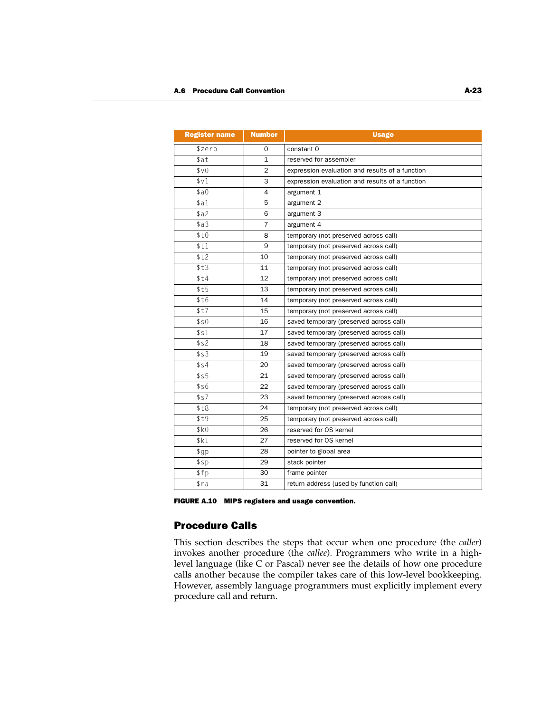| <b>Register name</b> | <b>Number</b>  | <b>Usage</b>                                    |  |
|----------------------|----------------|-------------------------------------------------|--|
| \$zero               | 0              | constant 0                                      |  |
| \$at                 | 1              | reserved for assembler                          |  |
| \$V0                 | $\overline{2}$ | expression evaluation and results of a function |  |
| \$v1                 | 3              | expression evaluation and results of a function |  |
| \$a0                 | 4              | argument 1                                      |  |
| \$a1                 | 5              | argument 2                                      |  |
| \$a2                 | 6              | argument 3                                      |  |
| \$a3                 | 7              | argument 4                                      |  |
| \$t0                 | 8              | temporary (not preserved across call)           |  |
| \$t1                 | 9              | temporary (not preserved across call)           |  |
| \$t2                 | 10             | temporary (not preserved across call)           |  |
| \$t3                 | 11             | temporary (not preserved across call)           |  |
| \$t4                 | 12             | temporary (not preserved across call)           |  |
| \$t5                 | 13             | temporary (not preserved across call)           |  |
| \$t6                 | 14             | temporary (not preserved across call)           |  |
| \$t7                 | 15             | temporary (not preserved across call)           |  |
| \$s0                 | 16             | saved temporary (preserved across call)         |  |
| \$s1                 | 17             | saved temporary (preserved across call)         |  |
| \$s2                 | 18             | saved temporary (preserved across call)         |  |
| \$s3                 | 19             | saved temporary (preserved across call)         |  |
| \$s4                 | 20             | saved temporary (preserved across call)         |  |
| \$s5                 | 21             | saved temporary (preserved across call)         |  |
| \$s6                 | 22             | saved temporary (preserved across call)         |  |
| \$s7                 | 23             | saved temporary (preserved across call)         |  |
| \$t8                 | 24             | temporary (not preserved across call)           |  |
| \$t.9                | 25             | temporary (not preserved across call)           |  |
| \$k0                 | 26             | reserved for OS kernel                          |  |
| \$k1                 | 27             | reserved for OS kernel                          |  |
| \$gp                 | 28             | pointer to global area                          |  |
| \$sp                 | 29             | stack pointer                                   |  |
| \$fp                 | 30             | frame pointer                                   |  |
| \$ra                 | 31             | return address (used by function call)          |  |

FIGURE A.10 MIPS registers and usage convention.

### Procedure Calls

This section describes the steps that occur when one procedure (the *caller*) invokes another procedure (the *callee*). Programmers who write in a highlevel language (like C or Pascal) never see the details of how one procedure calls another because the compiler takes care of this low-level bookkeeping. However, assembly language programmers must explicitly implement every procedure call and return.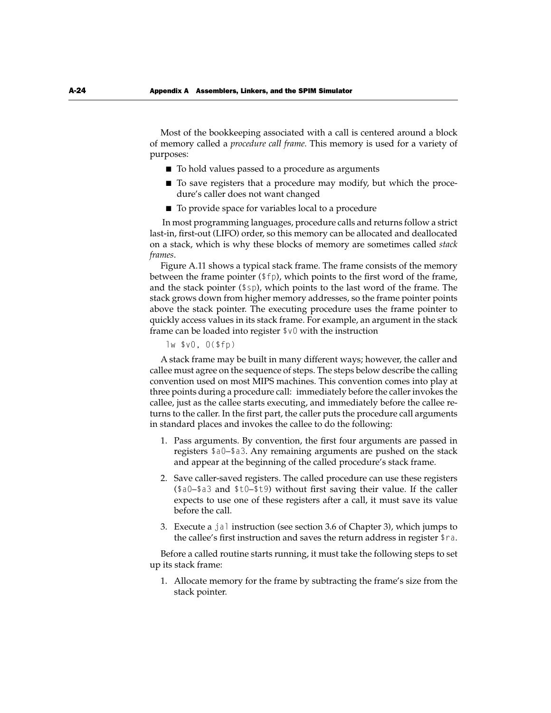Most of the bookkeeping associated with a call is centered around a block of memory called a *procedure call frame*. This memory is used for a variety of purposes:

- To hold values passed to a procedure as arguments
- To save registers that a procedure may modify, but which the procedure's caller does not want changed
- To provide space for variables local to a procedure

 In most programming languages, procedure calls and returns follow a strict last-in, first-out (LIFO) order, so this memory can be allocated and deallocated on a stack, which is why these blocks of memory are sometimes called *stack frames*.

Figure A.11 shows a typical stack frame. The frame consists of the memory between the frame pointer (\$fp), which points to the first word of the frame, and the stack pointer (\$sp), which points to the last word of the frame. The stack grows down from higher memory addresses, so the frame pointer points above the stack pointer. The executing procedure uses the frame pointer to quickly access values in its stack frame. For example, an argument in the stack frame can be loaded into register \$v0 with the instruction

lw \$v0, 0(\$fp)

A stack frame may be built in many different ways; however, the caller and callee must agree on the sequence of steps. The steps below describe the calling convention used on most MIPS machines. This convention comes into play at three points during a procedure call: immediately before the caller invokes the callee, just as the callee starts executing, and immediately before the callee returns to the caller. In the first part, the caller puts the procedure call arguments in standard places and invokes the callee to do the following:

- 1. Pass arguments. By convention, the first four arguments are passed in registers \$a0–\$a3. Any remaining arguments are pushed on the stack and appear at the beginning of the called procedure's stack frame.
- 2. Save caller-saved registers. The called procedure can use these registers (\$a0–\$a3 and \$t0–\$t9) without first saving their value. If the caller expects to use one of these registers after a call, it must save its value before the call.
- 3. Execute a jal instruction (see section 3.6 of Chapter 3), which jumps to the callee's first instruction and saves the return address in register \$ra.

Before a called routine starts running, it must take the following steps to set up its stack frame:

1. Allocate memory for the frame by subtracting the frame's size from the stack pointer.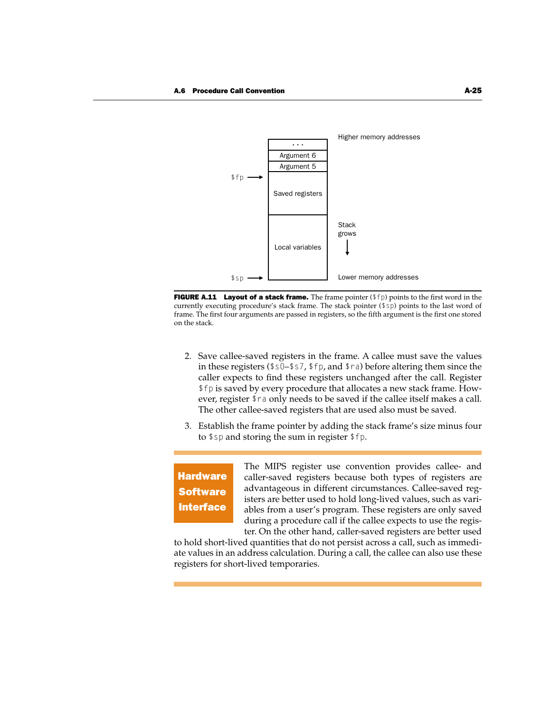

**FIGURE A.11 Layout of a stack frame.** The frame pointer ( $$fp$ ) points to the first word in the currently executing procedure's stack frame. The stack pointer (\$sp) points to the last word of frame. The first four arguments are passed in registers, so the fifth argument is the first one stored on the stack.

- 2. Save callee-saved registers in the frame. A callee must save the values in these registers (\$s0–\$s7, \$fp, and \$ra) before altering them since the caller expects to find these registers unchanged after the call. Register \$fp is saved by every procedure that allocates a new stack frame. However, register \$ra only needs to be saved if the callee itself makes a call. The other callee-saved registers that are used also must be saved.
- 3. Establish the frame pointer by adding the stack frame's size minus four to \$sp and storing the sum in register \$fp.

### **Hardware** Software Interface

The MIPS register use convention provides callee- and caller-saved registers because both types of registers are advantageous in different circumstances. Callee-saved registers are better used to hold long-lived values, such as variables from a user's program. These registers are only saved during a procedure call if the callee expects to use the register. On the other hand, caller-saved registers are better used

to hold short-lived quantities that do not persist across a call, such as immediate values in an address calculation. During a call, the callee can also use these registers for short-lived temporaries.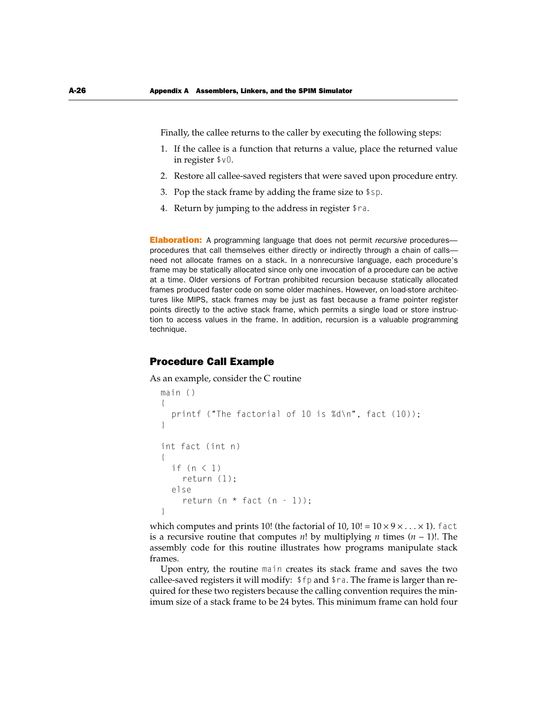Finally, the callee returns to the caller by executing the following steps:

- 1. If the callee is a function that returns a value, place the returned value in register \$v0.
- 2. Restore all callee-saved registers that were saved upon procedure entry.
- 3. Pop the stack frame by adding the frame size to \$sp.
- 4. Return by jumping to the address in register \$ra.

Elaboration: A programming language that does not permit *recursive* procedures procedures that call themselves either directly or indirectly through a chain of calls need not allocate frames on a stack. In a nonrecursive language, each procedure's frame may be statically allocated since only one invocation of a procedure can be active at a time. Older versions of Fortran prohibited recursion because statically allocated frames produced faster code on some older machines. However, on load-store architectures like MIPS, stack frames may be just as fast because a frame pointer register points directly to the active stack frame, which permits a single load or store instruction to access values in the frame. In addition, recursion is a valuable programming technique.

### Procedure Call Example

As an example, consider the C routine

```
main ()
{
  printf ("The factorial of 10 is %d\n", fact (10));
}
int fact (int n)
{
  if (n < 1)
    return (1);
  else
    return (n * fact (n - 1));
}
```
which computes and prints 10! (the factorial of 10, 10! =  $10 \times 9 \times ... \times 1$ ). fact is a recursive routine that computes *n*! by multiplying *n* times (*n* – 1)!. The assembly code for this routine illustrates how programs manipulate stack frames.

Upon entry, the routine main creates its stack frame and saves the two callee-saved registers it will modify: \$fp and \$ra. The frame is larger than required for these two registers because the calling convention requires the minimum size of a stack frame to be 24 bytes. This minimum frame can hold four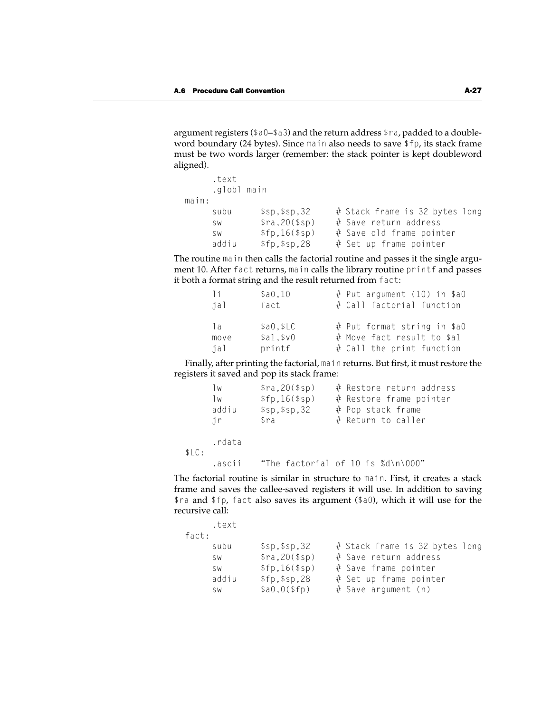argument registers (\$a0–\$a3) and the return address \$ra, padded to a doubleword boundary (24 bytes). Since main also needs to save \$fp, its stack frame must be two words larger (remember: the stack pointer is kept doubleword aligned).

```
.text
    .globl main
main:
    subu $sp,$sp,32 # Stack frame is 32 bytes long
    sw $ra,20($sp) # Save return address
    sw $fp,16($sp) # Save old frame pointer
    addiu $fp,$sp,28 # Set up frame pointer
```
The routine main then calls the factorial routine and passes it the single argument 10. After fact returns, main calls the library routine printf and passes it both a format string and the result returned from fact:

| li<br>jal | \$a0.10<br>fact | # Put argument $(10)$ in \$a0<br># Call factorial function |
|-----------|-----------------|------------------------------------------------------------|
| l a       | \$a0.\$LC       | # Put format string in \$a0                                |
| move      | $$a1.$ \$v0     | # Move fact result to \$a1                                 |
| jal       | printf          | # Call the print function                                  |

Finally, after printing the factorial, main returns. But first, it must restore the registers it saved and pop its stack frame:

|       | \$ra, 20 (\$sp)<br>1w<br>\$fp, 16 (\$sp)<br>1w<br>$$sp,$ $$sp,32$<br>addiu<br>\$ra<br>ir |  | # Restore return address<br># Restore frame pointer<br># Pop stack frame<br># Return to caller |  |  |
|-------|------------------------------------------------------------------------------------------|--|------------------------------------------------------------------------------------------------|--|--|
| \$IC: | .rdata<br>.ascii                                                                         |  | "The factorial of 10 is %d\n\000"                                                              |  |  |

The factorial routine is similar in structure to main. First, it creates a stack frame and saves the callee-saved registers it will use. In addition to saving \$ra and \$fp, fact also saves its argument (\$a0), which it will use for the recursive call:

|       | .text     |                   |                                |
|-------|-----------|-------------------|--------------------------------|
| fact: |           |                   |                                |
|       | subu      | $$sp,$ \$sp, $32$ | # Stack frame is 32 bytes long |
|       | S W       | \$ra, 20 (\$sp)   | # Save return address          |
|       | S W       | \$fp, 16 (\$sp)   | # Save frame pointer           |
|       | addiu     | \$fp, \$sp, 28    | # Set up frame pointer         |
|       | <b>SW</b> | $$a0,0($ \$fp $)$ | # Save argument $(n)$          |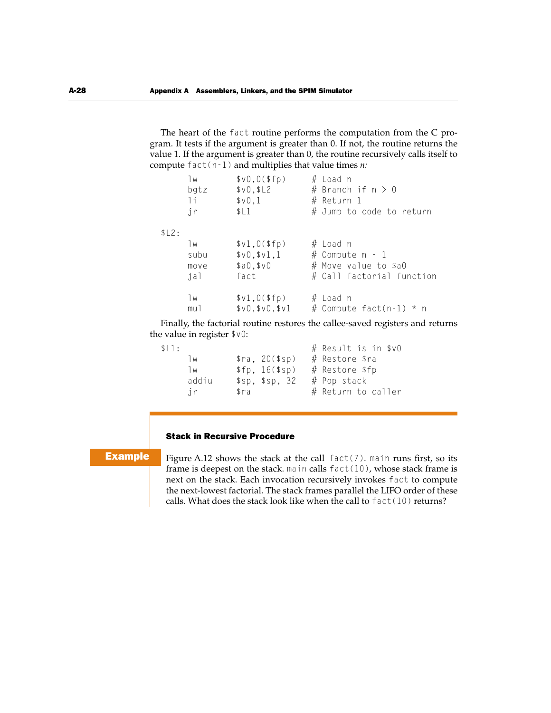The heart of the fact routine performs the computation from the C program. It tests if the argument is greater than 0. If not, the routine returns the value 1. If the argument is greater than 0, the routine recursively calls itself to compute fact(n-1) and multiplies that value times *n:*

|       | 1w   | \$v0, 0 (\$fp)   | # Load n                  |
|-------|------|------------------|---------------------------|
|       | bgtz | \$v0, \$L2       | # Branch if $n > 0$       |
|       | 1i   | \$v0,1           | ∦ Return 1                |
|       | jr   | \$L1             | # Jump to code to return  |
| \$L2: | 1w   | $$v1,0({$fp})$   | # Load n                  |
|       | subu | \$v0, sv1,1      | # Compute $n - 1$         |
|       | move | \$a0, \$v0       | # Move value to \$a0      |
|       | jal  | fact             | # Call factorial function |
|       | 1w   | \$v1,0(\$fp)     | # Load n                  |
|       | mul  | \$v0, \$v0, \$v1 | # Compute fact(n-1) $*$ n |

Finally, the factorial routine restores the callee-saved registers and returns the value in register  $\sqrt[6]{}$  v $\sqrt[6]{}$ .

\$L1:  $\#$  Result is in \$v0 lw  $\text{Im. } 20(\text{Ssp})$  # Restore \$ra lw \$fp, 16(\$sp) # Restore \$fp addiu  $$sp, $sp, 32$  # Pop stack jr \$ra # Return to caller

### Stack in Recursive Procedure

Example

Figure A.12 shows the stack at the call fact(7). main runs first, so its frame is deepest on the stack. main calls fact(10), whose stack frame is next on the stack. Each invocation recursively invokes fact to compute the next-lowest factorial. The stack frames parallel the LIFO order of these calls. What does the stack look like when the call to fact(10) returns?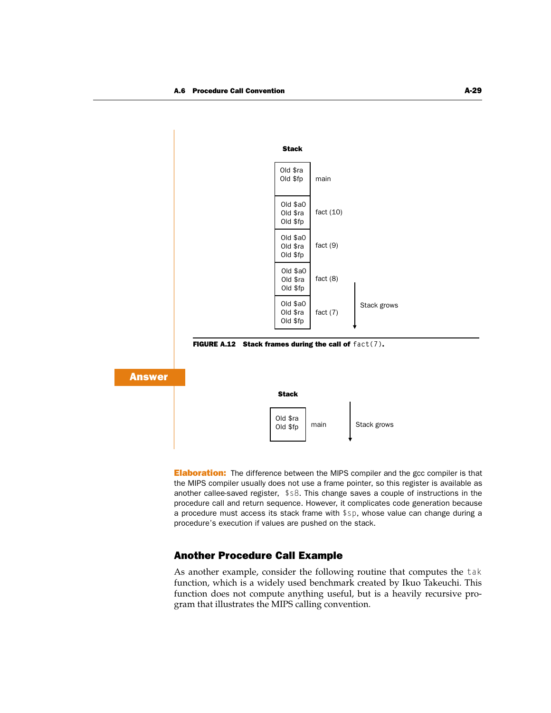

FIGURE A.12 Stack frames during the call of **fact(7)**.

Stack

Old \$ra Old \$fp





Stack grows

main

another callee-saved register, \$s8. This change saves a couple of instructions in the procedure call and return sequence. However, it complicates code generation because a procedure must access its stack frame with \$sp, whose value can change during a procedure's execution if values are pushed on the stack.

### Another Procedure Call Example

As another example, consider the following routine that computes the tak function, which is a widely used benchmark created by Ikuo Takeuchi. This function does not compute anything useful, but is a heavily recursive program that illustrates the MIPS calling convention.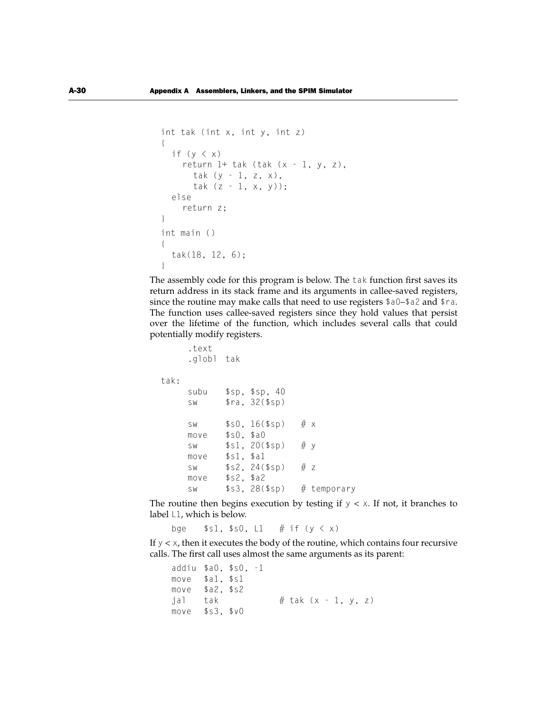```
int tak (int x, int y, int z)
{
  if (y < x)return 1+ tak (tak (x - 1, y, z),
      tak (y - 1, z, x),
      tak (z - 1, x, y);
  else
    return z;
}
int main ()
{
  tak(18, 12, 6);
}
```
The assembly code for this program is below. The tak function first saves its return address in its stack frame and its arguments in callee-saved registers, since the routine may make calls that need to use registers \$a0–\$a2 and \$ra. The function uses callee-saved registers since they hold values that persist over the lifetime of the function, which includes several calls that could potentially modify registers.

```
.text
    .globl tak
tak:
    subu $sp, $sp, 40
    sw $ra, 32($sp)
    sw $s0, 16(ssp) # x
    move $s0, $a0sw $s1, 20($sp) # y
    move $s1, $a1sw $s2, 24($sp) # z
    move $s2, $a2sw $s3, 28($sp) # temporary
```
The routine then begins execution by testing if  $y < x$ . If not, it branches to label L1, which is below.

bge  $$s1, $s0, L1 \# \text{if } (y < x)$ 

If  $y < x$ , then it executes the body of the routine, which contains four recursive calls. The first call uses almost the same arguments as its parent:

```
addiu $a0, $s0, -1
move $a1, $s1move $a2, $s2jal tak \# tak (x - 1, y, z)move $s3, $v0
```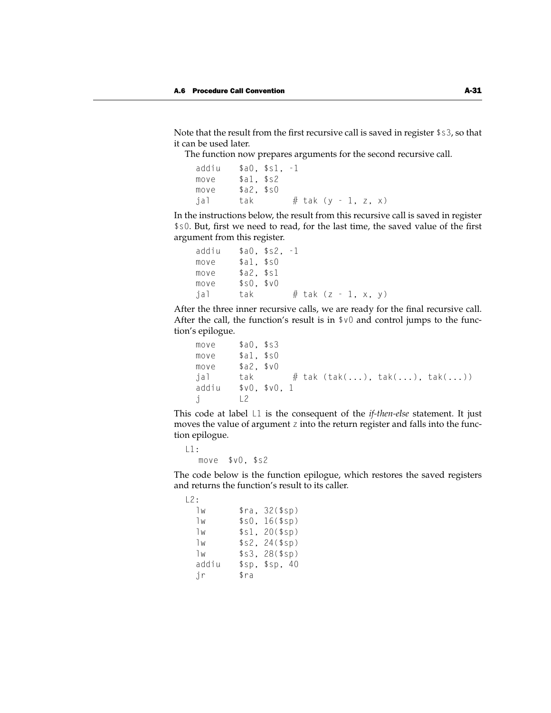Note that the result from the first recursive call is saved in register \$s3, so that it can be used later.

The function now prepares arguments for the second recursive call.

```
addiu $a0, $s1, -1
move $a1, $s2move $a2, $s0jal tak \# tak (y - 1, z, x)
```
In the instructions below, the result from this recursive call is saved in register \$s0. But, first we need to read, for the last time, the saved value of the first argument from this register.

```
addiu $a0, $s2, -1
move $a1, $s0move $a2, $s1move $s0, $v0jal tak \# tak (z - 1, x, y)
```
After the three inner recursive calls, we are ready for the final recursive call. After the call, the function's result is in  $V0$  and control jumps to the function's epilogue.

```
move $a0, $s3move $a1, $s0move $a2, $v0jal tak \#\ tak (tak(...), tak(...), tak(...))
addiu $v0, $v0, 1
j L2
```
This code at label L1 is the consequent of the *if-then-else* statement. It just moves the value of argument z into the return register and falls into the function epilogue.

 $L1$ : move  $$v0, $s2$ 

The code below is the function epilogue, which restores the saved registers and returns the function's result to its caller.

| 12:   |       |                   |
|-------|-------|-------------------|
| 1w    | \$ra. | $32({\rm \,spt})$ |
| 1w    | \$s0. | $16({\rm \,spt})$ |
| 1w    | \$s1. | 20(ssp)           |
| 1w    | \$s2. | 24(Ssp)           |
| 1w    | \$s3. | $28($ \$sp)       |
| addiu | \$sp, | \$sp, 40          |
| .ir   | \$ra  |                   |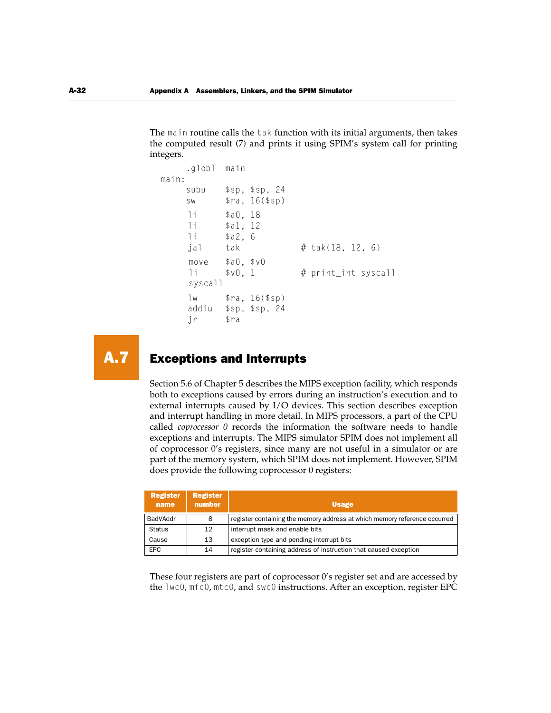The main routine calls the tak function with its initial arguments, then takes the computed result (7) and prints it using SPIM's system call for printing integers.

```
.globl main
main:
    subu $sp, $sp, 24
    sw $ra, 16($sp)
    li $a0, 18
    li $a1, 12
    li $a2, 6
    jal tak \# tak(18, 12, 6)
    move $a0, $v0li $v0, 1 # print_int syscall
    syscall
    lw $ra, 16($sp)
    addiu $sp, $sp, 24
    jr $ra
```
### A.7 Exceptions and Interrupts A.7

Section 5.6 of Chapter 5 describes the MIPS exception facility, which responds both to exceptions caused by errors during an instruction's execution and to external interrupts caused by I/O devices. This section describes exception and interrupt handling in more detail. In MIPS processors, a part of the CPU called *coprocessor 0* records the information the software needs to handle exceptions and interrupts. The MIPS simulator SPIM does not implement all of coprocessor 0's registers, since many are not useful in a simulator or are part of the memory system, which SPIM does not implement. However, SPIM does provide the following coprocessor 0 registers:

| <b>Register</b><br>name | <b>Register</b><br><b>number</b> | <b>Usage</b>                                                              |  |  |  |
|-------------------------|----------------------------------|---------------------------------------------------------------------------|--|--|--|
| BadVAddr                | 8                                | register containing the memory address at which memory reference occurred |  |  |  |
| <b>Status</b>           | 12                               | interrupt mask and enable bits                                            |  |  |  |
| Cause                   | 13                               | exception type and pending interrupt bits                                 |  |  |  |
| <b>EPC</b>              | 14                               | register containing address of instruction that caused exception          |  |  |  |

These four registers are part of coprocessor 0's register set and are accessed by the lwc0, mfc0, mtc0, and swc0 instructions. After an exception, register EPC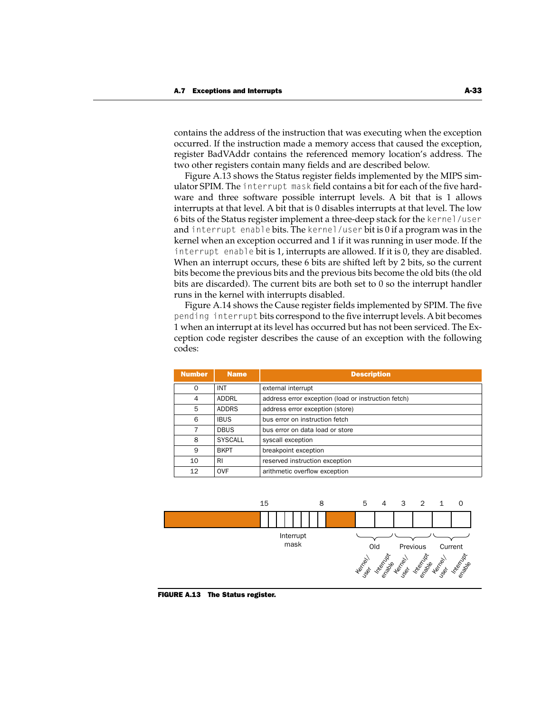contains the address of the instruction that was executing when the exception occurred. If the instruction made a memory access that caused the exception, register BadVAddr contains the referenced memory location's address. The two other registers contain many fields and are described below.

Figure A.13 shows the Status register fields implemented by the MIPS simulator SPIM. The interrupt mask field contains a bit for each of the five hardware and three software possible interrupt levels. A bit that is 1 allows interrupts at that level. A bit that is 0 disables interrupts at that level. The low 6 bits of the Status register implement a three-deep stack for the kernel/user and interrupt enable bits. The kernel/user bit is 0 if a program was in the kernel when an exception occurred and 1 if it was running in user mode. If the interrupt enable bit is 1, interrupts are allowed. If it is 0, they are disabled. When an interrupt occurs, these 6 bits are shifted left by 2 bits, so the current bits become the previous bits and the previous bits become the old bits (the old bits are discarded). The current bits are both set to 0 so the interrupt handler runs in the kernel with interrupts disabled.

Figure A.14 shows the Cause register fields implemented by SPIM. The five pending interrupt bits correspond to the five interrupt levels. A bit becomes 1 when an interrupt at its level has occurred but has not been serviced. The Exception code register describes the cause of an exception with the following codes:

| <b>Number</b> | <b>Name</b>    | <b>Description</b>                                  |  |  |  |
|---------------|----------------|-----------------------------------------------------|--|--|--|
| $\Omega$      | <b>INT</b>     | external interrupt                                  |  |  |  |
| 4             | <b>ADDRL</b>   | address error exception (load or instruction fetch) |  |  |  |
| 5             | <b>ADDRS</b>   | address error exception (store)                     |  |  |  |
| 6             | <b>IBUS</b>    | bus error on instruction fetch                      |  |  |  |
|               | <b>DBUS</b>    | bus error on data load or store                     |  |  |  |
| 8             | <b>SYSCALL</b> | syscall exception                                   |  |  |  |
| 9             | <b>BKPT</b>    | breakpoint exception                                |  |  |  |
| 10            | RI             | reserved instruction exception                      |  |  |  |
| 12            | <b>OVF</b>     | arithmetic overflow exception                       |  |  |  |



#### FIGURE A.13 The Status register.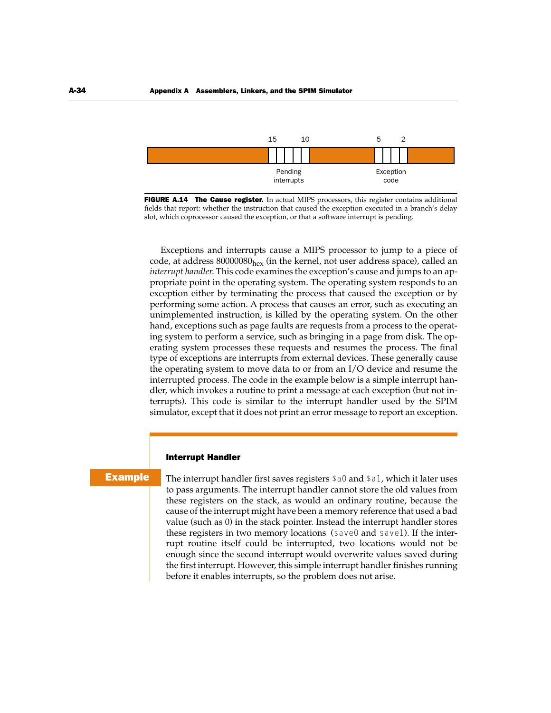

FIGURE A.14 The Cause register. In actual MIPS processors, this register contains additional fields that report: whether the instruction that caused the exception executed in a branch's delay slot, which coprocessor caused the exception, or that a software interrupt is pending.

Exceptions and interrupts cause a MIPS processor to jump to a piece of code, at address  $80000080<sub>hex</sub>$  (in the kernel, not user address space), called an *interrupt handler*. This code examines the exception's cause and jumps to an appropriate point in the operating system. The operating system responds to an exception either by terminating the process that caused the exception or by performing some action. A process that causes an error, such as executing an unimplemented instruction, is killed by the operating system. On the other hand, exceptions such as page faults are requests from a process to the operating system to perform a service, such as bringing in a page from disk. The operating system processes these requests and resumes the process. The final type of exceptions are interrupts from external devices. These generally cause the operating system to move data to or from an I/O device and resume the interrupted process. The code in the example below is a simple interrupt handler, which invokes a routine to print a message at each exception (but not interrupts). This code is similar to the interrupt handler used by the SPIM simulator, except that it does not print an error message to report an exception.

#### Interrupt Handler

#### Example

The interrupt handler first saves registers \$a0 and \$a1, which it later uses to pass arguments. The interrupt handler cannot store the old values from these registers on the stack, as would an ordinary routine, because the cause of the interrupt might have been a memory reference that used a bad value (such as 0) in the stack pointer. Instead the interrupt handler stores these registers in two memory locations (save0 and save1). If the interrupt routine itself could be interrupted, two locations would not be enough since the second interrupt would overwrite values saved during the first interrupt. However, this simple interrupt handler finishes running before it enables interrupts, so the problem does not arise.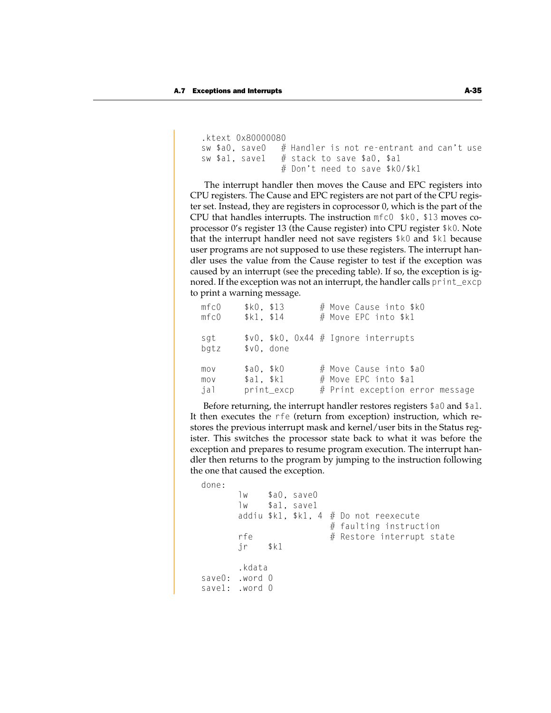```
.ktext 0x80000080
sw $a0, save0 # Handler is not re-entrant and can't use
sw \delta a1, savel # stack to save \delta a0, \delta a1# Don't need to save $k0/$k1
```
 The interrupt handler then moves the Cause and EPC registers into CPU registers. The Cause and EPC registers are not part of the CPU register set. Instead, they are registers in coprocessor 0, which is the part of the CPU that handles interrupts. The instruction mfc0 \$k0, \$13 moves coprocessor 0's register 13 (the Cause register) into CPU register \$k0. Note that the interrupt handler need not save registers  $\frac{1}{2}k0$  and  $\frac{1}{2}k1$  because user programs are not supposed to use these registers. The interrupt handler uses the value from the Cause register to test if the exception was caused by an interrupt (see the preceding table). If so, the exception is ignored. If the exception was not an interrupt, the handler calls print\_excp to print a warning message.

| mfc0<br>mfc0      | \$k0, \$13<br>\$k1, \$14 |            |  | # Move Cause into \$k0<br># Move EPC into \$k1                                      |
|-------------------|--------------------------|------------|--|-------------------------------------------------------------------------------------|
| sgt<br>bgtz       | \$v0, done               |            |  | $$v0, $k0, 0x44 \# Ignore intervals$                                                |
| mov<br>mov<br>jal | \$a0, \$k0<br>\$al. \$kl | print_excp |  | # Move Cause into \$a0<br># Move EPC into \$a1<br>$#$ Print exception error message |

Before returning, the interrupt handler restores registers  $\delta a0$  and  $\delta a1$ . It then executes the rfe (return from exception) instruction, which restores the previous interrupt mask and kernel/user bits in the Status register. This switches the processor state back to what it was before the exception and prepares to resume program execution. The interrupt handler then returns to the program by jumping to the instruction following the one that caused the exception.

done:

```
lw $a0, save0
       lw $a1, save1
      addiu k1, k1, 4 # Do not reexecute
                      # faulting instruction
      rfe # Restore interrupt state
       jr $k1
      .kdata
save0: .word 0
save1: .word 0
```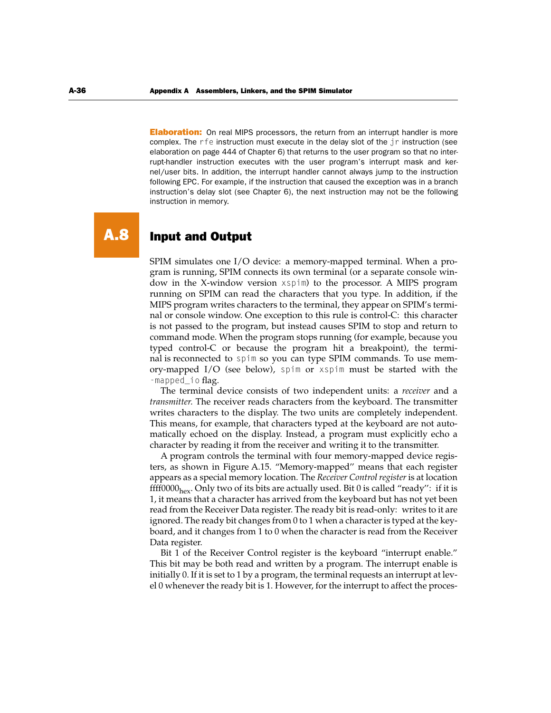**Elaboration:** On real MIPS processors, the return from an interrupt handler is more complex. The rfe instruction must execute in the delay slot of the jr instruction (see elaboration on page 444 of Chapter 6) that returns to the user program so that no interrupt-handler instruction executes with the user program's interrupt mask and kernel/user bits. In addition, the interrupt handler cannot always jump to the instruction following EPC. For example, if the instruction that caused the exception was in a branch instruction's delay slot (see Chapter 6), the next instruction may not be the following instruction in memory.

### **Input and Output**

SPIM simulates one I/O device: a memory-mapped terminal. When a program is running, SPIM connects its own terminal (or a separate console window in the X-window version xspim) to the processor. A MIPS program running on SPIM can read the characters that you type. In addition, if the MIPS program writes characters to the terminal, they appear on SPIM's terminal or console window. One exception to this rule is control-C: this character is not passed to the program, but instead causes SPIM to stop and return to command mode. When the program stops running (for example, because you typed control-C or because the program hit a breakpoint), the terminal is reconnected to spim so you can type SPIM commands. To use memory-mapped I/O (see below), spim or xspim must be started with the -mapped\_io flag.

The terminal device consists of two independent units: a *receiver* and a *transmitter*. The receiver reads characters from the keyboard. The transmitter writes characters to the display. The two units are completely independent. This means, for example, that characters typed at the keyboard are not automatically echoed on the display. Instead, a program must explicitly echo a character by reading it from the receiver and writing it to the transmitter.

A program controls the terminal with four memory-mapped device registers, as shown in Figure A.15. "Memory-mapped'' means that each register appears as a special memory location. The *Receiver Control register* is at location ffff0000<sub>hex</sub>. Only two of its bits are actually used. Bit 0 is called "ready": if it is 1, it means that a character has arrived from the keyboard but has not yet been read from the Receiver Data register. The ready bit is read-only: writes to it are ignored. The ready bit changes from 0 to 1 when a character is typed at the keyboard, and it changes from 1 to 0 when the character is read from the Receiver Data register.

Bit 1 of the Receiver Control register is the keyboard "interrupt enable." This bit may be both read and written by a program. The interrupt enable is initially 0. If it is set to 1 by a program, the terminal requests an interrupt at level 0 whenever the ready bit is 1. However, for the interrupt to affect the proces-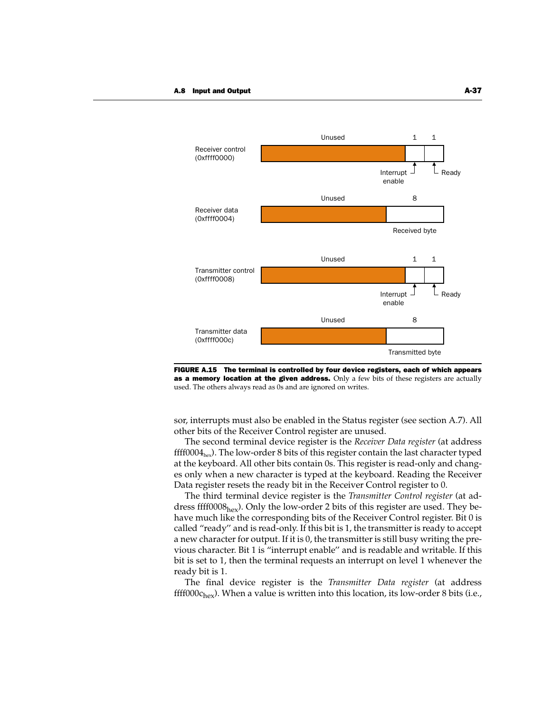

FIGURE A.15 The terminal is controlled by four device registers, each of which appears as a memory location at the given address. Only a few bits of these registers are actually used. The others always read as 0s and are ignored on writes.

sor, interrupts must also be enabled in the Status register (see section A.7). All other bits of the Receiver Control register are unused.

The second terminal device register is the *Receiver Data register* (at address ffff000 $4_{\text{hex}}$ ). The low-order 8 bits of this register contain the last character typed at the keyboard. All other bits contain 0s. This register is read-only and changes only when a new character is typed at the keyboard. Reading the Receiver Data register resets the ready bit in the Receiver Control register to 0.

The third terminal device register is the *Transmitter Control register* (at address ffff0008<sub>hex</sub>). Only the low-order 2 bits of this register are used. They behave much like the corresponding bits of the Receiver Control register. Bit 0 is called "ready'' and is read-only. If this bit is 1, the transmitter is ready to accept a new character for output. If it is 0, the transmitter is still busy writing the previous character. Bit 1 is "interrupt enable'' and is readable and writable. If this bit is set to 1, then the terminal requests an interrupt on level 1 whenever the ready bit is 1.

The final device register is the *Transmitter Data register* (at address ffff000 $c_{hex}$ ). When a value is written into this location, its low-order 8 bits (i.e.,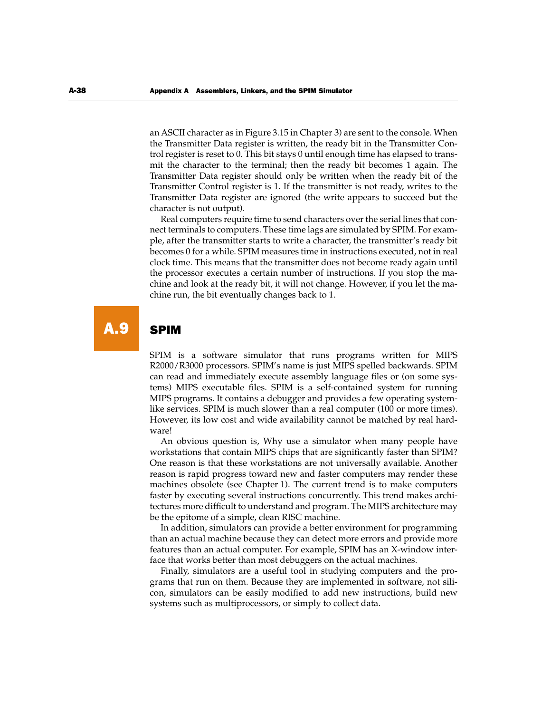an ASCII character as in Figure 3.15 in Chapter 3) are sent to the console. When the Transmitter Data register is written, the ready bit in the Transmitter Control register is reset to 0. This bit stays 0 until enough time has elapsed to transmit the character to the terminal; then the ready bit becomes 1 again. The Transmitter Data register should only be written when the ready bit of the Transmitter Control register is 1. If the transmitter is not ready, writes to the Transmitter Data register are ignored (the write appears to succeed but the character is not output).

Real computers require time to send characters over the serial lines that connect terminals to computers. These time lags are simulated by SPIM. For example, after the transmitter starts to write a character, the transmitter's ready bit becomes 0 for a while. SPIM measures time in instructions executed, not in real clock time. This means that the transmitter does not become ready again until the processor executes a certain number of instructions. If you stop the machine and look at the ready bit, it will not change. However, if you let the machine run, the bit eventually changes back to 1.

# A.9 SPIM A.9 SPIM

SPIM is a software simulator that runs programs written for MIPS R2000/R3000 processors. SPIM's name is just MIPS spelled backwards. SPIM can read and immediately execute assembly language files or (on some systems) MIPS executable files. SPIM is a self-contained system for running MIPS programs. It contains a debugger and provides a few operating systemlike services. SPIM is much slower than a real computer (100 or more times). However, its low cost and wide availability cannot be matched by real hardware!

An obvious question is, Why use a simulator when many people have workstations that contain MIPS chips that are significantly faster than SPIM? One reason is that these workstations are not universally available. Another reason is rapid progress toward new and faster computers may render these machines obsolete (see Chapter 1). The current trend is to make computers faster by executing several instructions concurrently. This trend makes architectures more difficult to understand and program. The MIPS architecture may be the epitome of a simple, clean RISC machine.

In addition, simulators can provide a better environment for programming than an actual machine because they can detect more errors and provide more features than an actual computer. For example, SPIM has an X-window interface that works better than most debuggers on the actual machines.

Finally, simulators are a useful tool in studying computers and the programs that run on them. Because they are implemented in software, not silicon, simulators can be easily modified to add new instructions, build new systems such as multiprocessors, or simply to collect data.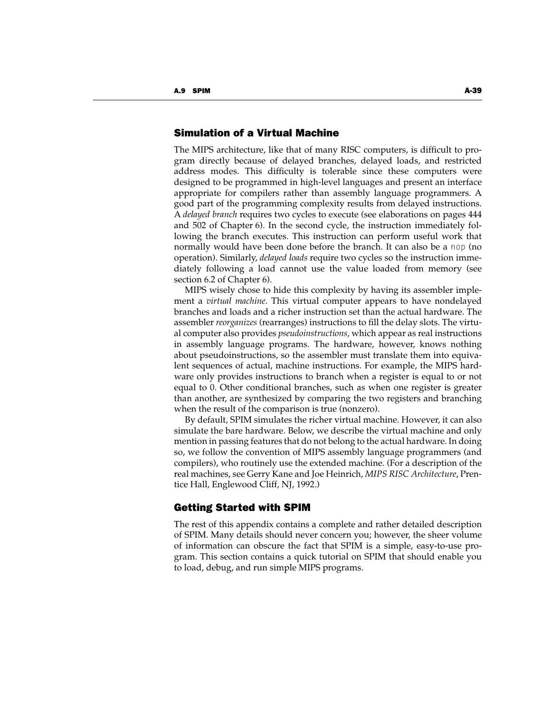### Simulation of a Virtual Machine

The MIPS architecture, like that of many RISC computers, is difficult to program directly because of delayed branches, delayed loads, and restricted address modes. This difficulty is tolerable since these computers were designed to be programmed in high-level languages and present an interface appropriate for compilers rather than assembly language programmers. A good part of the programming complexity results from delayed instructions. A *delayed branch* requires two cycles to execute (see elaborations on pages 444 and 502 of Chapter 6). In the second cycle, the instruction immediately following the branch executes. This instruction can perform useful work that normally would have been done before the branch. It can also be a nop (no operation). Similarly, *delayed loads* require two cycles so the instruction immediately following a load cannot use the value loaded from memory (see section 6.2 of Chapter 6).

MIPS wisely chose to hide this complexity by having its assembler implement a *virtual machine*. This virtual computer appears to have nondelayed branches and loads and a richer instruction set than the actual hardware. The assembler *reorganizes* (rearranges) instructions to fill the delay slots. The virtual computer also provides *pseudoinstructions*, which appear as real instructions in assembly language programs. The hardware, however, knows nothing about pseudoinstructions, so the assembler must translate them into equivalent sequences of actual, machine instructions. For example, the MIPS hardware only provides instructions to branch when a register is equal to or not equal to 0. Other conditional branches, such as when one register is greater than another, are synthesized by comparing the two registers and branching when the result of the comparison is true (nonzero).

By default, SPIM simulates the richer virtual machine. However, it can also simulate the bare hardware. Below, we describe the virtual machine and only mention in passing features that do not belong to the actual hardware. In doing so, we follow the convention of MIPS assembly language programmers (and compilers), who routinely use the extended machine. (For a description of the real machines, see Gerry Kane and Joe Heinrich, *MIPS RISC Architecture*, Prentice Hall, Englewood Cliff, NJ, 1992.)

### Getting Started with SPIM

The rest of this appendix contains a complete and rather detailed description of SPIM. Many details should never concern you; however, the sheer volume of information can obscure the fact that SPIM is a simple, easy-to-use program. This section contains a quick tutorial on SPIM that should enable you to load, debug, and run simple MIPS programs.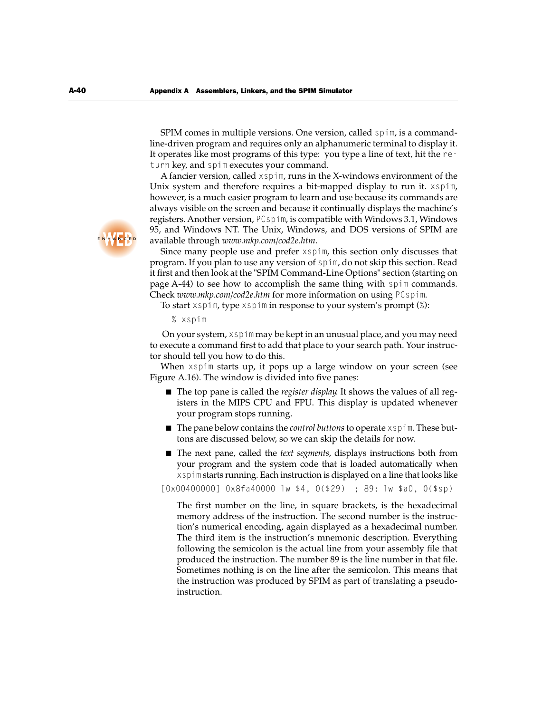SPIM comes in multiple versions. One version, called spim, is a commandline-driven program and requires only an alphanumeric terminal to display it. It operates like most programs of this type: you type a line of text, hit the return key, and spim executes your command.

A fancier version, called xspim, runs in the X-windows environment of the Unix system and therefore requires a bit-mapped display to run it. xspim, however, is a much easier program to learn and use because its commands are always visible on the screen and because it continually displays the machine's registers. Another version, PCspim, is compatible with Windows 3.1, Windows 95, and Windows NT. The Unix, Windows, and DOS versions of SPIM are available through *www.mkp.com/cod2e.htm.*

Since many people use and prefer xspim, this section only discusses that program. If you plan to use any version of spim, do not skip this section. Read it first and then look at the "SPIM Command-Line Options" section (starting on page A-44) to see how to accomplish the same thing with spim commands. Check *www.mkp.com/cod2e.htm* for more information on using PCspim.

To start xspim, type xspim in response to your system's prompt (%):

% xspim

 On your system, xspim may be kept in an unusual place, and you may need to execute a command first to add that place to your search path. Your instructor should tell you how to do this.

When xspim starts up, it pops up a large window on your screen (see Figure A.16). The window is divided into five panes:

- The top pane is called the *register display*. It shows the values of all registers in the MIPS CPU and FPU. This display is updated whenever your program stops running.
- The pane below contains the *control buttons* to operate xspim. These buttons are discussed below, so we can skip the details for now.
- The next pane, called the *text segments*, displays instructions both from your program and the system code that is loaded automatically when xspim starts running. Each instruction is displayed on a line that looks like

[0x00400000] 0x8fa40000 lw \$4, 0(\$29) ; 89: lw \$a0, 0(\$sp)

The first number on the line, in square brackets, is the hexadecimal memory address of the instruction. The second number is the instruction's numerical encoding, again displayed as a hexadecimal number. The third item is the instruction's mnemonic description. Everything following the semicolon is the actual line from your assembly file that produced the instruction. The number 89 is the line number in that file. Sometimes nothing is on the line after the semicolon. This means that the instruction was produced by SPIM as part of translating a pseudoinstruction.

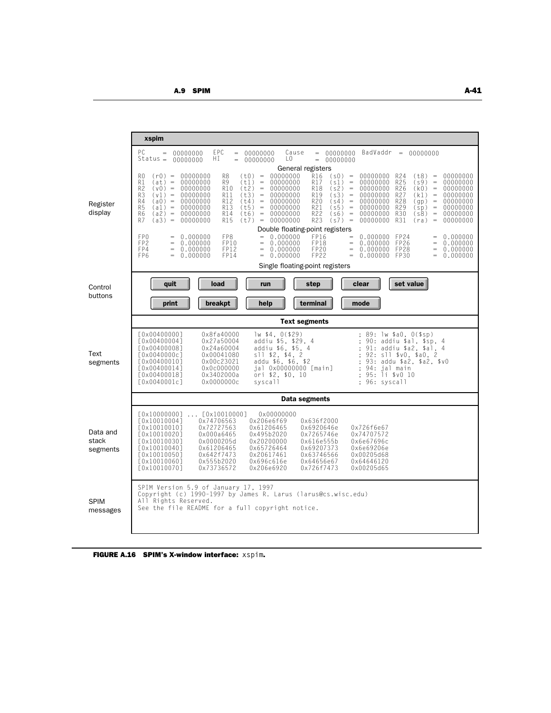|                               | xspim                                                                                                                                                                                                                                                                                                                                                                                                                                                                                                                                                                                                                                                                                                                                                                                                                                                                                                                                                                                                                                                                                                                                                                                                                                                                                                                                                                                                                                                                                                                                                                                                                                                                                                                               |
|-------------------------------|-------------------------------------------------------------------------------------------------------------------------------------------------------------------------------------------------------------------------------------------------------------------------------------------------------------------------------------------------------------------------------------------------------------------------------------------------------------------------------------------------------------------------------------------------------------------------------------------------------------------------------------------------------------------------------------------------------------------------------------------------------------------------------------------------------------------------------------------------------------------------------------------------------------------------------------------------------------------------------------------------------------------------------------------------------------------------------------------------------------------------------------------------------------------------------------------------------------------------------------------------------------------------------------------------------------------------------------------------------------------------------------------------------------------------------------------------------------------------------------------------------------------------------------------------------------------------------------------------------------------------------------------------------------------------------------------------------------------------------------|
|                               | EPC<br>РC<br>Cause<br>$BadVaddr = 00000000$<br>00000000<br>00000000<br>$=$<br>00000000<br>$=$<br>$=$<br>$Status =$<br>НI<br>L0<br>00000000<br>$=$<br>00000000<br>$=$<br>00000000                                                                                                                                                                                                                                                                                                                                                                                                                                                                                                                                                                                                                                                                                                                                                                                                                                                                                                                                                                                                                                                                                                                                                                                                                                                                                                                                                                                                                                                                                                                                                    |
|                               | General registers                                                                                                                                                                                                                                                                                                                                                                                                                                                                                                                                                                                                                                                                                                                                                                                                                                                                                                                                                                                                                                                                                                                                                                                                                                                                                                                                                                                                                                                                                                                                                                                                                                                                                                                   |
| Register<br>display           | 00000000<br>R24<br>R <sub>0</sub><br>$(r0) =$<br>00000000<br>R8<br>$(t0) =$<br>R <sub>16</sub><br>(s0)<br>00000000<br>(t8)<br>00000000<br>$\hspace{0.1in} = \hspace{0.1in}$<br>$\hspace{1.0cm} = \hspace{1.0cm}$<br>R9<br>00000000<br><b>R17</b><br>R25<br>(s9)<br>R1<br>(at)<br>00000000<br>(t1)<br>$\qquad \qquad =$<br>(s1)<br>00000000<br>$\qquad \qquad =$<br>00000000<br>$\hspace{1.0cm} = \hspace{1.0cm}$<br>$\hspace{1.0cm} = \hspace{1.0cm}$<br>(t2)<br>R <sub>2</sub><br>$(v0) =$<br>00000000<br><b>R10</b><br>$\qquad \qquad =$<br>00000000<br><b>R18</b><br>(s2)<br>$\qquad \qquad =$<br>00000000<br>R26<br>(k0)<br>$\qquad \qquad =$<br>00000000<br>(s3)<br>R3<br>$(y1) =$<br>00000000<br>R <sub>11</sub><br>(t3)<br>00000000<br>R19<br>00000000<br>R <sub>27</sub><br>(k1)<br>00000000<br>$\hspace{0.1in} = \hspace{0.1in}$<br>$\hspace{0.1in} = \hspace{0.1in}$<br>$\hspace*{0.4em} = \hspace*{0.4em}$<br><b>R20</b><br>00000000<br>R28<br>R4<br>$(a0) =$<br>00000000<br>R12<br>(t4)<br>00000000<br>(s4)<br>00000000<br>$\, =$<br>$\,=\,$<br>(gp)<br>$\,=\,$<br>R <sub>5</sub><br>$(a1) =$<br>00000000<br>R13<br>(t5)<br>$\, =$<br>00000000<br>R21<br>(s5)<br>00000000<br>R29<br>$\hspace{1.6cm} = \hspace{1.6cm}$<br>00000000<br>$\hspace{0.1in} = \hspace{0.1in}$<br>(sp)<br>$(a2) =$<br>R14<br>R22<br>R30<br>(s8)<br>R6<br>00000000<br>(t6)<br>$\hspace{1.0cm} = \hspace{1.0cm}$<br>00000000<br>(s6)<br>$\hspace{0.1in} = \hspace{0.1in}$<br>00000000<br>$\hspace{1.6cm} = \hspace{1.6cm}$<br>00000000<br>$(a3) =$<br><b>R15</b><br>(t7)<br>R23<br>(s7)<br>R31<br>R7<br>00000000<br>00000000<br>00000000<br>00000000<br>$\hspace{1.0cm} = \hspace{1.0cm}$<br>$\,=\,$<br>(ra)<br>$\hspace{1.0cm} = \hspace{1.0cm}$ |
|                               | Double floating-point registers<br>FP <sub>0</sub><br>0.000000<br>FP8<br>0.000000<br>FP16<br>FP24<br>$=$<br>0.000000<br>0.000000<br>$\hspace{1.0cm} = \hspace{1.0cm}$<br>$=$<br>$=$                                                                                                                                                                                                                                                                                                                                                                                                                                                                                                                                                                                                                                                                                                                                                                                                                                                                                                                                                                                                                                                                                                                                                                                                                                                                                                                                                                                                                                                                                                                                                 |
|                               | FP <sub>2</sub><br>FP26<br>0.000000<br>FP10<br>0.000000<br>FP18<br>0.000000<br>$\qquad \qquad =$<br>0.000000<br>$\hspace{1.0cm} = \hspace{1.0cm}$<br>$=$<br>$\hspace{1.6cm} = \hspace{1.6cm}$<br>FP4<br>0.000000<br>FP12<br>0.000000<br>FP20<br>0.000000<br><b>FP28</b><br>0.000000<br>$\qquad \qquad =$<br>$=$<br>$=$<br>$=$<br>FP6<br>FP22<br>FP14<br>FP30<br>0.000000<br>0.000000<br>0.000000<br>0.000000<br>$=$<br>$=$<br>$\hspace{1.6cm} = \hspace{1.6cm}$<br>$=$                                                                                                                                                                                                                                                                                                                                                                                                                                                                                                                                                                                                                                                                                                                                                                                                                                                                                                                                                                                                                                                                                                                                                                                                                                                              |
|                               | Single floating-point registers                                                                                                                                                                                                                                                                                                                                                                                                                                                                                                                                                                                                                                                                                                                                                                                                                                                                                                                                                                                                                                                                                                                                                                                                                                                                                                                                                                                                                                                                                                                                                                                                                                                                                                     |
| Control                       | load<br>clear<br>set value<br>quit<br>step<br>run                                                                                                                                                                                                                                                                                                                                                                                                                                                                                                                                                                                                                                                                                                                                                                                                                                                                                                                                                                                                                                                                                                                                                                                                                                                                                                                                                                                                                                                                                                                                                                                                                                                                                   |
| buttons                       | breakpt<br>terminal<br>print<br>help<br>mode                                                                                                                                                                                                                                                                                                                                                                                                                                                                                                                                                                                                                                                                                                                                                                                                                                                                                                                                                                                                                                                                                                                                                                                                                                                                                                                                                                                                                                                                                                                                                                                                                                                                                        |
|                               | <b>Text segments</b>                                                                                                                                                                                                                                                                                                                                                                                                                                                                                                                                                                                                                                                                                                                                                                                                                                                                                                                                                                                                                                                                                                                                                                                                                                                                                                                                                                                                                                                                                                                                                                                                                                                                                                                |
| Text<br>segments              | [0x00400000]<br>0x8fa40000<br>$1w$ \$4, $0$ (\$29)<br>; 89: 1w \$a0, 0(\$sp)<br>addiu \$5, \$29, 4<br>$[0 \times 00400004]$<br>0x27a50004<br>90: addiu \$al, \$sp, 4<br>addiu \$6, \$5, 4<br>91: addiu \$a2, \$a1, 4<br>$[0 \times 00400008]$<br>0x24a60004<br>$s11$ \$2, \$4, 2<br>[0x0040000c]<br>0x00041080<br>92: sll \$v0, \$a0, 2<br>addu \$6, \$6, \$2<br>93: addu \$a2, \$a2, \$v0<br>[0x00400010]<br>0x00c23021<br>jal 0x00000000 [main]<br>; 94: jal main<br>[0x00400014]<br>0x0c000000<br>95: li \$v0 10<br>F0x004000181<br>0x3402000a<br>ori \$2, \$0, 10<br>[0x0040001c]<br>: 96: syscall<br>0x0000000c<br>syscall                                                                                                                                                                                                                                                                                                                                                                                                                                                                                                                                                                                                                                                                                                                                                                                                                                                                                                                                                                                                                                                                                                     |
|                               | Data segments                                                                                                                                                                                                                                                                                                                                                                                                                                                                                                                                                                                                                                                                                                                                                                                                                                                                                                                                                                                                                                                                                                                                                                                                                                                                                                                                                                                                                                                                                                                                                                                                                                                                                                                       |
| Data and<br>stack<br>segments | $[0x10000000]$ $[0x10010000]$<br>0x00000000<br>0x74706563<br>0x206e6f69<br>[0x10010004]<br>0x636f2000<br>[0x10010010]<br>0x72727563<br>0x61206465<br>0x6920646e<br>0x726f6e67<br>[0x10010020]<br>0x000a6465<br>0x495b2020<br>0x7265746e<br>0x74707572<br>[0x10010030]<br>0x0000205d<br>0x616e555b<br>0x6e67696c<br>0x20200000<br>[0x10010040]<br>0x61206465<br>0x65726464<br>0x69207373<br>0x6e69206e<br>F0x100100501<br>0x642f7473<br>0x20617461<br>0x63746566<br>0x00205d68<br>F0x100100601<br>0x555b2020<br>0x696c616e<br>0x64656e67<br>0x64646120<br>[0x10010070]<br>0x73736572<br>0x206e6920<br>0x726f7473<br>0x00205d65                                                                                                                                                                                                                                                                                                                                                                                                                                                                                                                                                                                                                                                                                                                                                                                                                                                                                                                                                                                                                                                                                                       |
| <b>SPIM</b><br>messages       | SPIM Version 5.9 of January 17, 1997<br>Copyright (c) 1990-1997 by James R. Larus (larus@cs.wisc.edu)<br>All Rights Reserved.<br>See the file README for a full copyright notice.                                                                                                                                                                                                                                                                                                                                                                                                                                                                                                                                                                                                                                                                                                                                                                                                                                                                                                                                                                                                                                                                                                                                                                                                                                                                                                                                                                                                                                                                                                                                                   |

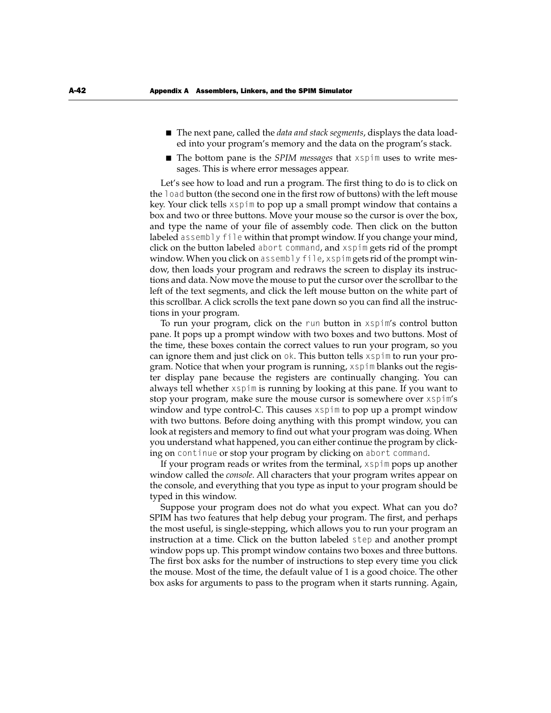- The next pane, called the *data and stack segments*, displays the data loaded into your program's memory and the data on the program's stack.
- The bottom pane is the *SPIM messages* that xspim uses to write messages. This is where error messages appear.

Let's see how to load and run a program. The first thing to do is to click on the load button (the second one in the first row of buttons) with the left mouse key. Your click tells xspim to pop up a small prompt window that contains a box and two or three buttons. Move your mouse so the cursor is over the box, and type the name of your file of assembly code. Then click on the button labeled assembly file within that prompt window. If you change your mind, click on the button labeled abort command, and xspim gets rid of the prompt window. When you click on assembly file, xspim gets rid of the prompt window, then loads your program and redraws the screen to display its instructions and data. Now move the mouse to put the cursor over the scrollbar to the left of the text segments, and click the left mouse button on the white part of this scrollbar. A click scrolls the text pane down so you can find all the instructions in your program.

To run your program, click on the run button in xspim's control button pane. It pops up a prompt window with two boxes and two buttons. Most of the time, these boxes contain the correct values to run your program, so you can ignore them and just click on ok. This button tells xspim to run your program. Notice that when your program is running, xspim blanks out the register display pane because the registers are continually changing. You can always tell whether xspim is running by looking at this pane. If you want to stop your program, make sure the mouse cursor is somewhere over xspim's window and type control-C. This causes xspim to pop up a prompt window with two buttons. Before doing anything with this prompt window, you can look at registers and memory to find out what your program was doing. When you understand what happened, you can either continue the program by clicking on continue or stop your program by clicking on abort command.

If your program reads or writes from the terminal, xspim pops up another window called the *console*. All characters that your program writes appear on the console, and everything that you type as input to your program should be typed in this window.

Suppose your program does not do what you expect. What can you do? SPIM has two features that help debug your program. The first, and perhaps the most useful, is single-stepping, which allows you to run your program an instruction at a time. Click on the button labeled step and another prompt window pops up. This prompt window contains two boxes and three buttons. The first box asks for the number of instructions to step every time you click the mouse. Most of the time, the default value of 1 is a good choice. The other box asks for arguments to pass to the program when it starts running. Again,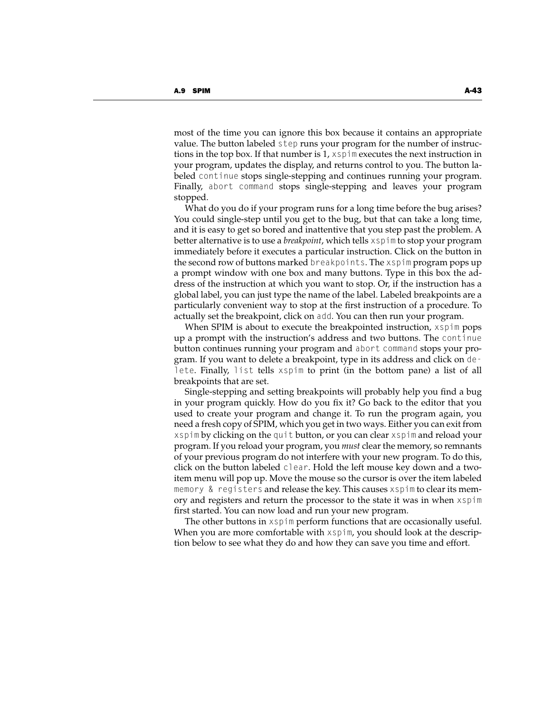most of the time you can ignore this box because it contains an appropriate value. The button labeled step runs your program for the number of instructions in the top box. If that number is 1, xspim executes the next instruction in your program, updates the display, and returns control to you. The button labeled continue stops single-stepping and continues running your program. Finally, abort command stops single-stepping and leaves your program stopped.

What do you do if your program runs for a long time before the bug arises? You could single-step until you get to the bug, but that can take a long time, and it is easy to get so bored and inattentive that you step past the problem. A better alternative is to use a *breakpoint*, which tells xspim to stop your program immediately before it executes a particular instruction. Click on the button in the second row of buttons marked breakpoints. The xspim program pops up a prompt window with one box and many buttons. Type in this box the address of the instruction at which you want to stop. Or, if the instruction has a global label, you can just type the name of the label. Labeled breakpoints are a particularly convenient way to stop at the first instruction of a procedure. To actually set the breakpoint, click on add. You can then run your program.

When SPIM is about to execute the breakpointed instruction, xspim pops up a prompt with the instruction's address and two buttons. The continue button continues running your program and abort command stops your program. If you want to delete a breakpoint, type in its address and click on delete. Finally, list tells xspim to print (in the bottom pane) a list of all breakpoints that are set.

Single-stepping and setting breakpoints will probably help you find a bug in your program quickly. How do you fix it? Go back to the editor that you used to create your program and change it. To run the program again, you need a fresh copy of SPIM, which you get in two ways. Either you can exit from xspim by clicking on the quit button, or you can clear xspim and reload your program. If you reload your program, you *must* clear the memory, so remnants of your previous program do not interfere with your new program. To do this, click on the button labeled clear. Hold the left mouse key down and a twoitem menu will pop up. Move the mouse so the cursor is over the item labeled memory & registers and release the key. This causes xspim to clear its memory and registers and return the processor to the state it was in when xspim first started. You can now load and run your new program.

The other buttons in xspim perform functions that are occasionally useful. When you are more comfortable with  $x$ spim, you should look at the description below to see what they do and how they can save you time and effort.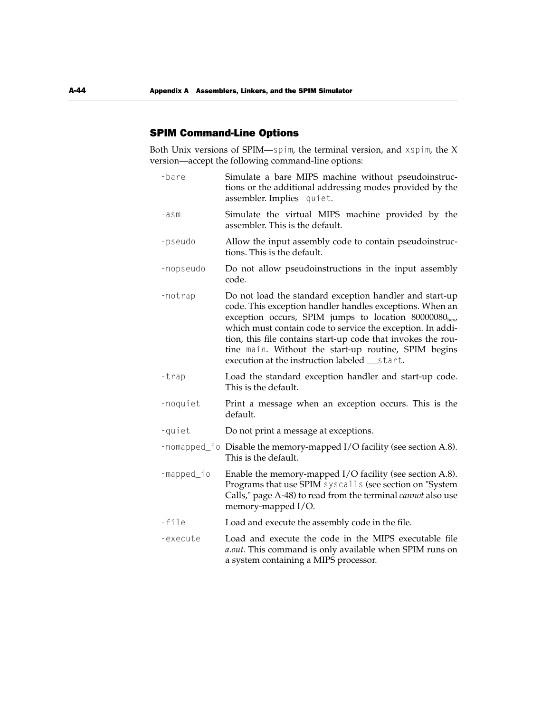### SPIM Command-Line Options

Both Unix versions of SPIM—spim, the terminal version, and xspim, the X version—accept the following command-line options:

| -bare      | Simulate a bare MIPS machine without pseudoinstruc-<br>tions or the additional addressing modes provided by the<br>assembler. Implies - quiet.                                                                                                                                                                                                                                                                                   |
|------------|----------------------------------------------------------------------------------------------------------------------------------------------------------------------------------------------------------------------------------------------------------------------------------------------------------------------------------------------------------------------------------------------------------------------------------|
| -asm       | Simulate the virtual MIPS machine provided by the<br>assembler. This is the default.                                                                                                                                                                                                                                                                                                                                             |
| -pseudo    | Allow the input assembly code to contain pseudoinstruc-<br>tions. This is the default.                                                                                                                                                                                                                                                                                                                                           |
| -nopseudo  | Do not allow pseudoinstructions in the input assembly<br>code.                                                                                                                                                                                                                                                                                                                                                                   |
| -notrap    | Do not load the standard exception handler and start-up<br>code. This exception handler handles exceptions. When an<br>exception occurs, SPIM jumps to location 80000080 <sub>hex</sub> ,<br>which must contain code to service the exception. In addi-<br>tion, this file contains start-up code that invokes the rou-<br>tine main. Without the start-up routine, SPIM begins<br>execution at the instruction labeled __start. |
| -trap      | Load the standard exception handler and start-up code.<br>This is the default.                                                                                                                                                                                                                                                                                                                                                   |
| -noquiet   | Print a message when an exception occurs. This is the<br>default.                                                                                                                                                                                                                                                                                                                                                                |
| -quiet     | Do not print a message at exceptions.                                                                                                                                                                                                                                                                                                                                                                                            |
|            | -nomapped_io Disable the memory-mapped I/O facility (see section A.8).<br>This is the default.                                                                                                                                                                                                                                                                                                                                   |
| -mapped_io | Enable the memory-mapped I/O facility (see section A.8).<br>Programs that use SPIM syscalls (see section on "System<br>Calls," page A-48) to read from the terminal <i>cannot</i> also use<br>memory-mapped I/O.                                                                                                                                                                                                                 |
| -file      | Load and execute the assembly code in the file.                                                                                                                                                                                                                                                                                                                                                                                  |
| -execute   | Load and execute the code in the MIPS executable file<br>a.out. This command is only available when SPIM runs on<br>a system containing a MIPS processor.                                                                                                                                                                                                                                                                        |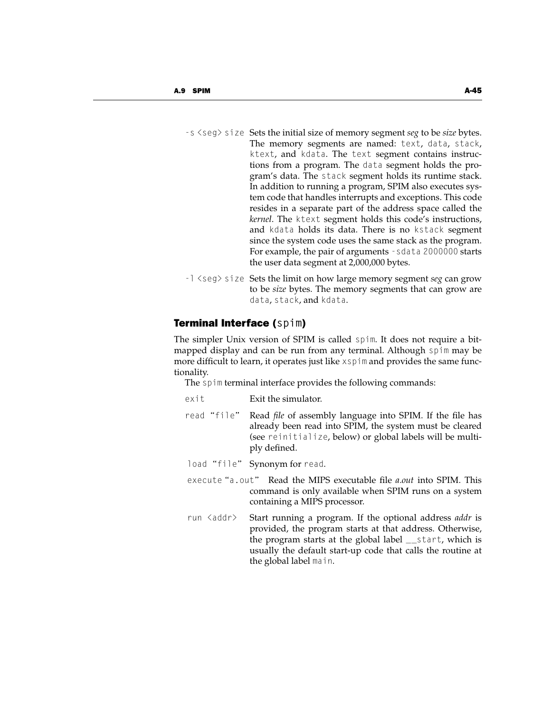| -s <seg> size Sets the initial size of memory segment seg to be size bytes.</seg> |
|-----------------------------------------------------------------------------------|
| The memory segments are named: text, data, stack,                                 |
| ktext, and kdata. The text segment contains instruc-                              |
| tions from a program. The data segment holds the pro-                             |
| gram's data. The stack segment holds its runtime stack.                           |
| In addition to running a program, SPIM also executes sys-                         |
| tem code that handles interrupts and exceptions. This code                        |
| resides in a separate part of the address space called the                        |
| kernel. The ktext segment holds this code's instructions,                         |
| and kdata holds its data. There is no kstack segment                              |
| since the system code uses the same stack as the program.                         |
| For example, the pair of arguments - sdata 2000000 starts                         |
| the user data segment at 2,000,000 bytes.                                         |
|                                                                                   |

-l <seg> size Sets the limit on how large memory segment *seg* can grow to be *size* bytes. The memory segments that can grow are data, stack, and kdata.

### Terminal Interface (**spim**)

The simpler Unix version of SPIM is called spim. It does not require a bitmapped display and can be run from any terminal. Although spim may be more difficult to learn, it operates just like xspim and provides the same functionality.

The spim terminal interface provides the following commands:

exit Exit the simulator.

- read "file" Read *file* of assembly language into SPIM. If the file has already been read into SPIM, the system must be cleared (see reinitialize, below) or global labels will be multiply defined.
- load "file" Synonym for read.
- execute "a.out" Read the MIPS executable file *a.out* into SPIM. This command is only available when SPIM runs on a system containing a MIPS processor.
- run <addr> Start running a program. If the optional address *addr* is provided, the program starts at that address. Otherwise, the program starts at the global label \_\_start, which is usually the default start-up code that calls the routine at the global label main.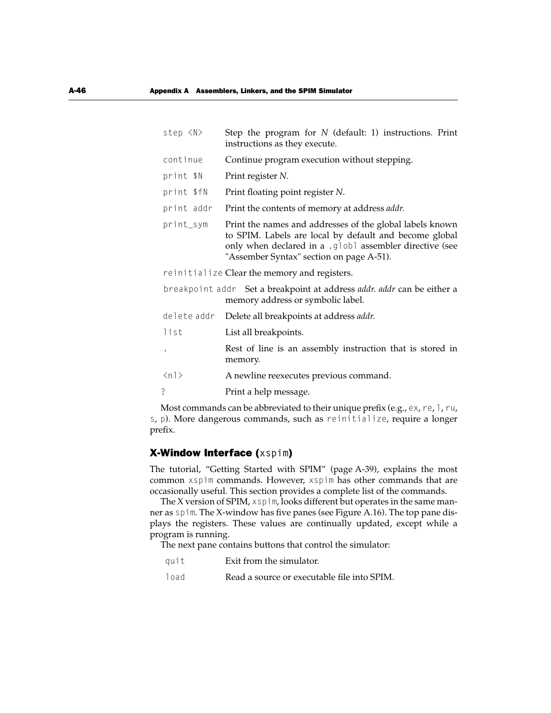| step <n></n>       | Step the program for $N$ (default: 1) instructions. Print<br>instructions as they execute.                                                                                                                                |
|--------------------|---------------------------------------------------------------------------------------------------------------------------------------------------------------------------------------------------------------------------|
| continue           | Continue program execution without stepping.                                                                                                                                                                              |
| print \$N          | Print register N.                                                                                                                                                                                                         |
| print \$fN         | Print floating point register N.                                                                                                                                                                                          |
| print addr         | Print the contents of memory at address <i>addr</i> .                                                                                                                                                                     |
| print_sym          | Print the names and addresses of the global labels known<br>to SPIM. Labels are local by default and become global<br>only when declared in a .globl assembler directive (see<br>"Assember Syntax" section on page A-51). |
|                    | reinitialize Clear the memory and registers.                                                                                                                                                                              |
|                    | breakpoint addr Set a breakpoint at address addr. addr can be either a<br>memory address or symbolic label.                                                                                                               |
| delete addr        | Delete all breakpoints at address <i>addr</i> .                                                                                                                                                                           |
| list               | List all breakpoints.                                                                                                                                                                                                     |
|                    | Rest of line is an assembly instruction that is stored in<br>memory.                                                                                                                                                      |
| $\langle n]$       | A newline reexecutes previous command.                                                                                                                                                                                    |
| $\overline{\cdot}$ | Print a help message.                                                                                                                                                                                                     |

Most commands can be abbreviated to their unique prefix (e.g., ex, re, 1, ru, s, p). More dangerous commands, such as reinitialize, require a longer prefix.

### X-Window Interface (**xspim**)

The tutorial, "Getting Started with SPIM" (page A-39), explains the most common xspim commands. However, xspim has other commands that are occasionally useful. This section provides a complete list of the commands.

The X version of SPIM, xspim, looks different but operates in the same manner as spim. The X-window has five panes (see Figure A.16). The top pane displays the registers. These values are continually updated, except while a program is running.

The next pane contains buttons that control the simulator:

- quit Exit from the simulator.
- load Read a source or executable file into SPIM.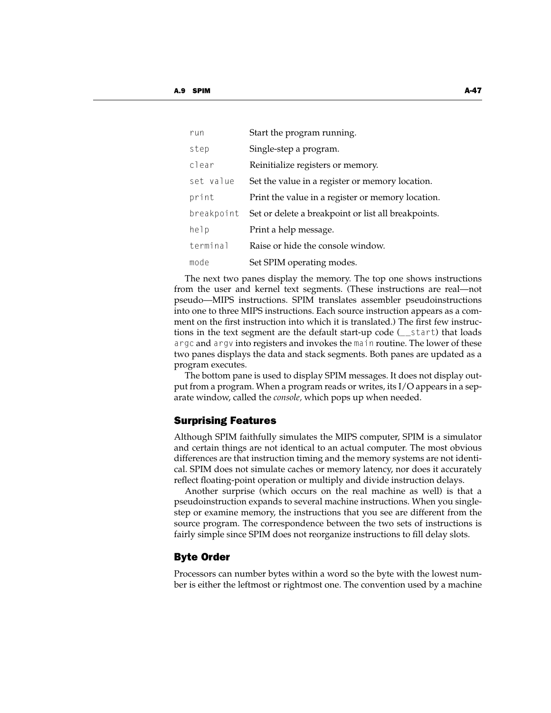| run        | Start the program running.                          |
|------------|-----------------------------------------------------|
| step       | Single-step a program.                              |
| clear      | Reinitialize registers or memory.                   |
| set value  | Set the value in a register or memory location.     |
| print      | Print the value in a register or memory location.   |
| breakpoint | Set or delete a breakpoint or list all breakpoints. |
| help       | Print a help message.                               |
| terminal   | Raise or hide the console window.                   |
| mode       | Set SPIM operating modes.                           |

The next two panes display the memory. The top one shows instructions from the user and kernel text segments. (These instructions are real—not pseudo—MIPS instructions. SPIM translates assembler pseudoinstructions into one to three MIPS instructions. Each source instruction appears as a comment on the first instruction into which it is translated.) The first few instructions in the text segment are the default start-up code (\_\_start) that loads argc and argv into registers and invokes the main routine. The lower of these two panes displays the data and stack segments. Both panes are updated as a program executes.

The bottom pane is used to display SPIM messages. It does not display output from a program. When a program reads or writes, its I/O appears in a separate window, called the *console,* which pops up when needed.

### Surprising Features

Although SPIM faithfully simulates the MIPS computer, SPIM is a simulator and certain things are not identical to an actual computer. The most obvious differences are that instruction timing and the memory systems are not identical. SPIM does not simulate caches or memory latency, nor does it accurately reflect floating-point operation or multiply and divide instruction delays.

Another surprise (which occurs on the real machine as well) is that a pseudoinstruction expands to several machine instructions. When you singlestep or examine memory, the instructions that you see are different from the source program. The correspondence between the two sets of instructions is fairly simple since SPIM does not reorganize instructions to fill delay slots.

### Byte Order

Processors can number bytes within a word so the byte with the lowest number is either the leftmost or rightmost one. The convention used by a machine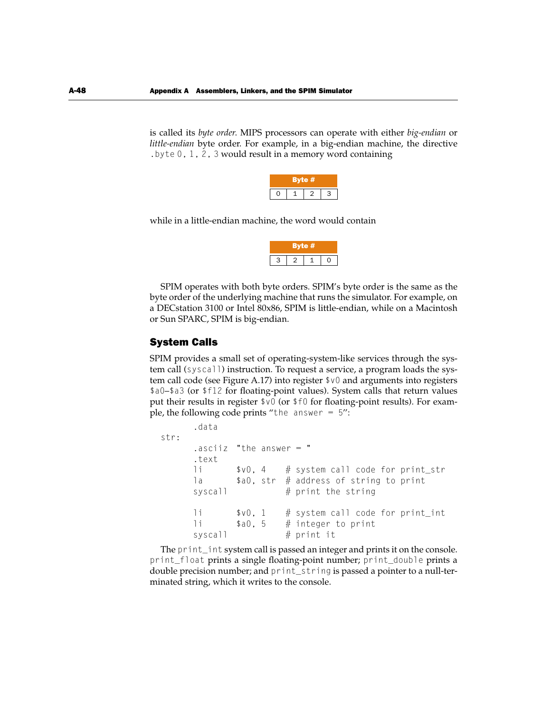is called its *byte order*. MIPS processors can operate with either *big-endian* or *little-endian* byte order. For example, in a big-endian machine, the directive .byte 0, 1, 2, 3 would result in a memory word containing

|  |  |  | ∽ |  |  |  |  |  |  |
|--|--|--|---|--|--|--|--|--|--|

while in a little-endian machine, the word would contain

SPIM operates with both byte orders. SPIM's byte order is the same as the byte order of the underlying machine that runs the simulator. For example, on a DECstation 3100 or Intel 80x86, SPIM is little-endian, while on a Macintosh or Sun SPARC, SPIM is big-endian.

### System Calls

SPIM provides a small set of operating-system-like services through the system call (syscall) instruction. To request a service, a program loads the system call code (see Figure A.17) into register \$v0 and arguments into registers \$a0–\$a3 (or \$f12 for floating-point values). System calls that return values put their results in register \$v0 (or \$f0 for floating-point results). For example, the following code prints "the answer  $= 5$ ":

```
.data
str:
      . a sciiz "the answer = "
     .text
     li $v0, 4 # system call code for print_str
     la $a0, str # address of string to printsyscall # print the string
     li $v0, 1 # system call code for print int
     li \bullet \bullet 0, 5 # integer to print
     syscall # print it
```
The print\_int system call is passed an integer and prints it on the console. print\_float prints a single floating-point number; print\_double prints a double precision number; and print\_string is passed a pointer to a null-terminated string, which it writes to the console.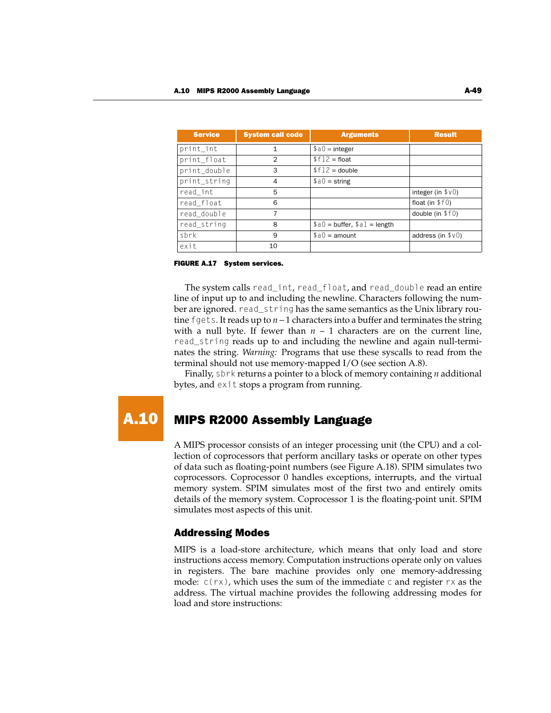| <b>Service</b> | <b>System call code</b> | <b>Arguments</b>                 | <b>Result</b>        |
|----------------|-------------------------|----------------------------------|----------------------|
| print_int      | 1                       | $a0 =$ integer                   |                      |
| print_float    | $\overline{2}$          | $$f12 = float$                   |                      |
| print_double   | 3                       | $$f12 = double$                  |                      |
| print_string   | 4                       | $a = string$                     |                      |
| read int       | 5                       |                                  | integer (in $$v0)$   |
| read float     | 6                       |                                  | float (in $$f()$ )   |
| read double    | 7                       |                                  | double (in $$f()$ )  |
| read string    | 8                       | $\$a0 =$ buffer, $\$a1 =$ length |                      |
| sbrk           | 9                       | $a =$ amount                     | address (in $$v()$ ) |
| exit           | 10                      |                                  |                      |

FIGURE A.17 System services.

The system calls read\_int, read\_float, and read\_double read an entire line of input up to and including the newline. Characters following the number are ignored. read\_string has the same semantics as the Unix library routine fgets. It reads up to *n* – 1 characters into a buffer and terminates the string with a null byte. If fewer than  $n - 1$  characters are on the current line, read\_string reads up to and including the newline and again null-terminates the string. *Warning:* Programs that use these syscalls to read from the terminal should not use memory-mapped I/O (see section A.8).

Finally, sbrk returns a pointer to a block of memory containing *n* additional bytes, and exit stops a program from running.

# A.10 MIPS R2000 Assembly Language

A MIPS processor consists of an integer processing unit (the CPU) and a collection of coprocessors that perform ancillary tasks or operate on other types of data such as floating-point numbers (see Figure A.18). SPIM simulates two coprocessors. Coprocessor 0 handles exceptions, interrupts, and the virtual memory system. SPIM simulates most of the first two and entirely omits details of the memory system. Coprocessor 1 is the floating-point unit. SPIM simulates most aspects of this unit.

### Addressing Modes

MIPS is a load-store architecture, which means that only load and store instructions access memory. Computation instructions operate only on values in registers. The bare machine provides only one memory-addressing mode:  $c(\rightharpoonup \rightharpoonup \rightharpoonup \rightharpoonup \rightharpoonup \rightharpoonup \rightharpoonup \rightharpoonup \rightharpoonup \rightharpoonup \rightharpoonup \rightharpoonup \rightharpoonup \rightharpoonup \rightharpoonup \rightharpoonup \rightharpoonup \rightharpoonup \rightharpoonup \rightharpoonup \rightharpoonup \rightharpoonup \rightharpoonup \rightharpoonup \rightharpoonup \rightharpoonup \rightharpoonup \rightharpoonup \rightharpoonup \rightharpoonup \rightharpoonup \rightharpoonup \rightharpoonup \rightharpoonup \rightharpoonup \righth$ address. The virtual machine provides the following addressing modes for load and store instructions: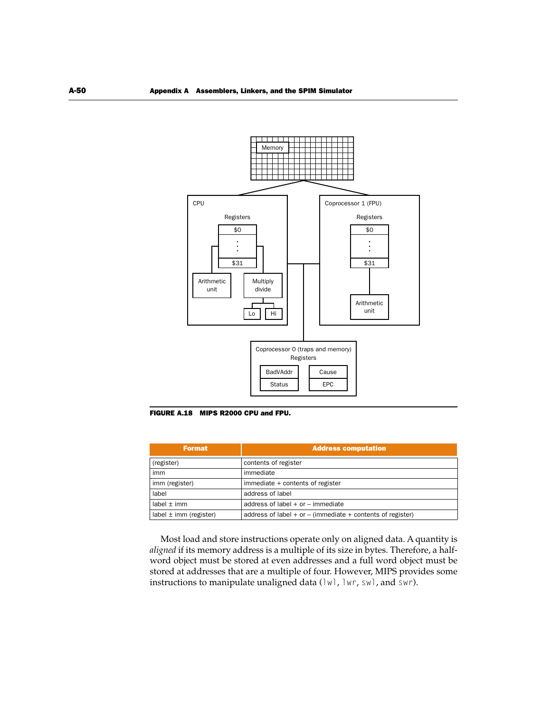

FIGURE A.18 MIPS R2000 CPU and FPU.

| <b>Format</b>              | <b>Address computation</b>                                   |
|----------------------------|--------------------------------------------------------------|
| (register)                 | contents of register                                         |
| imm                        | immediate                                                    |
| imm (register)             | immediate + contents of register                             |
| label                      | address of label                                             |
| label $\pm$ imm            | address of label $+$ or $-$ immediate                        |
| label $\pm$ imm (register) | address of label + or $-$ (immediate + contents of register) |

Most load and store instructions operate only on aligned data. A quantity is *aligned* if its memory address is a multiple of its size in bytes. Therefore, a halfword object must be stored at even addresses and a full word object must be stored at addresses that are a multiple of four. However, MIPS provides some instructions to manipulate unaligned data (lwl, lwr, swl, and swr).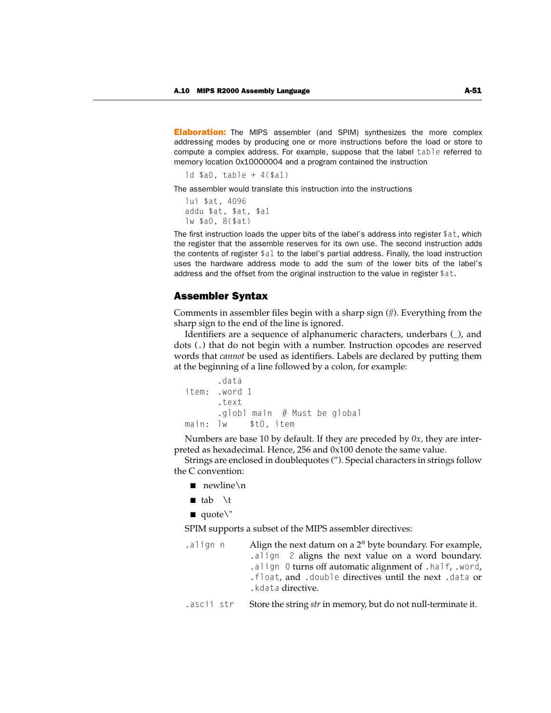**Elaboration:** The MIPS assembler (and SPIM) synthesizes the more complex addressing modes by producing one or more instructions before the load or store to compute a complex address. For example, suppose that the label table referred to memory location 0x10000004 and a program contained the instruction

ld \$a0, table + 4(\$a1)

The assembler would translate this instruction into the instructions

```
lui $at, 4096
addu $at, $at, $a1
lw $a0, 8($at)
```
The first instruction loads the upper bits of the label's address into register  $\delta \, \mathrm{at}$ , which the register that the assemble reserves for its own use. The second instruction adds the contents of register  $\delta a$ 1 to the label's partial address. Finally, the load instruction uses the hardware address mode to add the sum of the lower bits of the label's address and the offset from the original instruction to the value in register  $\frac{1}{2}at$ .

### Assembler Syntax

Comments in assembler files begin with a sharp sign (#). Everything from the sharp sign to the end of the line is ignored.

Identifiers are a sequence of alphanumeric characters, underbars  $\bigcup$ , and dots (.) that do not begin with a number. Instruction opcodes are reserved words that *cannot* be used as identifiers. Labels are declared by putting them at the beginning of a line followed by a colon, for example:

```
.data
item: .word 1
      .text
      .globl main # Must be global
main: lw $t0, item
```
Numbers are base 10 by default. If they are preceded by *0x,* they are interpreted as hexadecimal. Hence, 256 and 0x100 denote the same value.

Strings are enclosed in doublequotes ("). Special characters in strings follow the C convention:

- newline\n
- tab \t
- quote\"

SPIM supports a subset of the MIPS assembler directives:

.align n Align the next datum on a 2*n* byte boundary. For example, .align 2 aligns the next value on a word boundary. .align 0 turns off automatic alignment of .half, .word, .float, and .double directives until the next .data or .kdata directive.

.ascii str Store the string *str* in memory, but do not null-terminate it.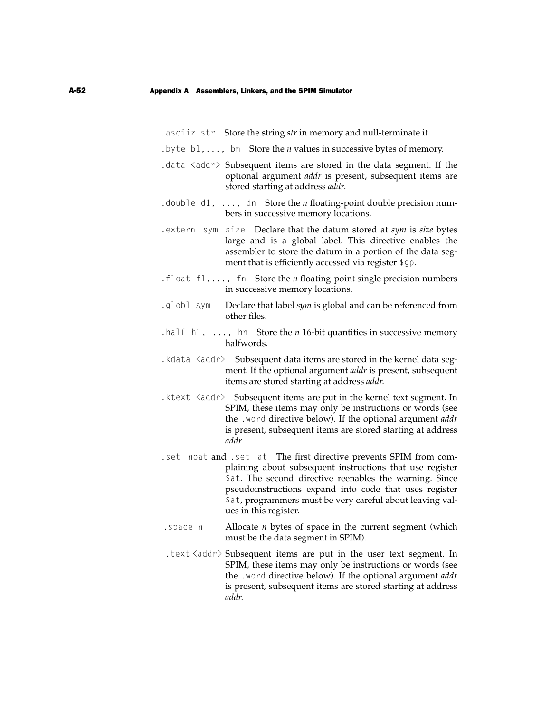|  | .asciiz str Store the string str in memory and null-terminate it. |  |
|--|-------------------------------------------------------------------|--|
|--|-------------------------------------------------------------------|--|

- .byte b1,..., bn Store the *n* values in successive bytes of memory.
- .data  $\langle \text{addr} \rangle$  Subsequent items are stored in the data segment. If the optional argument *addr* is present, subsequent items are stored starting at address *addr*.
- .double d1, ..., dn Store the *n* floating-point double precision numbers in successive memory locations.
- .extern sym size Declare that the datum stored at *sym* is *size* bytes large and is a global label. This directive enables the assembler to store the datum in a portion of the data segment that is efficiently accessed via register \$gp.
- .float f1,..., fn Store the *n* floating-point single precision numbers in successive memory locations.
- .globl sym Declare that label *sym* is global and can be referenced from other files.
- .half h1, ..., hn Store the *n* 16-bit quantities in successive memory halfwords.
- .kdata <addr> Subsequent data items are stored in the kernel data segment. If the optional argument *addr* is present, subsequent items are stored starting at address *addr*.
- . ktext  $\langle \text{addr} \rangle$  Subsequent items are put in the kernel text segment. In SPIM, these items may only be instructions or words (see the .word directive below). If the optional argument *addr* is present, subsequent items are stored starting at address *addr*.
- .set noat and .set at The first directive prevents SPIM from complaining about subsequent instructions that use register \$at. The second directive reenables the warning. Since pseudoinstructions expand into code that uses register \$at, programmers must be very careful about leaving values in this register.
- .space n Allocate *n* bytes of space in the current segment (which must be the data segment in SPIM).
	- .text <addr> Subsequent items are put in the user text segment. In SPIM, these items may only be instructions or words (see the .word directive below). If the optional argument *addr* is present, subsequent items are stored starting at address *addr*.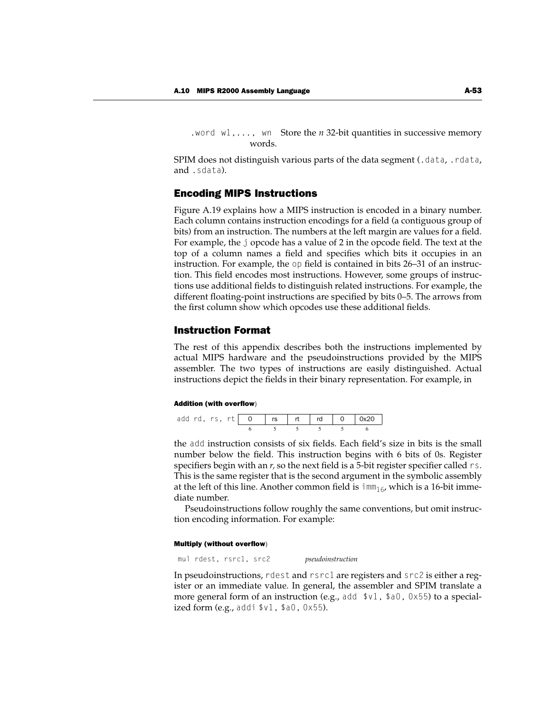.word w1,..., wn Store the *n* 32-bit quantities in successive memory words.

SPIM does not distinguish various parts of the data segment (.data, .rdata, and .sdata).

### Encoding MIPS Instructions

Figure A.19 explains how a MIPS instruction is encoded in a binary number. Each column contains instruction encodings for a field (a contiguous group of bits) from an instruction. The numbers at the left margin are values for a field. For example, the j opcode has a value of 2 in the opcode field. The text at the top of a column names a field and specifies which bits it occupies in an instruction. For example, the op field is contained in bits 26–31 of an instruction. This field encodes most instructions. However, some groups of instructions use additional fields to distinguish related instructions. For example, the different floating-point instructions are specified by bits 0–5. The arrows from the first column show which opcodes use these additional fields.

### Instruction Format

The rest of this appendix describes both the instructions implemented by actual MIPS hardware and the pseudoinstructions provided by the MIPS assembler. The two types of instructions are easily distinguished. Actual instructions depict the fields in their binary representation. For example, in

#### Addition (with overflow)

| add |  | rd. rs. rt $\begin{array}{c c c c c c c c c} \n\hline\nr & r & r & r \n\hline\nr & r & r \n\hline\nr & r & r \n\hline\nr & r & r \n\hline\nr & r & r \n\hline\nr & r & r \n\hline\nr & r & r \n\hline\nr & r & r \n\hline\nr & r & r \n\hline\nr & r & r \n\hline\nr & r & r \n\hline\nr & r & r \n\hline\nr & r & r \n\hline\nr & r & r \n\hline\nr & r & r \n\hline\nr & r & r \n\hline\nr &$ |  |  | 0x20 |  |
|-----|--|-------------------------------------------------------------------------------------------------------------------------------------------------------------------------------------------------------------------------------------------------------------------------------------------------------------------------------------------------------------------------------------------------|--|--|------|--|
|     |  |                                                                                                                                                                                                                                                                                                                                                                                                 |  |  |      |  |

the add instruction consists of six fields. Each field's size in bits is the small number below the field. This instruction begins with 6 bits of 0s. Register specifiers begin with an *r,* so the next field is a 5-bit register specifier called rs. This is the same register that is the second argument in the symbolic assembly at the left of this line. Another common field is  $\text{imm}_{16}$ , which is a 16-bit immediate number.

Pseudoinstructions follow roughly the same conventions, but omit instruction encoding information. For example:

#### Multiply (without overflow)

mul rdest, rsrc1, src2 *pseudoinstruction*

In pseudoinstructions, rdest and rsrc1 are registers and src2 is either a register or an immediate value. In general, the assembler and SPIM translate a more general form of an instruction (e.g., add \$v1, \$a0, 0x55) to a specialized form (e.g., addi \$v1, \$a0, 0x55).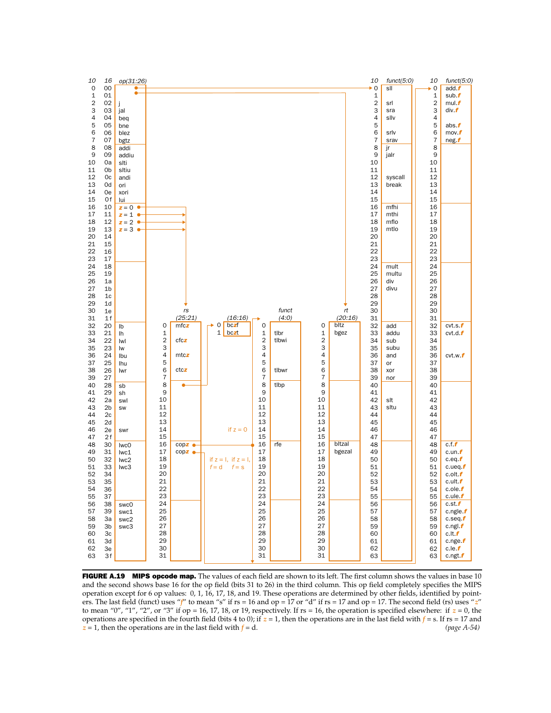| 10                                 | 16                               | op(31:26)                   |                  |                  |                           |                         |       |                                |              | 10                         | funct(5:0)   | 10               | funct(5:0)                    |
|------------------------------------|----------------------------------|-----------------------------|------------------|------------------|---------------------------|-------------------------|-------|--------------------------------|--------------|----------------------------|--------------|------------------|-------------------------------|
| $\mathsf{O}\xspace$<br>$\mathbf 1$ | 00<br>01                         |                             |                  |                  |                           |                         |       |                                |              | $\bullet$ 0<br>$\mathbf 1$ | sll          | $\bullet$ 0<br>1 | add.f<br>sub.f                |
| 2                                  | 02                               | j                           |                  |                  |                           |                         |       |                                |              | $\overline{\mathbf{c}}$    | srl          | $\overline{c}$   | mul.f                         |
| 3                                  | 03                               | jal                         |                  |                  |                           |                         |       |                                |              | 3                          | sra          | 3                | div.f                         |
| 4                                  | 04                               | beq                         |                  |                  |                           |                         |       |                                |              | 4                          | sllv         | 4                |                               |
| 5<br>6                             | 05<br>06                         | bne<br>blez                 |                  |                  |                           |                         |       |                                |              | 5<br>6                     | srlv         | 5<br>6           | abs. $f$<br>mov.f             |
| $\overline{\mathcal{I}}$           | 07                               | bgtz                        |                  |                  |                           |                         |       |                                |              | $\overline{7}$             | srav         | 7                | neg.f                         |
| 8                                  | 08                               | addi                        |                  |                  |                           |                         |       |                                |              | 8                          | jr           | 8                |                               |
| 9                                  | 09                               | addiu                       |                  |                  |                           |                         |       |                                |              | 9                          | jalr         | 9                |                               |
| 10                                 | 0a                               | slti                        |                  |                  |                           |                         |       |                                |              | 10                         |              | 10               |                               |
| 11<br>12                           | 0 <sub>b</sub><br>0c             | sltiu<br>andi               |                  |                  |                           |                         |       |                                |              | 11<br>12                   | syscall      | 11<br>12         |                               |
| 13                                 | Od                               | ori                         |                  |                  |                           |                         |       |                                |              | 13                         | break        | 13               |                               |
| 14                                 | 0e                               | xori                        |                  |                  |                           |                         |       |                                |              | 14                         |              | 14               |                               |
| 15                                 | 0f                               | lui                         |                  |                  |                           |                         |       |                                |              | 15                         |              | 15               |                               |
| 16<br>17                           | 10<br>11                         | $\mathbf{z} = 0$<br>$z = 1$ |                  |                  |                           |                         |       |                                |              | 16<br>17                   | mfhi<br>mthi | 16<br>17         |                               |
| 18                                 | 12                               | $z = 2$                     |                  |                  |                           |                         |       |                                |              | 18                         | mflo         | 18               |                               |
| 19                                 | 13                               | $z = 3$ $\bullet$           |                  |                  |                           |                         |       |                                |              | 19                         | mtlo         | 19               |                               |
| 20                                 | 14                               |                             |                  |                  |                           |                         |       |                                |              | 20                         |              | 20               |                               |
| 21                                 | 15                               |                             |                  |                  |                           |                         |       |                                |              | 21                         |              | 21               |                               |
| 22<br>23                           | 16<br>17                         |                             |                  |                  |                           |                         |       |                                |              | 22<br>23                   |              | 22<br>23         |                               |
| 24                                 | 18                               |                             |                  |                  |                           |                         |       |                                |              | 24                         | mult         | 24               |                               |
| 25                                 | 19                               |                             |                  |                  |                           |                         |       |                                |              | 25                         | multu        | 25               |                               |
| 26                                 | 1a                               |                             |                  |                  |                           |                         |       |                                |              | 26                         | div          | 26               |                               |
| 27<br>28                           | 1 <sub>b</sub><br>1 <sub>c</sub> |                             |                  |                  |                           |                         |       |                                |              | 27<br>28                   | divu         | 27<br>28         |                               |
| 29                                 | 1 <sub>d</sub>                   |                             |                  |                  |                           |                         |       |                                |              | 29                         |              | 29               |                               |
| 30                                 | 1e                               |                             |                  | $r\mathbf{s}$    |                           |                         | funct |                                | $\it rt$     | 30                         |              | 30               |                               |
| 31                                 | 1f                               |                             |                  | (25:21)          | (16:16)                   |                         | (4:0) |                                | (20:16)      | 31                         |              | 31               |                               |
| 32<br>33                           | 20<br>21                         | lb<br>Ih                    | 0<br>$\mathbf 1$ | mfcz             | 0<br>bczf<br>1 <br>bczt   | 0<br>$\mathbf{1}$       | tlbr  | 0<br>$\mathbf 1$               | bltz<br>bgez | 32<br>33                   | add<br>addu  | 32<br>33         | cvt.s.f<br>cvt.d.f            |
| 34                                 | 22                               | lwl                         | $\overline{c}$   | ctc              |                           | $\overline{\mathbf{c}}$ | tlbwi | $\overline{\mathbf{c}}$        |              | 34                         | sub          | 34               |                               |
| 35                                 | 23                               | lw                          | 3                |                  |                           | 3                       |       | 3                              |              | 35                         | subu         | 35               |                               |
| 36                                 | 24                               | Ibu                         | 4                | mcz              |                           | 4                       |       | 4                              |              | 36                         | and          | 36               | cvt w f                       |
| 37                                 | 25                               | Ihu                         | 5                |                  |                           | 5                       |       | 5                              |              | 37                         | or           | 37               |                               |
| 38<br>39                           | 26<br>27                         | lwr                         | 6<br>7           | ctc              |                           | 6<br>7                  | tlbwr | 6<br>$\overline{\mathfrak{c}}$ |              | 38<br>39                   | xor<br>nor   | 38<br>39         |                               |
| 40                                 | 28                               | sb                          | 8                |                  |                           | 8                       | tlbp  | 8                              |              | 40                         |              | 40               |                               |
| 41                                 | 29                               | sh                          | 9                |                  |                           | 9                       |       | 9                              |              | 41                         |              | 41               |                               |
| 42                                 | 2a                               | swl                         | 10<br>11         |                  |                           | 10<br>11                |       | 10<br>11                       |              | 42                         | slt          | 42               |                               |
| 43<br>44                           | 2 <sub>b</sub><br>2c             | SW                          | 12               |                  |                           | 12                      |       | 12                             |              | 43<br>44                   | sltu         | 43<br>44         |                               |
| 45                                 | 2d                               |                             | 13               |                  |                           | 13                      |       | 13                             |              | 45                         |              | 45               |                               |
| 46                                 | 2e                               | swr                         | 14               |                  | if $z = 0$                | 14                      |       | 14                             |              | 46                         |              | 46               |                               |
| 47<br>48                           | 2f<br>30                         |                             | 15<br>16         | $copz$ $\bullet$ |                           | 15<br>16                | rfe   | 15<br>16                       | bltzal       | 47<br>48                   |              | 47<br>48         | c.f.f                         |
| 49                                 | 31                               | lwc <sub>0</sub><br>lwc1    | 17               | $copz$ $\bullet$ |                           | 17                      |       | 17                             | bgezal       | 49                         |              | 49               | $c.$ un. $f$                  |
| 50                                 | 32                               | lwc2                        | 18               |                  | if $z = 1$ , if $z = 1$ , | 18                      |       | 18                             |              | 50                         |              | 50               | c.eq.f                        |
| 51                                 | 33                               | lwc3                        | 19               |                  | $f = d$ $f = s$           | 19                      |       | 19                             |              | 51                         |              | 51               | $c.$ ueq. $f$                 |
| 52                                 | 34                               |                             | 20<br>21         |                  |                           | 20<br>21                |       | 20<br>21                       |              | 52                         |              | 52               | $c.$ olt. $f$<br>$c.$ ult $f$ |
| 53<br>54                           | 35<br>36                         |                             | 22               |                  |                           | 22                      |       | 22                             |              | 53<br>54                   |              | 53<br>54         | $c.$ ole $f$                  |
| 55                                 | 37                               |                             | 23               |                  |                           | 23                      |       | 23                             |              | 55                         |              | 55               | $c.$ ule. $f$                 |
| 56                                 | 38                               | swc0                        | 24               |                  |                           | 24                      |       | 24                             |              | 56                         |              | 56               | c.st.f                        |
| 57                                 | 39                               | swc1                        | 25               |                  |                           | 25                      |       | 25                             |              | 57                         |              | 57               | c.ngle. $f$                   |
| 58<br>59                           | За<br>3b                         | swc2<br>swc3                | 26<br>27         |                  |                           | 26<br>27                |       | 26<br>27                       |              | 58<br>59                   |              | 58<br>59         | $c.\n$ seq. $f$<br>c.ngl $f$  |
| 60                                 | 3c                               |                             | 28               |                  |                           | 28                      |       | 28                             |              | 60                         |              | 60               | c.l. f                        |
| 61                                 | 3d                               |                             | 29               |                  |                           | 29                      |       | 29                             |              | 61                         |              | 61               | c.nge $f$                     |
| 62                                 | 3e                               |                             | 30<br>31         |                  |                           | 30<br>31                |       | 30<br>31                       |              | 62                         |              | 62               | $c.$ le. $f$                  |
| 63                                 | 3f                               |                             |                  |                  |                           |                         |       |                                |              | 63                         |              | 63               | c.ngt. $f$                    |

FIGURE A.19 MIPS opcode map. The values of each field are shown to its left. The first column shows the values in base 10 and the second shows base 16 for the op field (bits 31 to 26) in the third column. This op field completely specifies the MIPS operation except for 6 op values: 0, 1, 16, 17, 18, and 19. These operations are determined by other fields, identified by pointers. The last field (funct) uses "*f*" to mean "s" if rs = 16 and op = 17 or "d" if rs = 17 and op = 17. The second field (rs) uses "*z*" to mean "0", "1", "2", or "3" if op = 16, 17, 18, or 19, respectively. If  $rs = 16$ , the operation is specified elsewhere: if  $z = 0$ , the operations are specified in the fourth field (bits 4 to 0); if  $z = 1$ , then the operations are in the last field with  $f = s$ . If  $rs = 17$  and  $z = 1$ , then the operations are in the last field with  $f = d$ . (*page A-54*)  $z = 1$ , then the operations are in the last field with  $f = d$ .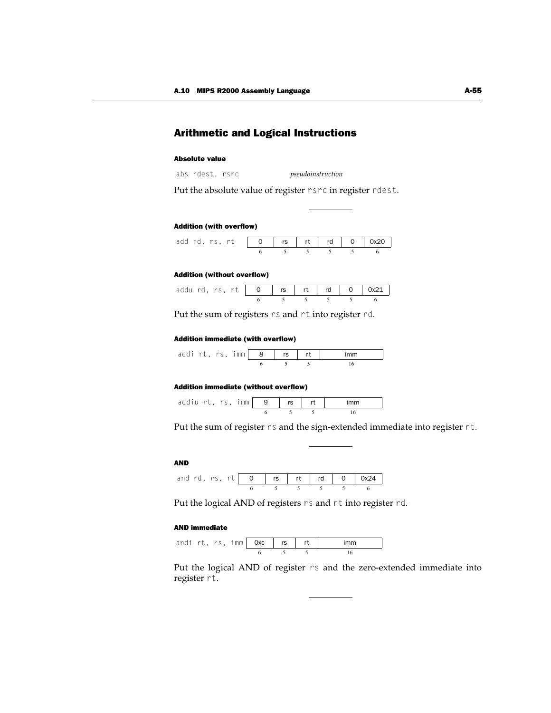### Arithmetic and Logical Instructions

#### Absolute value

abs rdest, rsrc *pseudoinstruction*

Put the absolute value of register rsrc in register rdest.

#### Addition (with overflow)

|  |  |  | $\sim$ 5 |  |  |
|--|--|--|----------|--|--|

#### Addition (without overflow)

|  |  | addurd, rs, rt   0   rs   rt   rd   0   0x21 |  |      |  |
|--|--|----------------------------------------------|--|------|--|
|  |  |                                              |  | 5555 |  |

Put the sum of registers rs and rt into register rd.

#### Addition immediate (with overflow)

| ac | irt rc<br>◡ | - 8 | rs | r۱ | mm |
|----|-------------|-----|----|----|----|
|    |             |     |    |    |    |

#### Addition immediate (without overflow)

| $\mathbf{a}$ |  | au rt. rs. imm⊥ | - 9 | rs |  |
|--------------|--|-----------------|-----|----|--|
|              |  |                 |     |    |  |

Put the sum of register rs and the sign-extended immediate into register rt.

#### AND

|  |  |  |  | and rd, rs, rt   0   rs   rt   rd   0   0x24 |
|--|--|--|--|----------------------------------------------|
|  |  |  |  |                                              |

Put the logical AND of registers rs and rt into register rd.

#### AND immediate

| andirt, rs, imm   w. |  |  | $0xc$ $ $ $rs$ $ $ $rt$ $ $ |  |
|----------------------|--|--|-----------------------------|--|
|                      |  |  |                             |  |

Put the logical AND of register rs and the zero-extended immediate into register rt.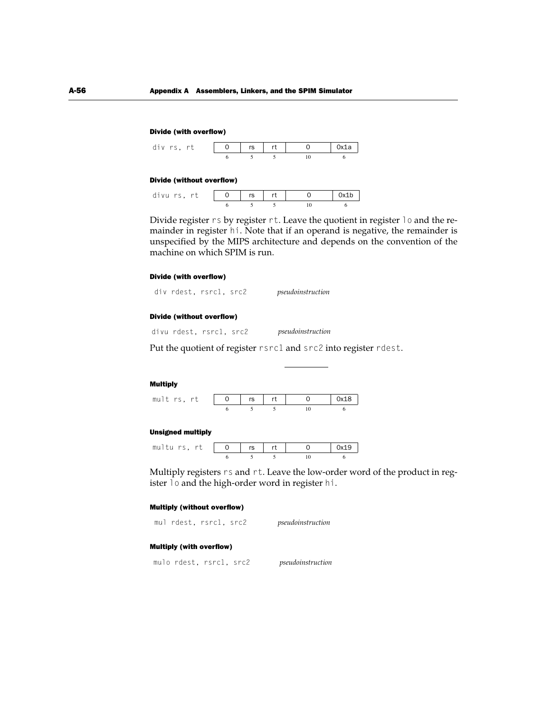#### Divide (with overflow)



#### Divide (without overflow)

| divu rs, rt | OINS |  | $\bullet$ $\bullet$ $\bullet$ |  |
|-------------|------|--|-------------------------------|--|
|             |      |  |                               |  |

Divide register rs by register rt. Leave the quotient in register 10 and the remainder in register hi. Note that if an operand is negative, the remainder is unspecified by the MIPS architecture and depends on the convention of the machine on which SPIM is run.

#### Divide (with overflow)

div rdest, rsrc1, src2 *pseudoinstruction*

#### Divide (without overflow)

divu rdest, rsrc1, src2 *pseudoinstruction*

Put the quotient of register rsrc1 and src2 into register rdest.

#### Multiply



#### Unsigned multiply

| multu<br>. r.<br>n c<br>◡<br>◡ |  | rt | $\sqrt{1}$ |  |
|--------------------------------|--|----|------------|--|
|                                |  |    |            |  |

Multiply registers rs and rt. Leave the low-order word of the product in register lo and the high-order word in register hi.

#### Multiply (without overflow)

|  | mul rdest, rsrc1, src2   | pseudoinstruction |
|--|--------------------------|-------------------|
|  | Multiply (with overflow) |                   |
|  | mulo rdest, rsrc1, src2  | pseudoinstruction |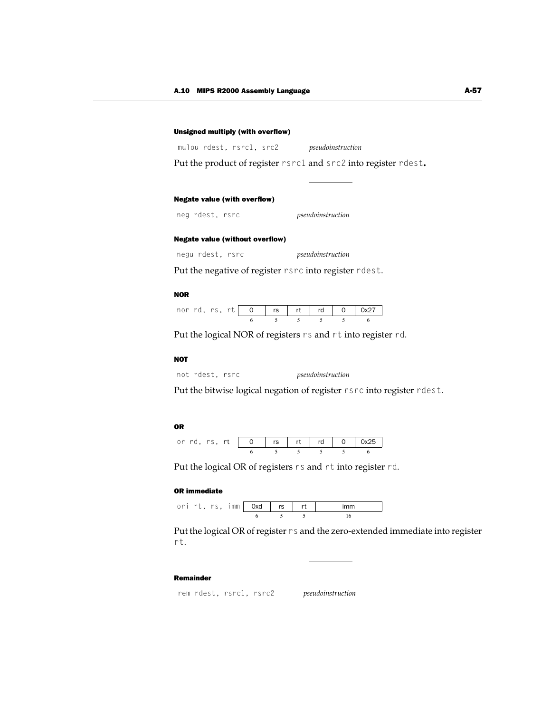#### Unsigned multiply (with overflow)

mulou rdest, rsrc1, src2 *pseudoinstruction*

Put the product of register rsrc1 and src2 into register rdest**.**

#### Negate value (with overflow)

neg rdest, rsrc *pseudoinstruction*

Negate value (without overflow)

negu rdest, rsrc *pseudoinstruction*

Put the negative of register rsrc into register rdest.

#### NOR

|  |  |  |  | nor rd. rs. rt  0   rs   rt   rd   0   0x27 |
|--|--|--|--|---------------------------------------------|
|  |  |  |  |                                             |

Put the logical NOR of registers rs and rt into register rd.

#### **NOT**

not rdest, rsrc *pseudoinstruction*

Put the bitwise logical negation of register rsrc into register rdest.

#### OR



Put the logical OR of registers rs and rt into register rd.

#### OR immediate

|  | 1 rt rc " | nm<br>шш | Oxd | rs |  |
|--|-----------|----------|-----|----|--|
|  |           |          |     |    |  |

Put the logical OR of register rs and the zero-extended immediate into register rt.

#### Remainder

rem rdest, rsrc1, rsrc2 *pseudoinstruction*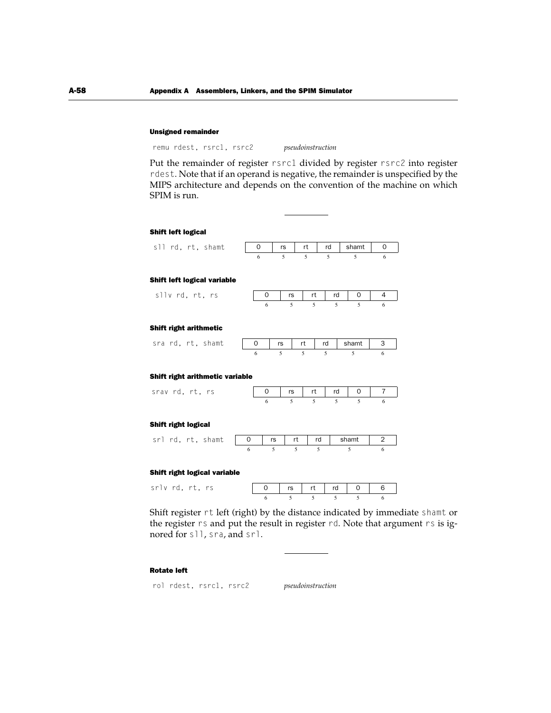#### Unsigned remainder

remu rdest, rsrc1, rsrc2 *pseudoinstruction*

Put the remainder of register rsrc1 divided by register rsrc2 into register rdest. Note that if an operand is negative, the remainder is unspecified by the MIPS architecture and depends on the convention of the machine on which SPIM is run.

#### Shift left logical



#### Shift left logical variable

| sllv rd. rt. rs | 0   rs   rt   rd   0   4 |           |  |  |
|-----------------|--------------------------|-----------|--|--|
|                 |                          | 5 5 5 5 6 |  |  |

#### Shift right arithmetic

sra rd, rt, sh

|  | -- | ---<br>ч |  |
|--|----|----------|--|
|  |    |          |  |

#### Shift right arithmetic variable

| srav rd. rt. rs |  |           |  |  |
|-----------------|--|-----------|--|--|
|                 |  | 6 5 5 5 5 |  |  |

### Shift right logical

srl rd, rt, shamt 0 rs rt rd shamt 2 6 555 5 6

#### Shift right logical variable

srlv rd, rt, rs 0 rs rt rd 0 6 6 5555 6

Shift register rt left (right) by the distance indicated by immediate shamt or the register rs and put the result in register rd. Note that argument rs is ignored for sll, sra, and srl.

#### Rotate left

rol rdest, rsrc1, rsrc2 *pseudoinstruction*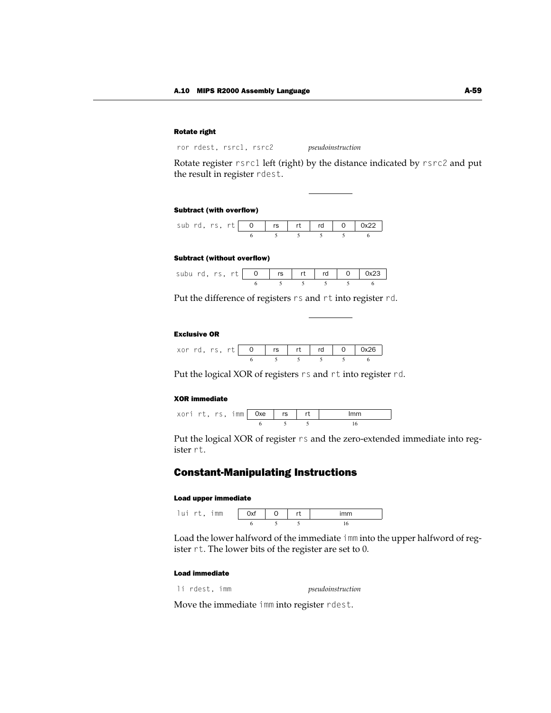#### Rotate right

ror rdest, rsrc1, rsrc2 *pseudoinstruction*

Rotate register rsrc1 left (right) by the distance indicated by rsrc2 and put the result in register rdest.

#### Subtract (with overflow)

| sub | r c | 0   rs   rt   rd   0 |  |  |  |
|-----|-----|----------------------|--|--|--|
|     |     |                      |  |  |  |

#### Subtract (without overflow)



Put the difference of registers rs and rt into register rd.

#### Exclusive OR

|  |  | xor rd, rs, rt   $0$   rs   rt   rd   0   \ |  |  | 0x26 |
|--|--|---------------------------------------------|--|--|------|
|  |  |                                             |  |  |      |

Put the logical XOR of registers rs and rt into register rd.

#### XOR immediate



Put the logical XOR of register rs and the zero-extended immediate into register rt.

### Constant-Manipulating Instructions

#### Load upper immediate



Load the lower halfword of the immediate imm into the upper halfword of register rt. The lower bits of the register are set to 0.

#### Load immediate

li rdest, imm *pseudoinstruction*

Move the immediate imm into register rdest.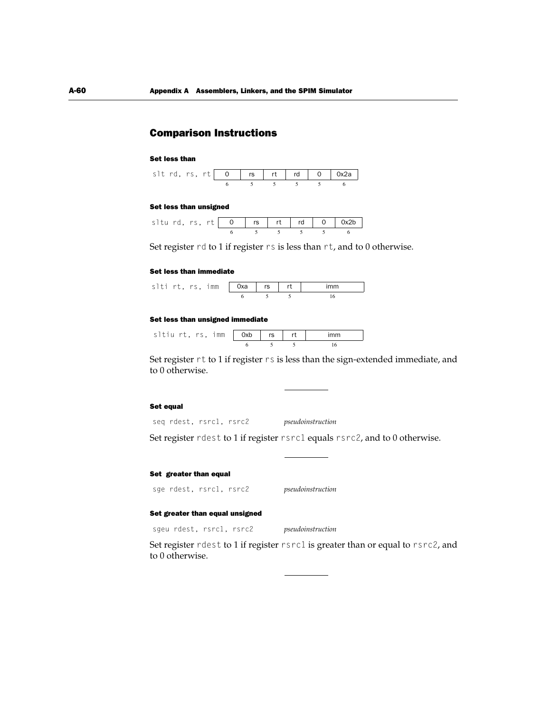### Comparison Instructions

#### Set less than



#### Set less than unsigned

|  |  | siturd, rs, rt   $0$   rs   rt   rd   0   0x2b |         |  |  |
|--|--|------------------------------------------------|---------|--|--|
|  |  |                                                | 5 5 5 5 |  |  |

Set register rd to 1 if register rs is less than rt, and to 0 otherwise.

#### Set less than immediate

|  | Iti rt, rs, imm | оха | rs |  |
|--|-----------------|-----|----|--|
|  |                 |     |    |  |

#### Set less than unsigned immediate

| sltiu rt. rs. i |  | i mm | $\sqrt{a}$ | rs |  |
|-----------------|--|------|------------|----|--|
|                 |  |      |            |    |  |

Set register rt to 1 if register rs is less than the sign-extended immediate, and to 0 otherwise.

#### Set equal

seq rdest, rsrc1, rsrc2 *pseudoinstruction*

Set register rdest to 1 if register rsrc1 equals rsrc2, and to 0 otherwise.

#### Set greater than equal

sge rdest, rsrc1, rsrc2 *pseudoinstruction*

### Set greater than equal unsigned

sgeu rdest, rsrc1, rsrc2 *pseudoinstruction*

Set register rdest to 1 if register rsrc1 is greater than or equal to rsrc2, and to 0 otherwise.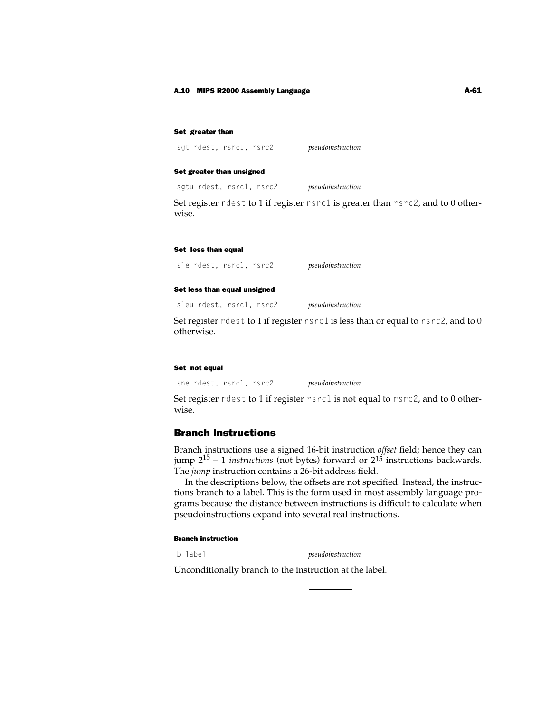#### Set greater than

sgt rdest, rsrc1, rsrc2 *pseudoinstruction*

#### Set greater than unsigned

sgtu rdest, rsrc1, rsrc2 *pseudoinstruction*

Set register rdest to 1 if register rsrc1 is greater than rsrc2, and to 0 otherwise.

#### Set less than equal

sle rdest, rsrc1, rsrc2 *pseudoinstruction*

#### Set less than equal unsigned

sleu rdest, rsrc1, rsrc2 *pseudoinstruction*

Set register rdest to 1 if register rsrc1 is less than or equal to rsrc2, and to 0

#### Set not equal

otherwise.

sne rdest, rsrc1, rsrc2 *pseudoinstruction*

Set register rdest to 1 if register rsrc1 is not equal to rsrc2, and to 0 otherwise.

### Branch Instructions

Branch instructions use a signed 16-bit instruction *offset* field; hence they can jump 215 – 1 *instructions* (not bytes) forward or 215 instructions backwards. The *jump* instruction contains a 26-bit address field.

In the descriptions below, the offsets are not specified. Instead, the instructions branch to a label. This is the form used in most assembly language programs because the distance between instructions is difficult to calculate when pseudoinstructions expand into several real instructions.

#### Branch instruction

b label *pseudoinstruction*

Unconditionally branch to the instruction at the label.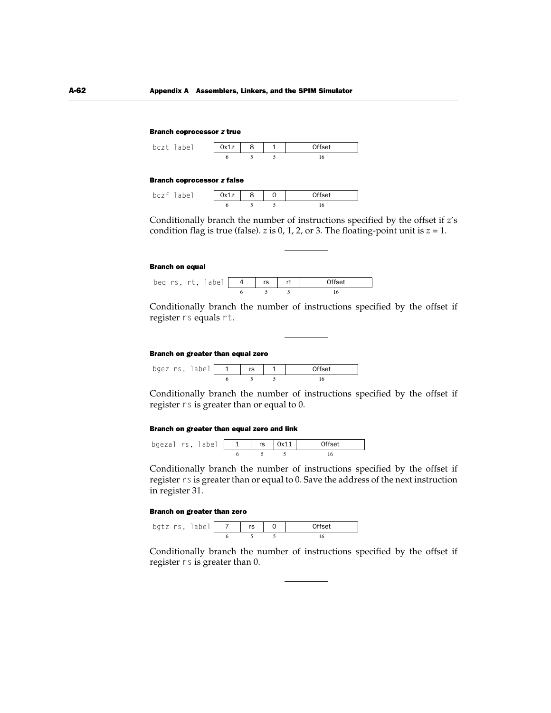#### Branch coprocessor *z* true



#### Branch coprocessor *z* false



Conditionally branch the number of instructions specified by the offset if *z*'s condition flag is true (false). *z* is 0, 1, 2, or 3. The floating-point unit is  $z = 1$ .

#### Branch on equal



Conditionally branch the number of instructions specified by the offset if register rs equals rt.

#### Branch on greater than equal zero



Conditionally branch the number of instructions specified by the offset if register rs is greater than or equal to 0.

#### Branch on greater than equal zero and link



Conditionally branch the number of instructions specified by the offset if register rs is greater than or equal to 0. Save the address of the next instruction in register 31.

#### Branch on greater than zero



Conditionally branch the number of instructions specified by the offset if register rs is greater than 0.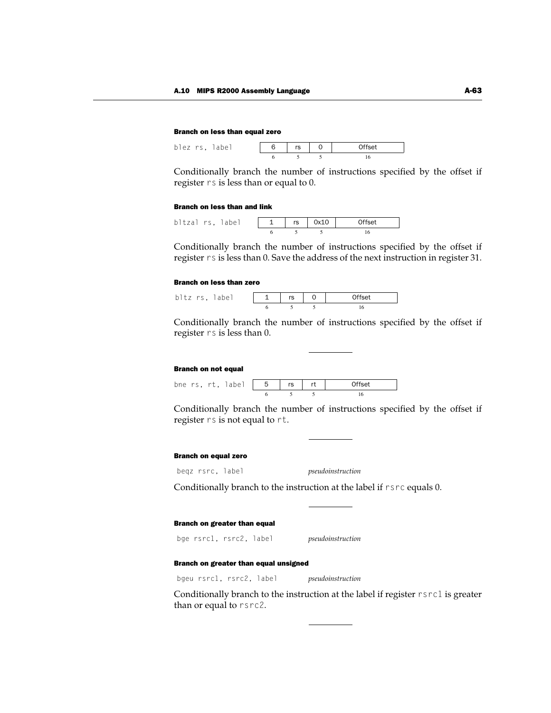#### Branch on less than equal zero

| blez rs, label | rs | ffset |
|----------------|----|-------|
|                |    |       |

Conditionally branch the number of instructions specified by the offset if register rs is less than or equal to 0.

#### Branch on less than and link

| bltzal rs. label |  |  | 1   rs   0x10   U | <b>ffset</b> |
|------------------|--|--|-------------------|--------------|
|                  |  |  |                   |              |

Conditionally branch the number of instructions specified by the offset if register rs is less than 0. Save the address of the next instruction in register 31.

#### Branch on less than zero

| bltz<br>r c<br>ـ د ۲<br>u n r 1<br>◡ |  | ∍et |
|--------------------------------------|--|-----|
|                                      |  |     |

Conditionally branch the number of instructions specified by the offset if register rs is less than 0.

#### Branch on not equal



Conditionally branch the number of instructions specified by the offset if register rs is not equal to rt.

#### Branch on equal zero

beqz rsrc, label *pseudoinstruction*

Conditionally branch to the instruction at the label if rsrc equals 0.

#### Branch on greater than equal

bge rsrc1, rsrc2, label *pseudoinstruction*

#### Branch on greater than equal unsigned

bgeu rsrc1, rsrc2, label *pseudoinstruction*

Conditionally branch to the instruction at the label if register rsrc1 is greater than or equal to rsrc2.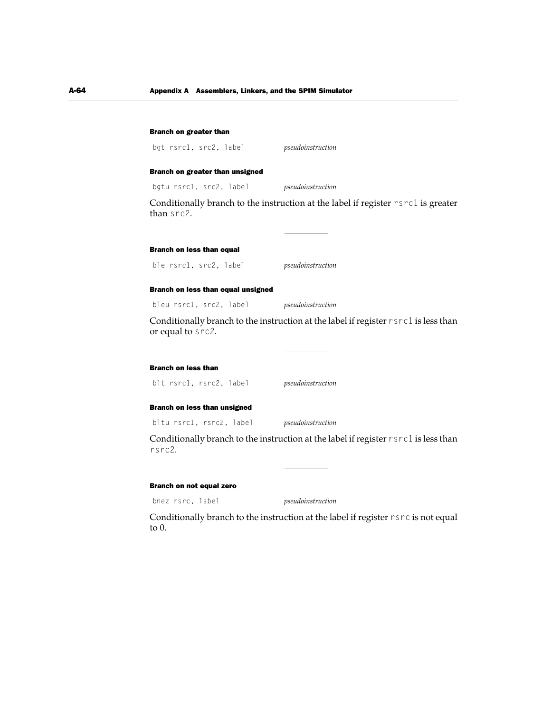#### Branch on greater than

bgt rsrc1, src2, label *pseudoinstruction*

#### Branch on greater than unsigned

bgtu rsrc1, src2, label *pseudoinstruction*

Conditionally branch to the instruction at the label if register rsrc1 is greater than src2.

#### Branch on less than equal

ble rsrc1, src2, label *pseudoinstruction*

#### Branch on less than equal unsigned

bleu rsrc1, src2, label *pseudoinstruction*

Conditionally branch to the instruction at the label if register rsrc1 is less than or equal to src2.

#### Branch on less than

blt rsrc1, rsrc2, label *pseudoinstruction*

#### Branch on less than unsigned

bltu rsrc1, rsrc2, label *pseudoinstruction*

Conditionally branch to the instruction at the label if register rsrc1 is less than

#### Branch on not equal zero

bnez rsrc, label *pseudoinstruction*

rsrc2.

Conditionally branch to the instruction at the label if register rsrc is not equal to 0.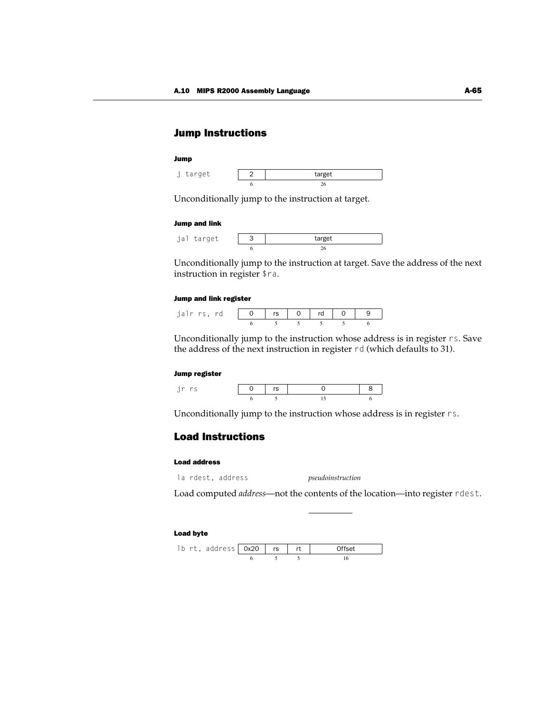### Jump Instructions

| ٠<br>×<br>. . |
|---------------|
|---------------|

| .<br>u | target |
|--------|--------|
|        |        |

Unconditionally jump to the instruction at target.

#### Jump and link

| iа<br>ا با ل<br>$U$ ul<br>v<br>◡ | target |
|----------------------------------|--------|
|                                  |        |

Unconditionally jump to the instruction at target. Save the address of the next instruction in register \$ra.

#### Jump and link register

| hair rs. ru | r <sub>s</sub> | $\begin{array}{c c c c c c c c c} \hline \end{array}$ |  | ч |
|-------------|----------------|-------------------------------------------------------|--|---|
|             |                |                                                       |  |   |

Unconditionally jump to the instruction whose address is in register rs. Save the address of the next instruction in register rd (which defaults to 31).

#### Jump register

Unconditionally jump to the instruction whose address is in register rs.

### Load Instructions

### Load address

la rdest, address *pseudoinstruction*

Load computed *address*—not the contents of the location—into register rdest.

### Load byte

lb rt, address 0x20 rs rt Offset 6 5 5 16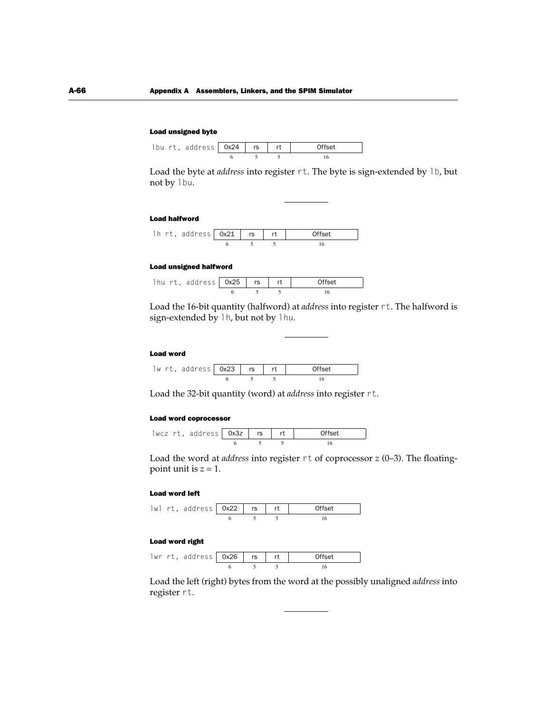#### Load unsigned byte



Load the byte at *address* into register rt. The byte is sign-extended by 1b, but not by lbu.

#### Load halfword

|  | $\frac{1}{n}$ h rt, address $\frac{1}{n}$ 0x21   rs   rt |  |  |
|--|----------------------------------------------------------|--|--|
|  |                                                          |  |  |

#### Load unsigned halfword



Load the 16-bit quantity (halfword) at *address* into register rt. The halfword is sign-extended by 1h, but not by 1hu.

#### Load word

|  | $\frac{1}{1}$ w rt, address $\frac{1}{2}$ 0x23 $\frac{1}{1}$ rs $\frac{1}{1}$ rt |  |  |
|--|----------------------------------------------------------------------------------|--|--|
|  |                                                                                  |  |  |

Load the 32-bit quantity (word) at *address* into register rt.

#### Load word coprocessor



Load the word at *address* into register rt of coprocessor *z* (0–3). The floatingpoint unit is  $z = 1$ .

#### Load word left



#### Load word right



Load the left (right) bytes from the word at the possibly unaligned *address* into register rt.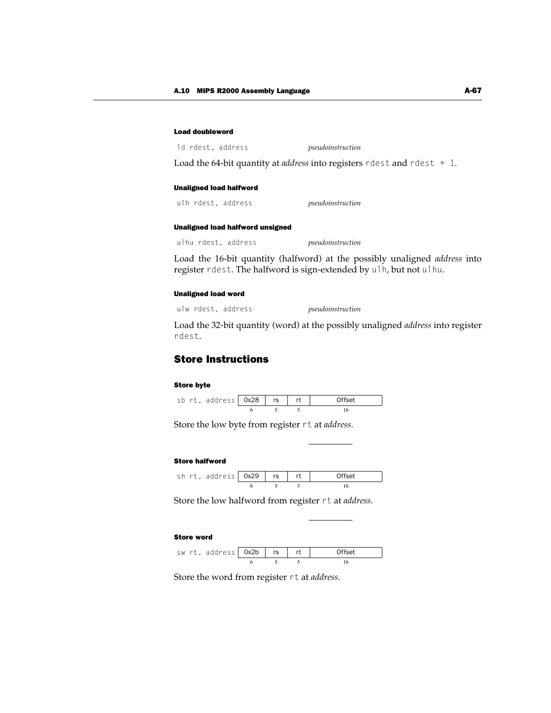#### Load doubleword

ld rdest, address *pseudoinstruction*

Load the 64-bit quantity at *address* into registers rdest and rdest + 1.

#### Unaligned load halfword

ulh rdest, address *pseudoinstruction*

#### Unaligned load halfword unsigned

ulhu rdest, address *pseudoinstruction*

Load the 16-bit quantity (halfword) at the possibly unaligned *address* into register rdest. The halfword is sign-extended by ulh, but not ulhu.

#### Unaligned load word

ulw rdest, address *pseudoinstruction*

Load the 32-bit quantity (word) at the possibly unaligned *address* into register rdest.

### Store Instructions

#### Store byte



Store the low byte from register rt at *address.*

#### Store halfword

|  | sh rt, address $\sqrt{0x29}$ rs $\sqrt{11}$ |  |  |
|--|---------------------------------------------|--|--|
|  |                                             |  |  |

Store the low halfword from register rt at *address*.

#### Store word

| sw rt, address   Ox2b   rs   rt |  |  |
|---------------------------------|--|--|
|                                 |  |  |

Store the word from register rt at *address*.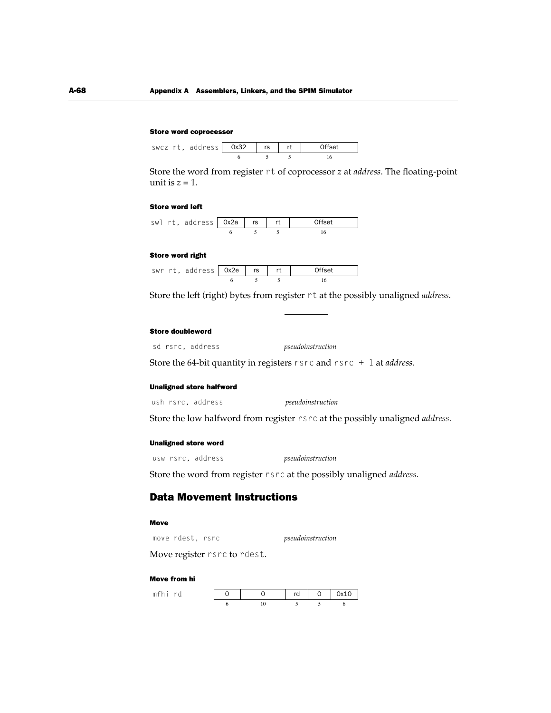#### Store word coprocessor



Store the word from register rt of coprocessor *z* at *address*. The floating-point unit is  $z = 1$ .

#### Store word left



#### Store word right

|  | swr rt, address   Ox2e   rs   rt |  | Offset |
|--|----------------------------------|--|--------|
|  |                                  |  |        |

Store the left (right) bytes from register rt at the possibly unaligned *address*.

#### Store doubleword

sd rsrc, address *pseudoinstruction*

Store the 64-bit quantity in registers rsrc and rsrc + 1 at *address*.

#### Unaligned store halfword

ush rsrc, address *pseudoinstruction*

Store the low halfword from register rsrc at the possibly unaligned *address*.

#### Unaligned store word

usw rsrc, address *pseudoinstruction*

Store the word from register rsrc at the possibly unaligned *address*.

### Data Movement Instructions

#### Move

move rdest, rsrc *pseudoinstruction*

Move register rsrc to rdest.

#### Move from hi

| m. |  | ч | $\mathbf{\Omega}$ | - - - - - |  |
|----|--|---|-------------------|-----------|--|
|    |  |   |                   |           |  |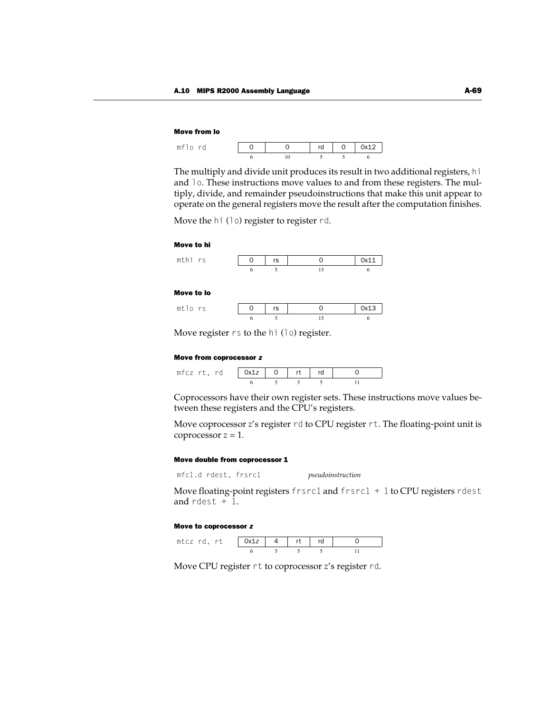#### Move from lo



The multiply and divide unit produces its result in two additional registers, hi and 10. These instructions move values to and from these registers. The multiply, divide, and remainder pseudoinstructions that make this unit appear to operate on the general registers move the result after the computation finishes.

Move the hi (lo) register to register rd.

#### Move to hi



Move to lo

mtlo rs

Move register  $rs$  to the  $hi$  ( $lo$ ) register.

#### Move from coprocessor *z*

| mtcz rt rc<br>,,,,, | $\begin{array}{c c c c} \hline \ \text{O} & \text{I} & \text{r} \text{t} \ \hline \end{array}$ |  |  |
|---------------------|------------------------------------------------------------------------------------------------|--|--|
|                     |                                                                                                |  |  |

Coprocessors have their own register sets. These instructions move values between these registers and the CPU's registers.

Move coprocessor *z'*s register rd to CPU register rt. The floating-point unit is coprocessor  $z = 1$ .

#### Move double from coprocessor 1

mfc1.d rdest, frsrc1 *pseudoinstruction*

Move floating-point registers frsrc1 and frsrc1 + 1 to CPU registers rdest and rdest + 1.

#### Move to coprocessor *z*

| $m + c$<br>r nt i<br><b>……</b> |  | 4   rt |  |
|--------------------------------|--|--------|--|
|                                |  |        |  |

Move CPU register rt to coprocessor *z*'s register rd.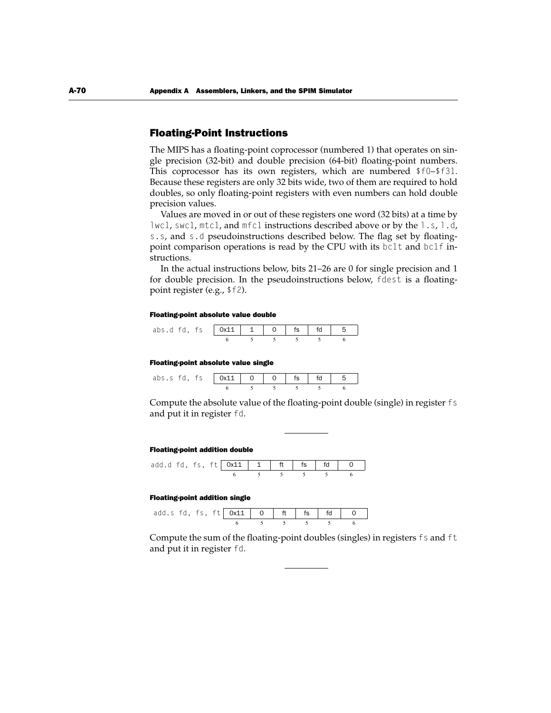### Floating-Point Instructions

The MIPS has a floating-point coprocessor (numbered 1) that operates on single precision (32-bit) and double precision (64-bit) floating-point numbers. This coprocessor has its own registers, which are numbered  $$f0-$f31$ . Because these registers are only 32 bits wide, two of them are required to hold doubles, so only floating-point registers with even numbers can hold double precision values.

Values are moved in or out of these registers one word (32 bits) at a time by lwc1, swc1, mtc1, and mfc1 instructions described above or by the l.s, l.d, s.s, and s.d pseudoinstructions described below. The flag set by floatingpoint comparison operations is read by the CPU with its bc1t and bc1f instructions.

In the actual instructions below, bits 21–26 are 0 for single precision and 1 for double precision. In the pseudoinstructions below, fdest is a floatingpoint register (e.g., \$f2).

#### Floating-point absolute value double



#### Floating-point absolute value single

|  | abs.s fd. fs $\vert$ 0x11   0   0   fs   1 |  |  | - 5 |
|--|--------------------------------------------|--|--|-----|
|  |                                            |  |  |     |

Compute the absolute value of the floating-point double (single) in register fs and put it in register fd.

#### Floating-point addition double



#### Floating-point addition single



Compute the sum of the floating-point doubles (singles) in registers fs and ft and put it in register fd.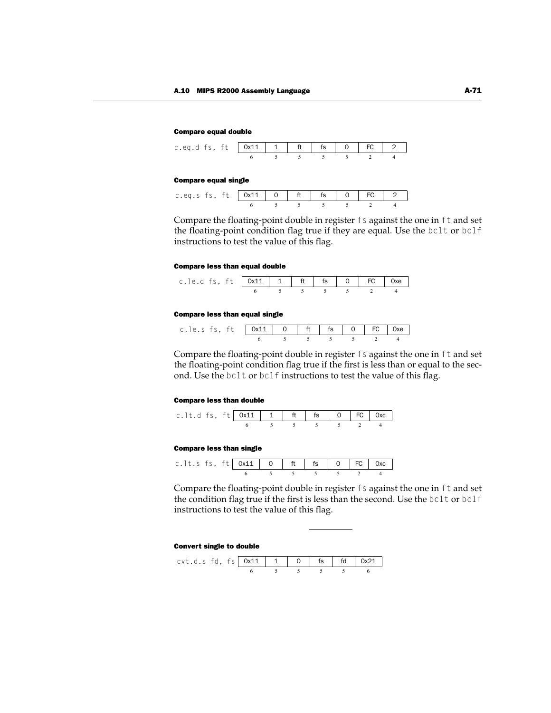#### Compare equal double

| c.eq.d fs, ft   $0x11$   1   ft   fs   0   FC   2 |  |  |  |  |
|---------------------------------------------------|--|--|--|--|
|                                                   |  |  |  |  |

#### Compare equal single

| c.eq.s fs, ft $\vert$ 0x11   0   ft   fs   0   FC   2 |  |             |  |  |
|-------------------------------------------------------|--|-------------|--|--|
|                                                       |  | 5 5 5 5 2 4 |  |  |

Compare the floating-point double in register fs against the one in ft and set the floating-point condition flag true if they are equal. Use the bc1t or bc1f instructions to test the value of this flag.

#### Compare less than equal double

| c. le.d fs. ft $\vert$ 0x11   1   ft   fs   0   FC   0xe |  |  |  |  |
|----------------------------------------------------------|--|--|--|--|
|                                                          |  |  |  |  |

#### Compare less than equal single

| c. le.s fs. ft $\vert$ 0x11   0   ft   fs   0   FC |  |  |  | 0xe |
|----------------------------------------------------|--|--|--|-----|
|                                                    |  |  |  |     |

Compare the floating-point double in register fs against the one in ft and set the floating-point condition flag true if the first is less than or equal to the second. Use the bc1t or bc1f instructions to test the value of this flag.

#### Compare less than double

| c. It.d fs, ft $\boxed{0x11}$ 1 ft fs $\boxed{0}$ FC $\boxed{0xc}$ |  |  |               |  |  |
|--------------------------------------------------------------------|--|--|---------------|--|--|
|                                                                    |  |  | 6 5 5 5 5 2 4 |  |  |

#### Compare less than single

| c. It.s fs, ft   $0x11$   0   ft   fs   0   FC   0xc |  |  |  |  |
|------------------------------------------------------|--|--|--|--|
|                                                      |  |  |  |  |

Compare the floating-point double in register fs against the one in ft and set the condition flag true if the first is less than the second. Use the bc1t or bc1f instructions to test the value of this flag.

#### Convert single to double

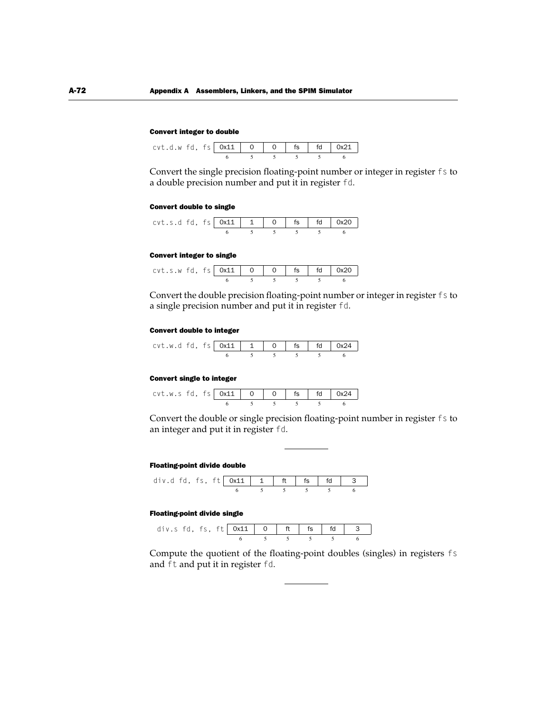#### Convert integer to double

| cvt.d.w fd, fs   $0x11$   $0$   $0$   fs   fd   $0x21$ |  |  |  |  |
|--------------------------------------------------------|--|--|--|--|
|                                                        |  |  |  |  |

Convert the single precision floating-point number or integer in register fs to a double precision number and put it in register fd.

#### Convert double to single

| $\textsf{cvt.s.d fd}, \;\textsf{fs}\, \fbox{\tt 0x11} \, \fbox{\tt 1} \, \phantom{0}\, \fbox{\tt 0} \, \phantom{0}\, \textsf{fs} \, \phantom{0}\, \textsf{fd} \, \phantom{0}\, \textsf{0x20}$ |  |  |       |  |  |
|-----------------------------------------------------------------------------------------------------------------------------------------------------------------------------------------------|--|--|-------|--|--|
|                                                                                                                                                                                               |  |  | 55555 |  |  |

#### Convert integer to single

| $\text{cvt.s.w fd. fs}$ $\text{0x11}$   0   0   fs   fd   0x20 |  |  |  |  |
|----------------------------------------------------------------|--|--|--|--|
|                                                                |  |  |  |  |

Convert the double precision floating-point number or integer in register fs to a single precision number and put it in register fd.

#### Convert double to integer

| cvt.w.d fd, fs $\begin{bmatrix} 0x11 & 1 & 0 \end{bmatrix}$ is the $\begin{bmatrix} 1 & 0 & 0 \end{bmatrix}$ |  |  |         |  |  |
|--------------------------------------------------------------------------------------------------------------|--|--|---------|--|--|
|                                                                                                              |  |  | 5 5 5 5 |  |  |

#### Convert single to integer

| $cvt.w.s fd, fs \overline{0x11}$   0   0   fs   fd   0x24 |  |  |         |  |  |
|-----------------------------------------------------------|--|--|---------|--|--|
|                                                           |  |  | 5 5 5 5 |  |  |

Convert the double or single precision floating-point number in register fs to an integer and put it in register fd.

#### Floating-point divide double



#### Floating-point divide single



Compute the quotient of the floating-point doubles (singles) in registers fs and ft and put it in register fd.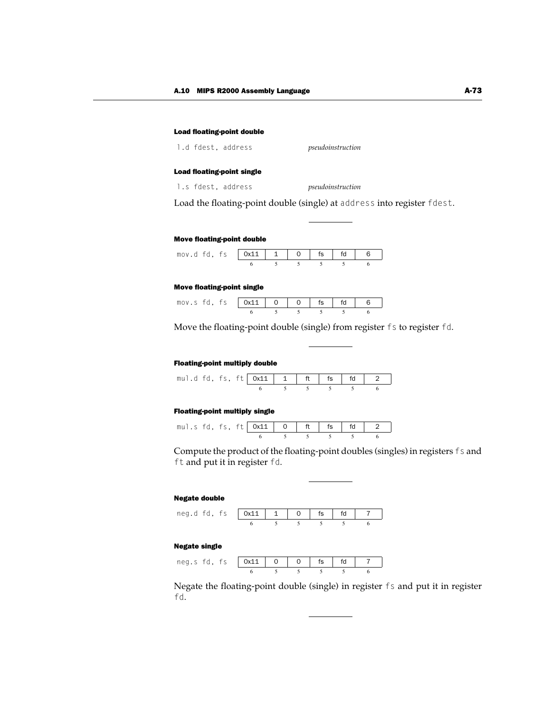#### Load floating-point double

l.d fdest, address *pseudoinstruction*

#### Load floating-point single

l.s fdest, address *pseudoinstruction*

Load the floating-point double (single) at address into register fdest.

#### Move floating-point double

| mov.d fd<br>. Tu, fs. 1 h | $0x11$   1   0 |  |  |  |
|---------------------------|----------------|--|--|--|
|                           |                |  |  |  |

#### Move floating-point single

| mo<br>sfd.ts in |  | $\begin{array}{c c c c c c} \hline \circ & \circ & \circ \end{array}$ |  |  |
|-----------------|--|-----------------------------------------------------------------------|--|--|
|                 |  |                                                                       |  |  |

Move the floating-point double (single) from register fs to register fd.

#### Floating-point multiply double

| mul.d fd, fs, ft   $0x11$   1   ft   fs   fd   2 |  |  |  |  |  |
|--------------------------------------------------|--|--|--|--|--|
|                                                  |  |  |  |  |  |

#### Floating-point multiply single

|  |  |  |                     |  | mul.s fd. fs. ft   $0x11$   0   ft   fs   fd   2 |
|--|--|--|---------------------|--|--------------------------------------------------|
|  |  |  | $\sim$ 5.000 $\sim$ |  |                                                  |

Compute the product of the floating-point doubles (singles) in registers fs and ft and put it in register fd.

6 5555 6

#### Negate double

### neg.d fd, fs  $\vert$  0x11 | 1 | 0 | fs | fd | 7

## Negate single



Negate the floating-point double (single) in register fs and put it in register fd.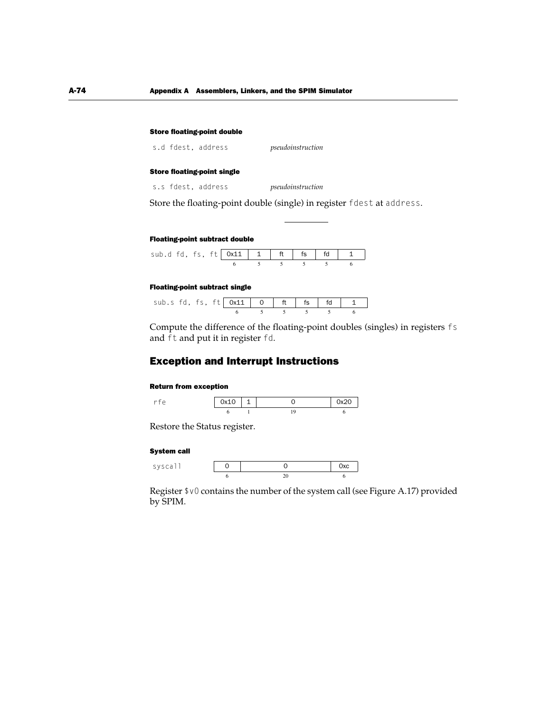#### Store floating-point double

s.d fdest, address *pseudoinstruction*

### Store floating-point single

s.s fdest, address *pseudoinstruction*

Store the floating-point double (single) in register fdest at address.

### Floating-point subtract double

|  |  | sub.d fd. fs. ft  0x11   1   ft   fs   fd   1 |  |  |  |
|--|--|-----------------------------------------------|--|--|--|
|  |  |                                               |  |  |  |

#### Floating-point subtract single

|  |  | sub.s fd, fs, ft $\vert$ Ox11 $\vert$ 0 $\vert$ ft $\vert$ fs $\vert$ fd $\vert$ 1 |  |  |  |
|--|--|------------------------------------------------------------------------------------|--|--|--|
|  |  |                                                                                    |  |  |  |

Compute the difference of the floating-point doubles (singles) in registers fs and ft and put it in register fd.

## Exception and Interrupt Instructions

## Return from exception



Restore the Status register.

#### System call



Register \$v0 contains the number of the system call (see Figure A.17) provided by SPIM.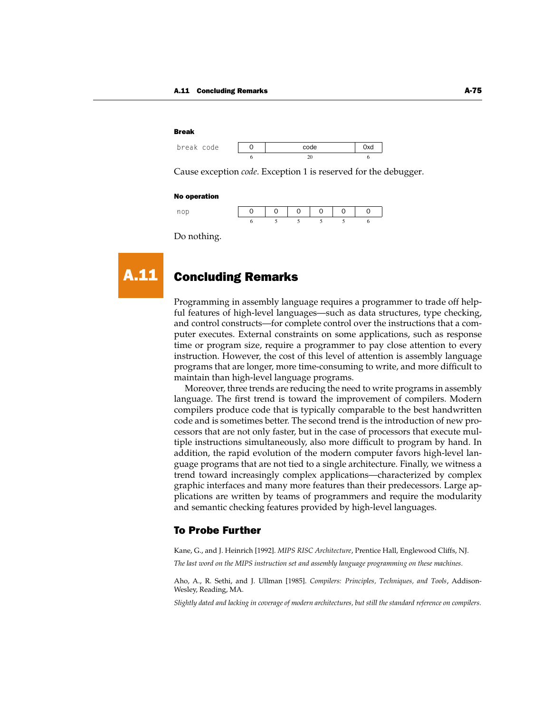## Break



Cause exception *code*. Exception 1 is reserved for the debugger.

#### No operation

Do nothing.

## **Concluding Remarks**

Programming in assembly language requires a programmer to trade off helpful features of high-level languages—such as data structures, type checking, and control constructs—for complete control over the instructions that a computer executes. External constraints on some applications, such as response time or program size, require a programmer to pay close attention to every instruction. However, the cost of this level of attention is assembly language programs that are longer, more time-consuming to write, and more difficult to maintain than high-level language programs.

Moreover, three trends are reducing the need to write programs in assembly language. The first trend is toward the improvement of compilers. Modern compilers produce code that is typically comparable to the best handwritten code and is sometimes better. The second trend is the introduction of new processors that are not only faster, but in the case of processors that execute multiple instructions simultaneously, also more difficult to program by hand. In addition, the rapid evolution of the modern computer favors high-level language programs that are not tied to a single architecture. Finally, we witness a trend toward increasingly complex applications—characterized by complex graphic interfaces and many more features than their predecessors. Large applications are written by teams of programmers and require the modularity and semantic checking features provided by high-level languages.

## To Probe Further

Kane, G., and J. Heinrich [1992]. *MIPS RISC Architecture*, Prentice Hall, Englewood Cliffs, NJ.

*The last word on the MIPS instruction set and assembly language programming on these machines.*

Aho, A., R. Sethi, and J. Ullman [1985]. *Compilers: Principles, Techniques, and Tools*, Addison-Wesley, Reading, MA.

*Slightly dated and lacking in coverage of modern architectures, but still the standard reference on compilers.*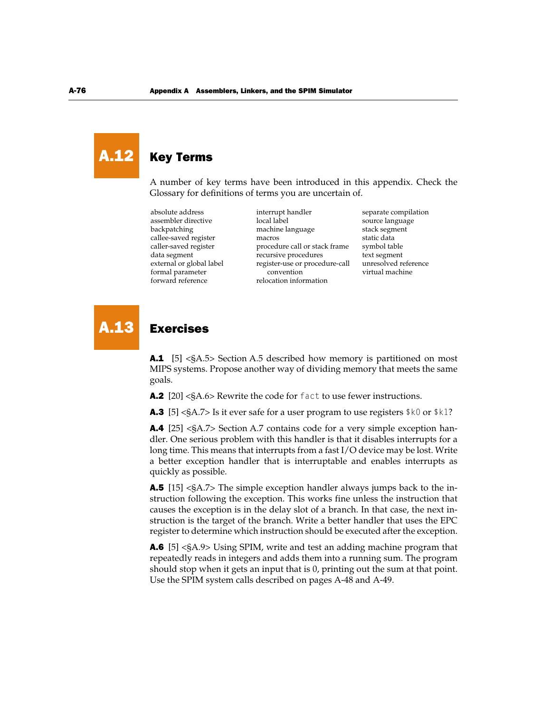## **Key Terms**

A number of key terms have been introduced in this appendix. Check the Glossary for definitions of terms you are uncertain of.

absolute address assembler directive backpatching callee-saved register caller-saved register data segment external or global label formal parameter forward reference

interrupt handler local label machine language macros procedure call or stack frame recursive procedures register-use or procedure-call convention relocation information

separate compilation source language stack segment static data symbol table text segment unresolved reference virtual machine

# **Exercises**

**A.1** [5] <§A.5> Section A.5 described how memory is partitioned on most MIPS systems. Propose another way of dividing memory that meets the same goals.

A.2 [20] <SA.6> Rewrite the code for fact to use fewer instructions.

**A.3** [5]  $\leq$  SA.7> Is it ever safe for a user program to use registers  $\frac{1}{0}$  or  $\frac{1}{2}$ 

A.4 [25] <§A.7> Section A.7 contains code for a very simple exception handler. One serious problem with this handler is that it disables interrupts for a long time. This means that interrupts from a fast I/O device may be lost. Write a better exception handler that is interruptable and enables interrupts as quickly as possible.

A.5 [15] <§A.7> The simple exception handler always jumps back to the instruction following the exception. This works fine unless the instruction that causes the exception is in the delay slot of a branch. In that case, the next instruction is the target of the branch. Write a better handler that uses the EPC register to determine which instruction should be executed after the exception.

A.6 [5] <§A.9> Using SPIM, write and test an adding machine program that repeatedly reads in integers and adds them into a running sum. The program should stop when it gets an input that is 0, printing out the sum at that point. Use the SPIM system calls described on pages A-48 and A-49.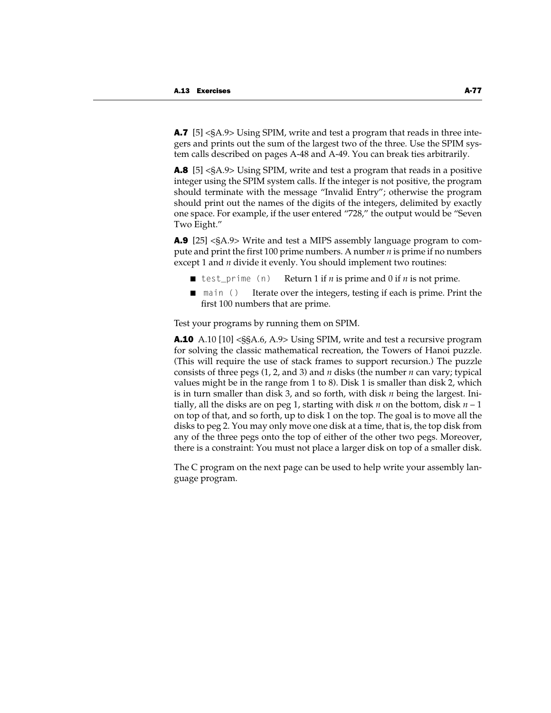**A.7** [5] <SA.9> Using SPIM, write and test a program that reads in three integers and prints out the sum of the largest two of the three. Use the SPIM system calls described on pages A-48 and A-49. You can break ties arbitrarily.

**A.8** [5] <SA.9> Using SPIM, write and test a program that reads in a positive integer using the SPIM system calls. If the integer is not positive, the program should terminate with the message "Invalid Entry"; otherwise the program should print out the names of the digits of the integers, delimited by exactly one space. For example, if the user entered "728," the output would be "Seven Two Eight."

A.9 [25] <§A.9> Write and test a MIPS assembly language program to compute and print the first 100 prime numbers. A number *n* is prime if no numbers except 1 and *n* divide it evenly. You should implement two routines:

- test\_prime (n) Return 1 if *n* is prime and 0 if *n* is not prime.
- main () Iterate over the integers, testing if each is prime. Print the first 100 numbers that are prime.

Test your programs by running them on SPIM.

**A.10** A.10 [10] <§§A.6, A.9> Using SPIM, write and test a recursive program for solving the classic mathematical recreation, the Towers of Hanoi puzzle. (This will require the use of stack frames to support recursion.) The puzzle consists of three pegs (1, 2, and 3) and *n* disks (the number *n* can vary; typical values might be in the range from 1 to 8). Disk 1 is smaller than disk 2, which is in turn smaller than disk 3, and so forth, with disk *n* being the largest. Initially, all the disks are on peg 1, starting with disk *n* on the bottom, disk *n* – 1 on top of that, and so forth, up to disk 1 on the top. The goal is to move all the disks to peg 2. You may only move one disk at a time, that is, the top disk from any of the three pegs onto the top of either of the other two pegs. Moreover, there is a constraint: You must not place a larger disk on top of a smaller disk.

The C program on the next page can be used to help write your assembly language program.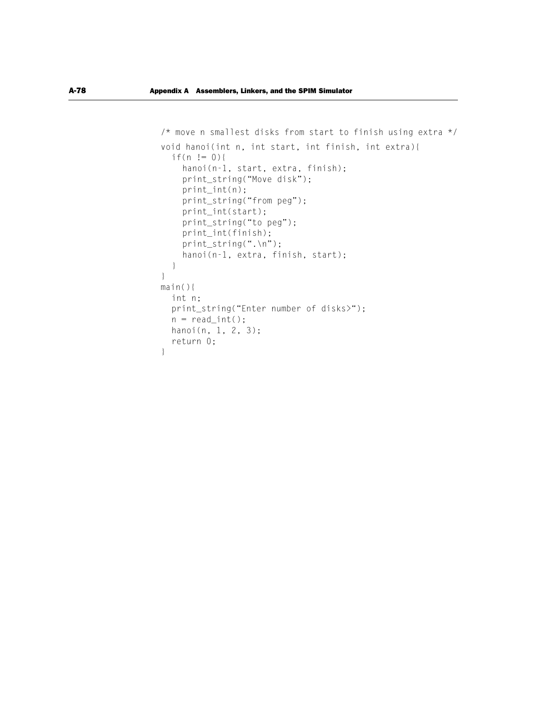```
/* move n smallest disks from start to finish using extra */
void hanoi(int n, int start, int finish, int extra){
  if(n != 0){
    hanoi(n-1, start, extra, finish);
    print_string("Move disk");
    print_int(n);
    print_string("from peg");
    print_int(start);
    print_string("to peg");
    print_int(finish);
    print_string(".\n");
    hanoi(n-1, extra, finish, start);
  }
}
main(){
  int n;
  print_string("Enter number of disks>");
  n = read(int();hanoi(n, 1, 2, 3);
  return 0;
}
```